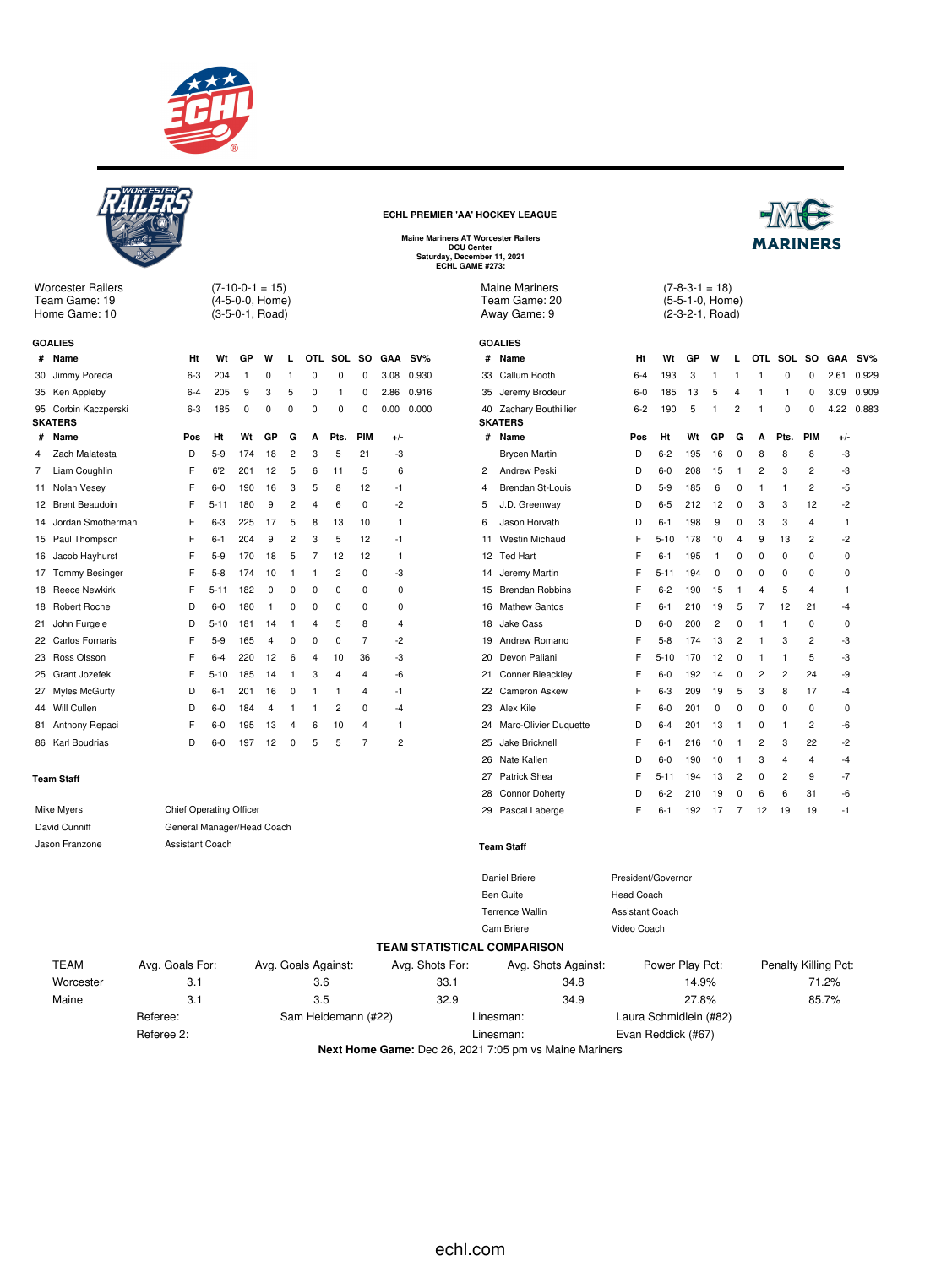

 $(7-10-0-1 = 15)$ (4-5-0-0, Home) (3-5-0-1, Road)

**# Name Ht Wt GP W L OTL SOL SO GAA SV%** Jimmy Poreda 6-3 204 1 0 1 0 0 0 3.08 0.930 Ken Appleby 6-4 205 9 3 5 0 1 0 2.86 0.916 Corbin Kaczperski 6-3 185 0 0 0 0 0 0 0.00 0.000

**# Name Pos Ht Wt GP G A Pts. PIM +/-** Zach Malatesta D 5-9 174 18 2 3 5 21 -3 Liam Coughlin F 6'2 201 12 5 6 11 5 6 Nolan Vesey F 6-0 190 16 3 5 8 12 -1 Brent Beaudoin F 5-11 180 9 2 4 6 0 -2 Jordan Smotherman F 6-3 225 17 5 8 13 10 1 Paul Thompson F 6-1 204 9 2 3 5 12 -1 Jacob Hayhurst F 5-9 170 18 5 7 12 12 1 17 Tommy Besinger F 5-8 174 10 1 1 2 0 -3 18 Reece Newkirk F 5-11 182 0 0 0 0 0 0 0 Robert Roche D 6-0 180 1 0 0 0 0 0 John Furgele D 5-10 181 14 1 4 5 8 4 Carlos Fornaris F 5-9 165 4 0 0 0 7 -2 Ross Olsson F 6-4 220 12 6 4 10 36 -3 Grant Jozefek F 5-10 185 14 1 3 4 4 -6 Myles McGurty D 6-1 201 16 0 1 1 4 -1 Will Cullen D 6-0 184 4 1 1 2 0 -4



Worcester Railers Team Game: 19 Home Game: 10

**GOALIES**

**SKATERS**

**ECHL PREMIER 'AA' HOCKEY LEAGUE**



**Maine Mariners AT Worcester Railers DCU Center Saturday, December 11, 2021 ECHL GAME #273:**

Maine Mariners Team Game: 20 Away Game: 9

| #              | Name                    | Ht      | Wt       | GP  | W           | L              |                | OTL SOL        | SO.            | GAA SV%     |       |
|----------------|-------------------------|---------|----------|-----|-------------|----------------|----------------|----------------|----------------|-------------|-------|
| 33             | Callum Booth            | $6 - 4$ | 193      | 3   | 1           | 1              | 1              | $\mathbf 0$    | $\Omega$       | 2.61        | 0.929 |
| 35             | Jeremy Brodeur          | $6-0$   | 185      | 13  | 5           | 4              | 1              | 1              | 0              | 3.09        | 0.909 |
| 40             | Zachary Bouthillier     | $6 - 2$ | 190      | 5   | 1           | $\overline{c}$ | 1              | $\Omega$       | 0              | 4.22        | 0.883 |
|                | <b>SKATERS</b>          |         |          |     |             |                |                |                |                |             |       |
| #              | Name                    | Pos     | Ht       | Wt  | GP          | G              | A              | Pts.           | PIM            | +/-         |       |
|                | <b>Brycen Martin</b>    | D       | $6 - 2$  | 195 | 16          | 0              | 8              | 8              | 8              | -3          |       |
| $\overline{2}$ | <b>Andrew Peski</b>     | D       | $6 - 0$  | 208 | 15          | 1              | $\overline{c}$ | 3              | $\overline{2}$ | -3          |       |
| 4              | <b>Brendan St-Louis</b> | D       | $5-9$    | 185 | 6           | 0              | 1              | 1              | $\overline{2}$ | -5          |       |
| 5              | J.D. Greenway           | D       | $6 - 5$  | 212 | 12          | 0              | 3              | 3              | 12             | $-2$        |       |
| 6              | Jason Horvath           | D       | $6 - 1$  | 198 | 9           | 0              | 3              | 3              | 4              | 1           |       |
| 11             | <b>Westin Michaud</b>   | F       | $5 - 10$ | 178 | 10          | 4              | 9              | 13             | 2              | $-2$        |       |
| 12             | <b>Ted Hart</b>         | F       | $6 - 1$  | 195 | 1           | 0              | 0              | 0              | $\Omega$       | 0           |       |
| 14             | Jeremy Martin           | F       | $5 - 11$ | 194 | $\Omega$    | 0              | $\Omega$       | $\Omega$       | 0              | $\mathbf 0$ |       |
| 15             | <b>Brendan Robbins</b>  | F       | $6 - 2$  | 190 | 15          | 1              | 4              | 5              | 4              | 1           |       |
| 16             | <b>Mathew Santos</b>    | F       | $6 - 1$  | 210 | 19          | 5              | 7              | 12             | 21             | $-4$        |       |
| 18             | Jake Cass               | D       | $6 - 0$  | 200 | 2           | 0              | 1              | 1              | $\Omega$       | $\Omega$    |       |
| 19             | Andrew Romano           | F       | $5 - 8$  | 174 | 13          | 2              | 1              | 3              | 2              | -3          |       |
| 20             | Devon Paliani           | F       | $5 - 10$ | 170 | 12          | 0              | 1              | 1              | 5              | -3          |       |
| 21             | Conner Bleackley        | F       | $6-0$    | 192 | 14          | 0              | $\overline{2}$ | $\overline{2}$ | 24             | -9          |       |
| 22             | Cameron Askew           | F       | $6 - 3$  | 209 | 19          | 5              | 3              | 8              | 17             | $-4$        |       |
| 23             | Alex Kile               | F       | $6 - 0$  | 201 | $\mathbf 0$ | 0              | 0              | $\Omega$       | 0              | 0           |       |
| 24             | Marc-Olivier Duquette   | D       | $6 - 4$  | 201 | 13          | 1              | 0              | 1              | 2              | -6          |       |
| 25             | Jake Bricknell          | F       | $6 - 1$  | 216 | 10          | 1              | $\overline{2}$ | 3              | 22             | $-2$        |       |
| 26             | Nate Kallen             | D       | $6-0$    | 190 | 10          | 1              | 3              | 4              | 4              | $-4$        |       |
| 27             | Patrick Shea            | F       | $5 - 11$ | 194 | 13          | 2              | 0              | 2              | 9              | $-7$        |       |
| 28             | Connor Doherty          | D       | $6 - 2$  | 210 | 19          | 0              | 6              | 6              | 31             | -6          |       |
| 29             | Pascal Laberge          | F       | $6 - 1$  | 192 | 17          | 7              | 12             | 19             | 19             | $-1$        |       |

 $(7-8-3-1 = 18)$ (5-5-1-0, Home) (2-3-2-1, Road)

| 81                                           | Anthony Repaci   | F                          | $6-0$ | 195 | 13 | 4           | 6 | 10 | 4              |   |    | 24 Marc-Olivier Duquette |
|----------------------------------------------|------------------|----------------------------|-------|-----|----|-------------|---|----|----------------|---|----|--------------------------|
|                                              | 86 Karl Boudrias | D                          | $6-0$ | 197 | 12 | $\mathbf 0$ | 5 | 5  | 7              | 2 | 25 | Jake Bricknell           |
|                                              |                  |                            |       |     |    |             |   |    |                |   | 26 | Nate Kallen              |
|                                              | Team Staff       |                            |       |     |    |             |   |    |                |   | 27 | Patrick Shea             |
|                                              |                  |                            |       |     |    |             |   |    |                |   | 28 | <b>Connor Doherty</b>    |
| <b>Chief Operating Officer</b><br>Mike Myers |                  |                            |       |     |    |             |   | 29 | Pascal Laberge |   |    |                          |
|                                              | David Cunniff    | General Manager/Head Coach |       |     |    |             |   |    |                |   |    |                          |
|                                              | Jason Franzone   | Assistant Coach            |       |     |    |             |   |    |                |   |    | <b>Team Staff</b>        |
|                                              |                  |                            |       |     |    |             |   |    |                |   |    | Daniel Briere            |
|                                              |                  |                            |       |     |    |             |   |    |                |   |    | Ben Guite                |
|                                              |                  |                            |       |     |    |             |   |    |                |   |    | <b>Terrence Wallin</b>   |
|                                              |                  |                            |       |     |    |             |   |    |                |   |    |                          |

President/Governor Head Coach Assistant Coach Cam Briere Video Coach

#### **TEAM STATISTICAL COMPARISON**

| <b>TEAM</b> | Avg. Goals For: | Avg. Goals Against: | Avg. Shots For: | Avg. Shots Against:                                     | Power Play Pct:        | Penalty Killing Pct: |
|-------------|-----------------|---------------------|-----------------|---------------------------------------------------------|------------------------|----------------------|
| Worcester   | 3.1             | 3.6                 | 33.1            | 34.8                                                    | 14.9%                  | 71.2%                |
| Maine       | 3.1             | 3.5                 | 32.9            | 34.9                                                    | 27.8%                  | 85.7%                |
|             | Referee:        | Sam Heidemann (#22) |                 | Linesman:                                               | Laura Schmidlein (#82) |                      |
|             | Referee 2:      |                     |                 | Linesman:                                               | Evan Reddick (#67)     |                      |
|             |                 |                     |                 | Nort Hame Camer Dee 26, 2021, 7:05 pm us Maine Marinera |                        |                      |

**Next Home Game:** Dec 26, 2021 7:05 pm vs Maine Mariners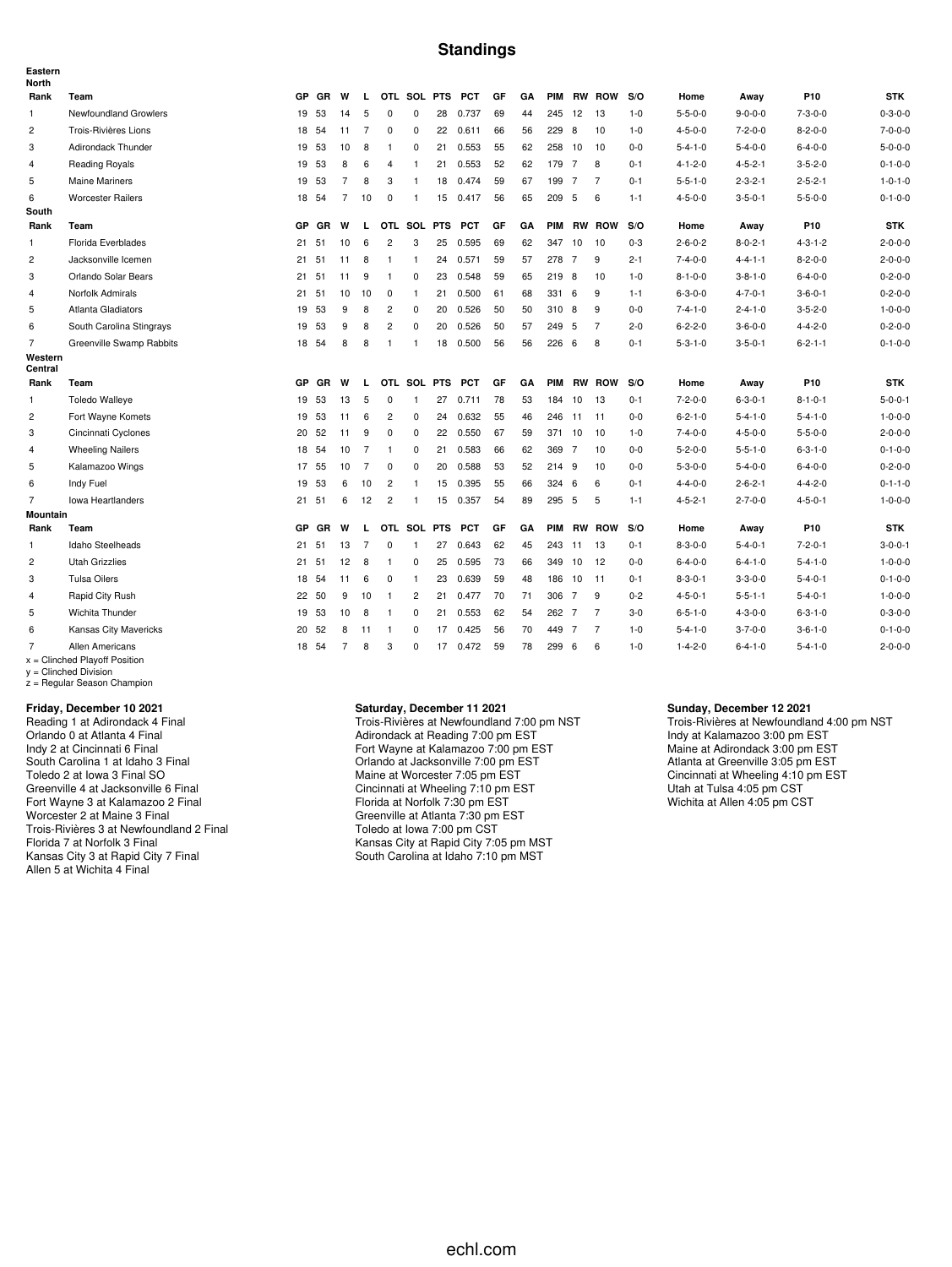#### **Standings**

| Eastern<br><b>North</b> |                                                    |           |           |                |                |                         |                |    |            |     |    |            |     |                |         |                 |                 |                 |                 |
|-------------------------|----------------------------------------------------|-----------|-----------|----------------|----------------|-------------------------|----------------|----|------------|-----|----|------------|-----|----------------|---------|-----------------|-----------------|-----------------|-----------------|
| Rank                    | Team                                               | GP        | GR        | W              | L              |                         | OTL SOL PTS    |    | <b>PCT</b> | GF  | GA | <b>PIM</b> |     | <b>RW ROW</b>  | S/O     | Home            | Away            | P <sub>10</sub> | <b>STK</b>      |
| $\mathbf{1}$            | Newfoundland Growlers                              |           | 19 53     | 14             | 5              | $\mathbf 0$             | $\mathbf 0$    | 28 | 0.737      | 69  | 44 | 245 12     |     | 13             | $1 - 0$ | $5 - 5 - 0 - 0$ | $9 - 0 - 0 - 0$ | $7 - 3 - 0 - 0$ | $0 - 3 - 0 - 0$ |
| $\overline{c}$          | Trois-Rivières Lions                               |           | 18 54     | 11             | $\overline{7}$ | $\mathbf 0$             | 0              | 22 | 0.611      | 66  | 56 | 229        | -8  | 10             | $1 - 0$ | $4 - 5 - 0 - 0$ | $7 - 2 - 0 - 0$ | $8 - 2 - 0 - 0$ | $7 - 0 - 0 - 0$ |
| 3                       | Adirondack Thunder                                 | 19        | -53       | 10             | 8              | $\overline{1}$          | 0              | 21 | 0.553      | 55  | 62 | 258 10     |     | 10             | $0 - 0$ | $5 - 4 - 1 - 0$ | $5 - 4 - 0 - 0$ | $6 - 4 - 0 - 0$ | $5 - 0 - 0 - 0$ |
| 4                       | <b>Reading Royals</b>                              | 19        | 53        | 8              | 6              | 4                       | -1             | 21 | 0.553      | 52  | 62 | 179 7      |     | 8              | $0 - 1$ | $4 - 1 - 2 - 0$ | $4 - 5 - 2 - 1$ | $3 - 5 - 2 - 0$ | $0 - 1 - 0 - 0$ |
| 5                       | <b>Maine Mariners</b>                              | 19        | 53        | $\overline{7}$ | 8              | 3                       | $\mathbf{1}$   | 18 | 0.474      | 59  | 67 | 199 7      |     | $\overline{7}$ | $0 - 1$ | $5 - 5 - 1 - 0$ | $2 - 3 - 2 - 1$ | $2 - 5 - 2 - 1$ | $1 - 0 - 1 - 0$ |
| 6                       | <b>Worcester Railers</b>                           |           | 18 54     | $\overline{7}$ | 10             | 0                       | $\mathbf{1}$   | 15 | 0.417      | 56  | 65 | 209 5      |     | 6              | $1 - 1$ | $4 - 5 - 0 - 0$ | $3 - 5 - 0 - 1$ | $5 - 5 - 0 - 0$ | $0 - 1 - 0 - 0$ |
| South                   |                                                    |           |           |                |                |                         |                |    |            |     |    |            |     |                |         |                 |                 |                 |                 |
| Rank                    | Team                                               | <b>GP</b> | GR        | W              | L              |                         | OTL SOL PTS    |    | <b>PCT</b> | GF  | GA | <b>PIM</b> |     | <b>RW ROW</b>  | S/O     | Home            | Away            | P <sub>10</sub> | <b>STK</b>      |
| $\mathbf{1}$            | Florida Everblades                                 | 21        | 51        | 10             | 6              | $\overline{c}$          | 3              | 25 | 0.595      | 69  | 62 | 347        | 10  | 10             | $0 - 3$ | $2 - 6 - 0 - 2$ | $8 - 0 - 2 - 1$ | $4 - 3 - 1 - 2$ | $2 - 0 - 0 - 0$ |
| $\overline{2}$          | Jacksonville Icemen                                | 21        | 51        | 11             | 8              | $\overline{1}$          | $\mathbf{1}$   | 24 | 0.571      | 59  | 57 | 278 7      |     | 9              | $2 - 1$ | $7 - 4 - 0 - 0$ | $4 - 4 - 1 - 1$ | $8 - 2 - 0 - 0$ | $2 - 0 - 0 - 0$ |
| 3                       | Orlando Solar Bears                                |           | 21 51     | 11             | 9              | $\overline{1}$          | 0              | 23 | 0.548      | 59  | 65 | 219 8      |     | 10             | $1 - 0$ | $8 - 1 - 0 - 0$ | $3 - 8 - 1 - 0$ | $6 - 4 - 0 - 0$ | $0 - 2 - 0 - 0$ |
| 4                       | Norfolk Admirals                                   |           | 21 51     | 10             | 10             | 0                       | $\mathbf{1}$   | 21 | 0.500      | 61  | 68 | 331        | 6   | 9              | $1 - 1$ | $6 - 3 - 0 - 0$ | $4 - 7 - 0 - 1$ | $3 - 6 - 0 - 1$ | $0 - 2 - 0 - 0$ |
| 5                       | <b>Atlanta Gladiators</b>                          | 19        | 53        | 9              | 8              | $\overline{c}$          | 0              | 20 | 0.526      | 50  | 50 | 310 8      |     | 9              | $0 - 0$ | $7 - 4 - 1 - 0$ | $2 - 4 - 1 - 0$ | $3 - 5 - 2 - 0$ | $1 - 0 - 0 - 0$ |
| 6                       | South Carolina Stingrays                           | 19        | 53        | 9              | 8              | $\overline{\mathbf{c}}$ | $\mathbf 0$    | 20 | 0.526      | 50  | 57 | 249        | 5   | $\overline{7}$ | $2 - 0$ | $6 - 2 - 2 - 0$ | $3 - 6 - 0 - 0$ | $4 - 4 - 2 - 0$ | $0 - 2 - 0 - 0$ |
| $\overline{7}$          | Greenville Swamp Rabbits                           | 18        | 54        | 8              | 8              | $\mathbf{1}$            | $\mathbf{1}$   | 18 | 0.500      | 56  | 56 | 226        | - 6 | 8              | $0 - 1$ | $5 - 3 - 1 - 0$ | $3 - 5 - 0 - 1$ | $6 - 2 - 1 - 1$ | $0 - 1 - 0 - 0$ |
| Western<br>Central      |                                                    |           |           |                |                |                         |                |    |            |     |    |            |     |                |         |                 |                 |                 |                 |
| Rank                    | Team                                               | <b>GP</b> | <b>GR</b> | W              | L              |                         | OTL SOL PTS    |    | <b>PCT</b> | GF  | GA | <b>PIM</b> |     | <b>RW ROW</b>  | S/O     | Home            | Away            | P <sub>10</sub> | <b>STK</b>      |
| $\mathbf{1}$            | <b>Toledo Walleye</b>                              | 19        | 53        | 13             | 5              | $\mathbf 0$             | $\mathbf{1}$   | 27 | 0.711      | 78  | 53 | 184        | 10  | 13             | $0 - 1$ | $7 - 2 - 0 - 0$ | $6 - 3 - 0 - 1$ | $8 - 1 - 0 - 1$ | $5 - 0 - 0 - 1$ |
| $\overline{c}$          | Fort Wayne Komets                                  | 19        | -53       | 11             | 6              | $\overline{2}$          | $\mathbf 0$    | 24 | 0.632      | 55  | 46 | 246        | 11  | 11             | $0 - 0$ | $6 - 2 - 1 - 0$ | $5 - 4 - 1 - 0$ | $5 - 4 - 1 - 0$ | $1 - 0 - 0 - 0$ |
| 3                       | Cincinnati Cyclones                                | 20        | 52        | 11             | 9              | $\mathbf 0$             | $\mathbf 0$    | 22 | 0.550      | 67  | 59 | 371        | 10  | 10             | $1 - 0$ | $7 - 4 - 0 - 0$ | $4 - 5 - 0 - 0$ | $5 - 5 - 0 - 0$ | $2 - 0 - 0 - 0$ |
| $\overline{4}$          | <b>Wheeling Nailers</b>                            |           | 18 54     | 10             | $\overline{7}$ | $\overline{1}$          | 0              | 21 | 0.583      | 66  | 62 | 369 7      |     | 10             | $0 - 0$ | $5 - 2 - 0 - 0$ | $5 - 5 - 1 - 0$ | $6 - 3 - 1 - 0$ | $0 - 1 - 0 - 0$ |
| 5                       | Kalamazoo Wings                                    | 17        | 55        | 10             | $\overline{7}$ | $\mathbf 0$             | $\mathbf 0$    | 20 | 0.588      | 53  | 52 | 214 9      |     | 10             | $0 - 0$ | $5 - 3 - 0 - 0$ | $5 - 4 - 0 - 0$ | $6 - 4 - 0 - 0$ | $0 - 2 - 0 - 0$ |
| 6                       | Indy Fuel                                          | 19        | 53        | 6              | 10             | $\overline{2}$          | $\mathbf{1}$   | 15 | 0.395      | 55  | 66 | 324        | 6   | 6              | $0 - 1$ | $4 - 4 - 0 - 0$ | $2 - 6 - 2 - 1$ | $4 - 4 - 2 - 0$ | $0 - 1 - 1 - 0$ |
| 7                       | <b>Iowa Heartlanders</b>                           |           | 21 51     | 6              | 12             | $\overline{c}$          | $\mathbf{1}$   | 15 | 0.357      | -54 | 89 | 295 5      |     | 5              | $1 - 1$ | $4 - 5 - 2 - 1$ | $2 - 7 - 0 - 0$ | $4 - 5 - 0 - 1$ | $1 - 0 - 0 - 0$ |
| Mountain                |                                                    |           |           |                |                |                         |                |    |            |     |    |            |     |                |         |                 |                 |                 |                 |
| Rank                    | Team                                               | <b>GP</b> | GR        | W              | L              |                         | OTL SOL PTS    |    | <b>PCT</b> | GF  | GA | <b>PIM</b> |     | <b>RW ROW</b>  | S/O     | Home            | Away            | P <sub>10</sub> | <b>STK</b>      |
| 1                       | Idaho Steelheads                                   | 21        | 51        | 13             | $\overline{7}$ | $\mathbf{0}$            | $\overline{1}$ | 27 | 0.643      | 62  | 45 | 243        | 11  | -13            | $0 - 1$ | $8 - 3 - 0 - 0$ | $5 - 4 - 0 - 1$ | $7 - 2 - 0 - 1$ | $3 - 0 - 0 - 1$ |
| $\overline{c}$          | <b>Utah Grizzlies</b>                              | 21        | 51        | 12             | 8              | $\overline{1}$          | $\mathbf 0$    | 25 | 0.595      | 73  | 66 | 349 10     |     | 12             | $0-0$   | $6 - 4 - 0 - 0$ | $6 - 4 - 1 - 0$ | $5 - 4 - 1 - 0$ | $1 - 0 - 0 - 0$ |
| 3                       | <b>Tulsa Oilers</b>                                | 18        | 54        | 11             | 6              | $\mathbf 0$             | $\mathbf{1}$   | 23 | 0.639      | 59  | 48 | 186        | 10  | 11             | $0 - 1$ | $8 - 3 - 0 - 1$ | $3 - 3 - 0 - 0$ | $5 - 4 - 0 - 1$ | $0 - 1 - 0 - 0$ |
| 4                       | Rapid City Rush                                    |           | 22 50     | 9              | 10             | $\overline{1}$          | $\overline{2}$ | 21 | 0.477      | 70  | 71 | 306 7      |     | 9              | $0 - 2$ | $4 - 5 - 0 - 1$ | $5 - 5 - 1 - 1$ | $5 - 4 - 0 - 1$ | $1 - 0 - 0 - 0$ |
| 5                       | Wichita Thunder                                    |           | 19 53     | 10             | 8              | $\overline{1}$          | 0              | 21 | 0.553      | 62  | 54 | 262 7      |     | $\overline{7}$ | $3-0$   | $6 - 5 - 1 - 0$ | $4 - 3 - 0 - 0$ | $6 - 3 - 1 - 0$ | $0 - 3 - 0 - 0$ |
| 6                       | Kansas City Mavericks                              | 20        | 52        | 8              | -11            | $\overline{1}$          | 0              | 17 | 0.425      | 56  | 70 | 449 7      |     | 7              | $1 - 0$ | $5 - 4 - 1 - 0$ | $3 - 7 - 0 - 0$ | $3 - 6 - 1 - 0$ | $0 - 1 - 0 - 0$ |
| $\overline{7}$          | Allen Americans<br>$x =$ Clinched Playoff Position |           | 18 54     | $\overline{7}$ | 8              | 3                       | $\Omega$       | 17 | 0.472      | 59  | 78 | 299 6      |     | 6              | $1 - 0$ | $1 - 4 - 2 - 0$ | $6 - 4 - 1 - 0$ | $5 - 4 - 1 - 0$ | $2 - 0 - 0 - 0$ |

x = Clinched Playoff Position y = Clinched Division z = Regular Season Champion

**Friday, December 10 2021**

Reading 1 at Adirondack 4 Final Orlando 0 at Atlanta 4 Final Indy 2 at Cincinnati 6 Final South Carolina 1 at Idaho 3 Final Toledo 2 at Iowa 3 Final SO Greenville 4 at Jacksonville 6 Final Fort Wayne 3 at Kalamazoo 2 Final Worcester 2 at Maine 3 Final Trois-Rivières 3 at Newfoundland 2 Final Florida 7 at Norfolk 3 Final Kansas City 3 at Rapid City 7 Final Allen 5 at Wichita 4 Final

#### **Saturday, December 11 2021**

Trois-Rivières at Newfoundland 7:00 pm NST Adirondack at Reading 7:00 pm EST Fort Wayne at Kalamazoo 7:00 pm EST Orlando at Jacksonville 7:00 pm EST Maine at Worcester 7:05 pm EST Cincinnati at Wheeling 7:10 pm EST Florida at Norfolk 7:30 pm EST Greenville at Atlanta 7:30 pm EST Toledo at Iowa 7:00 pm CST Kansas City at Rapid City 7:05 pm MST South Carolina at Idaho 7:10 pm MST

#### **Sunday, December 12 2021**

Trois-Rivières at Newfoundland 4:00 pm NST Indy at Kalamazoo 3:00 pm EST Maine at Adirondack 3:00 pm EST Atlanta at Greenville 3:05 pm EST Cincinnati at Wheeling 4:10 pm EST Utah at Tulsa 4:05 pm CST Wichita at Allen 4:05 pm CST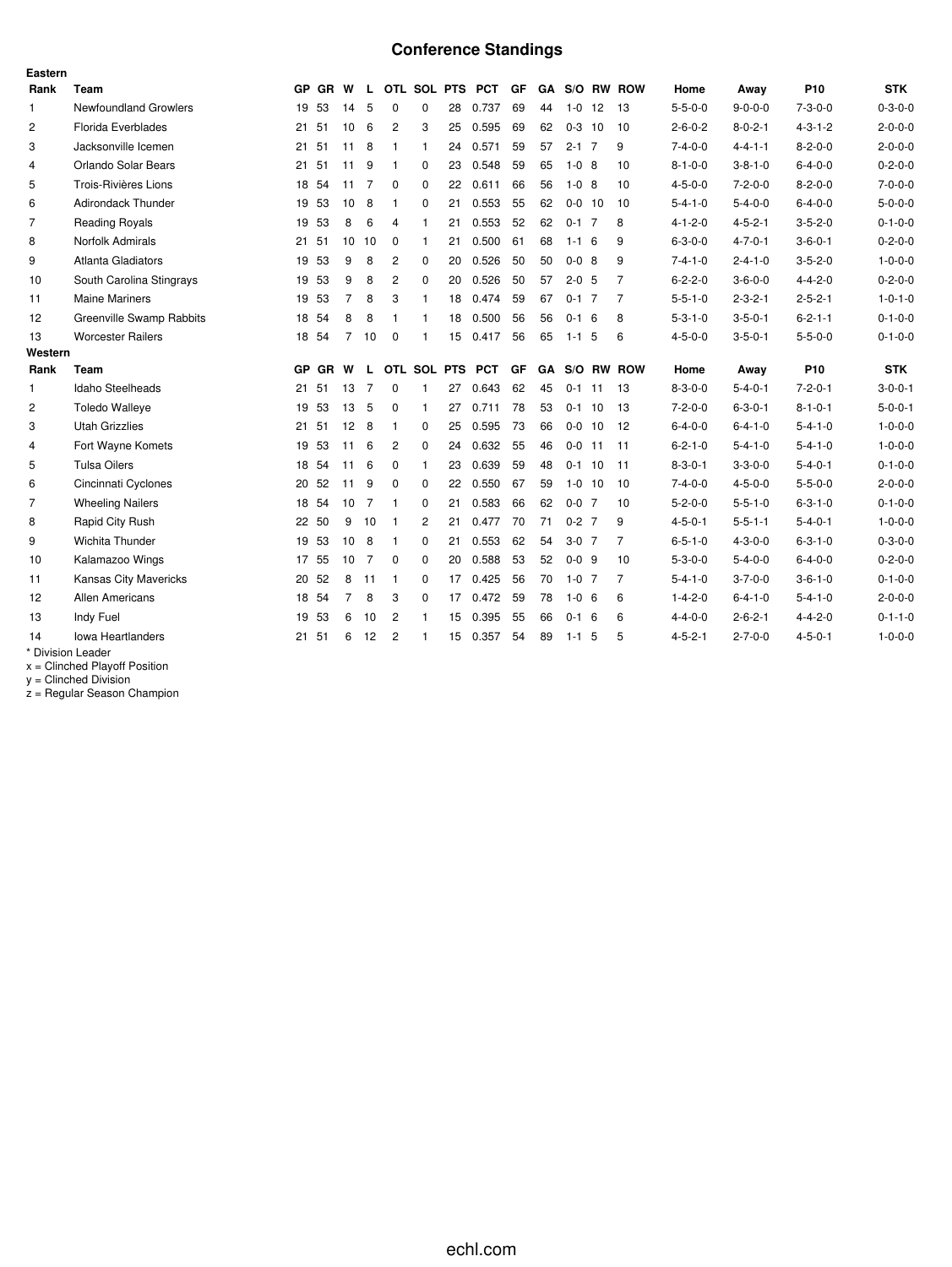# **Conference Standings**

| Eastern        |                              |    |         |                 |                |                |                |    |                   |    |           |             |    |                |                 |                 |                 |                 |
|----------------|------------------------------|----|---------|-----------------|----------------|----------------|----------------|----|-------------------|----|-----------|-------------|----|----------------|-----------------|-----------------|-----------------|-----------------|
| Rank           | Team                         |    | GP GR W |                 |                |                |                |    | L OTL SOL PTS PCT | GF |           |             |    | GA S/O RW ROW  | Home            | Away            | P <sub>10</sub> | <b>STK</b>      |
| $\mathbf{1}$   | <b>Newfoundland Growlers</b> |    | 19 53   | 14              | -5             | 0              | 0              | 28 | 0.737             | 69 | 44        | $1 - 0$     | 12 | - 13           | $5 - 5 - 0 - 0$ | $9 - 0 - 0 - 0$ | $7 - 3 - 0 - 0$ | $0 - 3 - 0 - 0$ |
| $\overline{c}$ | Florida Everblades           |    | 21 51   | 10              | - 6            | 2              | 3              | 25 | 0.595             | 69 | 62        | $0-3$ 10    |    | 10             | $2 - 6 - 0 - 2$ | $8 - 0 - 2 - 1$ | $4 - 3 - 1 - 2$ | $2 - 0 - 0 - 0$ |
| 3              | Jacksonville Icemen          | 21 | 51      | 11              | -8             | $\mathbf{1}$   | $\mathbf{1}$   | 24 | 0.571             | 59 | 57        | $2 - 1$ 7   |    | 9              | $7 - 4 - 0 - 0$ | $4 - 4 - 1 - 1$ | $8 - 2 - 0 - 0$ | $2 - 0 - 0 - 0$ |
| $\overline{4}$ | Orlando Solar Bears          |    | 21 51   | 11 9            |                | $\mathbf{1}$   | $\mathbf 0$    | 23 | 0.548             | 59 | 65        | $1 - 0$ 8   |    | 10             | $8 - 1 - 0 - 0$ | $3 - 8 - 1 - 0$ | $6 - 4 - 0 - 0$ | $0 - 2 - 0 - 0$ |
| 5              | Trois-Rivières Lions         | 18 | 54      | 11              | 7              | 0              | $\mathbf 0$    | 22 | 0.611             | 66 | 56        | $1 - 0$ 8   |    | 10             | $4 - 5 - 0 - 0$ | $7 - 2 - 0 - 0$ | $8 - 2 - 0 - 0$ | $7 - 0 - 0 - 0$ |
| 6              | <b>Adirondack Thunder</b>    |    | 19 53   | 10              | - 8            | $\mathbf{1}$   | $\Omega$       | 21 | 0.553             | 55 | 62        | $0 - 0$ 10  |    | 10             | $5 - 4 - 1 - 0$ | $5 - 4 - 0 - 0$ | $6 - 4 - 0 - 0$ | $5 - 0 - 0 - 0$ |
| $\overline{7}$ | <b>Reading Royals</b>        |    | 19 53   | 8               | 6              | $\overline{4}$ | -1             | 21 | 0.553             | 52 | 62        | $0 - 1$ 7   |    | 8              | $4 - 1 - 2 - 0$ | $4 - 5 - 2 - 1$ | $3 - 5 - 2 - 0$ | $0 - 1 - 0 - 0$ |
| 8              | Norfolk Admirals             | 21 | 51      | 10              | 10             | 0              | $\mathbf{1}$   | 21 | 0.500             | 61 | 68        | $1 - 1 = 6$ |    | 9              | $6 - 3 - 0 - 0$ | $4 - 7 - 0 - 1$ | $3 - 6 - 0 - 1$ | $0 - 2 - 0 - 0$ |
| 9              | Atlanta Gladiators           |    | 19 53   | 9               | 8              | $\overline{c}$ | $\mathbf 0$    | 20 | 0.526             | 50 | 50        | $0 - 0$ 8   |    | 9              | $7 - 4 - 1 - 0$ | $2 - 4 - 1 - 0$ | $3 - 5 - 2 - 0$ | $1 - 0 - 0 - 0$ |
| 10             | South Carolina Stingrays     | 19 | 53      | 9               | 8              | $\overline{c}$ | $\mathbf 0$    | 20 | 0.526             | 50 | 57        | $2 - 0$ 5   |    | 7              | $6 - 2 - 2 - 0$ | $3 - 6 - 0 - 0$ | $4 - 4 - 2 - 0$ | $0 - 2 - 0 - 0$ |
| 11             | <b>Maine Mariners</b>        |    | 19 53   | $\overline{7}$  | 8              | 3              | $\overline{1}$ | 18 | 0.474             | 59 | 67        | $0 - 1$ 7   |    | $\overline{7}$ | $5 - 5 - 1 - 0$ | $2 - 3 - 2 - 1$ | $2 - 5 - 2 - 1$ | $1 - 0 - 1 - 0$ |
| 12             | Greenville Swamp Rabbits     |    | 18 54   | 8               | 8              | 1              | 1              | 18 | 0.500             | 56 | 56        | $0 - 1 = 6$ |    | 8              | $5 - 3 - 1 - 0$ | $3 - 5 - 0 - 1$ | $6 - 2 - 1 - 1$ | $0 - 1 - 0 - 0$ |
| 13             | <b>Worcester Railers</b>     |    | 18 54   | $\overline{7}$  | 10             | $\mathbf 0$    | -1             | 15 | 0.417             | 56 | 65        | $1 - 1$ 5   |    | 6              | $4 - 5 - 0 - 0$ | $3 - 5 - 0 - 1$ | $5 - 5 - 0 - 0$ | $0 - 1 - 0 - 0$ |
| Western        |                              |    |         |                 |                |                |                |    |                   |    |           |             |    |                |                 |                 |                 |                 |
| Rank           | Team                         |    | GP GR   | W               | L.             |                | OTL SOL PTS    |    | <b>PCT</b>        | GF | <b>GA</b> |             |    | S/O RW ROW     | Home            | Away            | P <sub>10</sub> | <b>STK</b>      |
| $\mathbf{1}$   | Idaho Steelheads             | 21 | 51      | 13              | 7              | 0              | 1              | 27 | 0.643             | 62 | 45        | $0 - 1$     | 11 | -13            | $8 - 3 - 0 - 0$ | $5 - 4 - 0 - 1$ | $7 - 2 - 0 - 1$ | $3 - 0 - 0 - 1$ |
| $\overline{c}$ | <b>Toledo Walleye</b>        | 19 | 53      | 13              | 5              | 0              | $\mathbf{1}$   | 27 | 0.711             | 78 | 53        | $0 - 1$     | 10 | -13            | $7 - 2 - 0 - 0$ | $6 - 3 - 0 - 1$ | $8 - 1 - 0 - 1$ | $5 - 0 - 0 - 1$ |
| 3              | <b>Utah Grizzlies</b>        | 21 | 51      | 12 <sub>8</sub> |                | 1              | 0              | 25 | 0.595             | 73 | 66        | $0 - 0$ 10  |    | -12            | $6 - 4 - 0 - 0$ | $6 - 4 - 1 - 0$ | $5 - 4 - 1 - 0$ | $1 - 0 - 0 - 0$ |
| 4              | Fort Wayne Komets            | 19 | 53      | 11              | 6              | 2              | $\mathbf 0$    | 24 | 0.632             | 55 | 46        | $0 - 0$     | 11 | 11             | $6 - 2 - 1 - 0$ | $5 - 4 - 1 - 0$ | $5 - 4 - 1 - 0$ | $1 - 0 - 0 - 0$ |
| 5              | <b>Tulsa Oilers</b>          |    | 18 54   | 11              | 6              | 0              | $\mathbf{1}$   | 23 | 0.639             | 59 | 48        | $0-1$ 10    |    | 11             | $8 - 3 - 0 - 1$ | $3 - 3 - 0 - 0$ | $5 - 4 - 0 - 1$ | $0 - 1 - 0 - 0$ |
| 6              | Cincinnati Cyclones          | 20 | 52      | 11              | 9              | 0              | $\mathbf 0$    | 22 | 0.550             | 67 | 59        | $1 - 0$ 10  |    | 10             | $7 - 4 - 0 - 0$ | $4 - 5 - 0 - 0$ | $5 - 5 - 0 - 0$ | $2 - 0 - 0 - 0$ |
| $\overline{7}$ | <b>Wheeling Nailers</b>      |    | 18 54   | 10              | 7              | $\mathbf{1}$   | $\Omega$       | 21 | 0.583             | 66 | 62        | $0 - 0$ 7   |    | 10             | $5 - 2 - 0 - 0$ | $5 - 5 - 1 - 0$ | $6 - 3 - 1 - 0$ | $0 - 1 - 0 - 0$ |
| 8              | Rapid City Rush              |    | 22 50   | 9               | 10             | -1             | 2              | 21 | 0.477             | 70 | 71        | $0 - 2$ 7   |    | 9              | $4 - 5 - 0 - 1$ | $5 - 5 - 1 - 1$ | $5 - 4 - 0 - 1$ | $1 - 0 - 0 - 0$ |
| 9              | Wichita Thunder              | 19 | 53      | 10              | 8              | $\mathbf{1}$   | 0              | 21 | 0.553             | 62 | 54        | $3-0$ 7     |    | 7              | $6 - 5 - 1 - 0$ | $4 - 3 - 0 - 0$ | $6 - 3 - 1 - 0$ | $0 - 3 - 0 - 0$ |
| 10             | Kalamazoo Wings              |    | 17 55   | 10              | $\overline{7}$ | 0              | $\Omega$       | 20 | 0.588             | 53 | 52        | $0 - 0$ 9   |    | 10             | $5 - 3 - 0 - 0$ | $5 - 4 - 0 - 0$ | $6 - 4 - 0 - 0$ | $0 - 2 - 0 - 0$ |
| 11             | <b>Kansas City Mavericks</b> | 20 | 52      | 8               | 11             | $\mathbf{1}$   | $\mathbf 0$    | 17 | 0.425             | 56 | 70        | $1 - 0$ 7   |    | 7              | $5 - 4 - 1 - 0$ | $3 - 7 - 0 - 0$ | $3-6-1-0$       | $0 - 1 - 0 - 0$ |
| 12             | <b>Allen Americans</b>       |    | 18 54   | $\overline{7}$  | 8              | 3              | $\Omega$       | 17 | 0.472             | 59 | 78        | $1 - 0 = 6$ |    | 6              | $1 - 4 - 2 - 0$ | $6 - 4 - 1 - 0$ | $5 - 4 - 1 - 0$ | $2 - 0 - 0 - 0$ |
| 13             | Indy Fuel                    | 19 | 53      | 6               | 10             | 2              | 1              | 15 | 0.395             | 55 | 66        | $0-1$ 6     |    | 6              | $4 - 4 - 0 - 0$ | $2 - 6 - 2 - 1$ | $4 - 4 - 2 - 0$ | $0 - 1 - 1 - 0$ |
| 14             | <b>Iowa Heartlanders</b>     | 21 | 51      | 6               | 12             | 2              |                | 15 | 0.357             | 54 | 89        | $1 - 1$     | -5 | 5              | $4 - 5 - 2 - 1$ | $2 - 7 - 0 - 0$ | $4 - 5 - 0 - 1$ | $1 - 0 - 0 - 0$ |
|                | * Division Leader            |    |         |                 |                |                |                |    |                   |    |           |             |    |                |                 |                 |                 |                 |

x = Clinched Playoff Position

y = Clinched Division

z = Regular Season Champion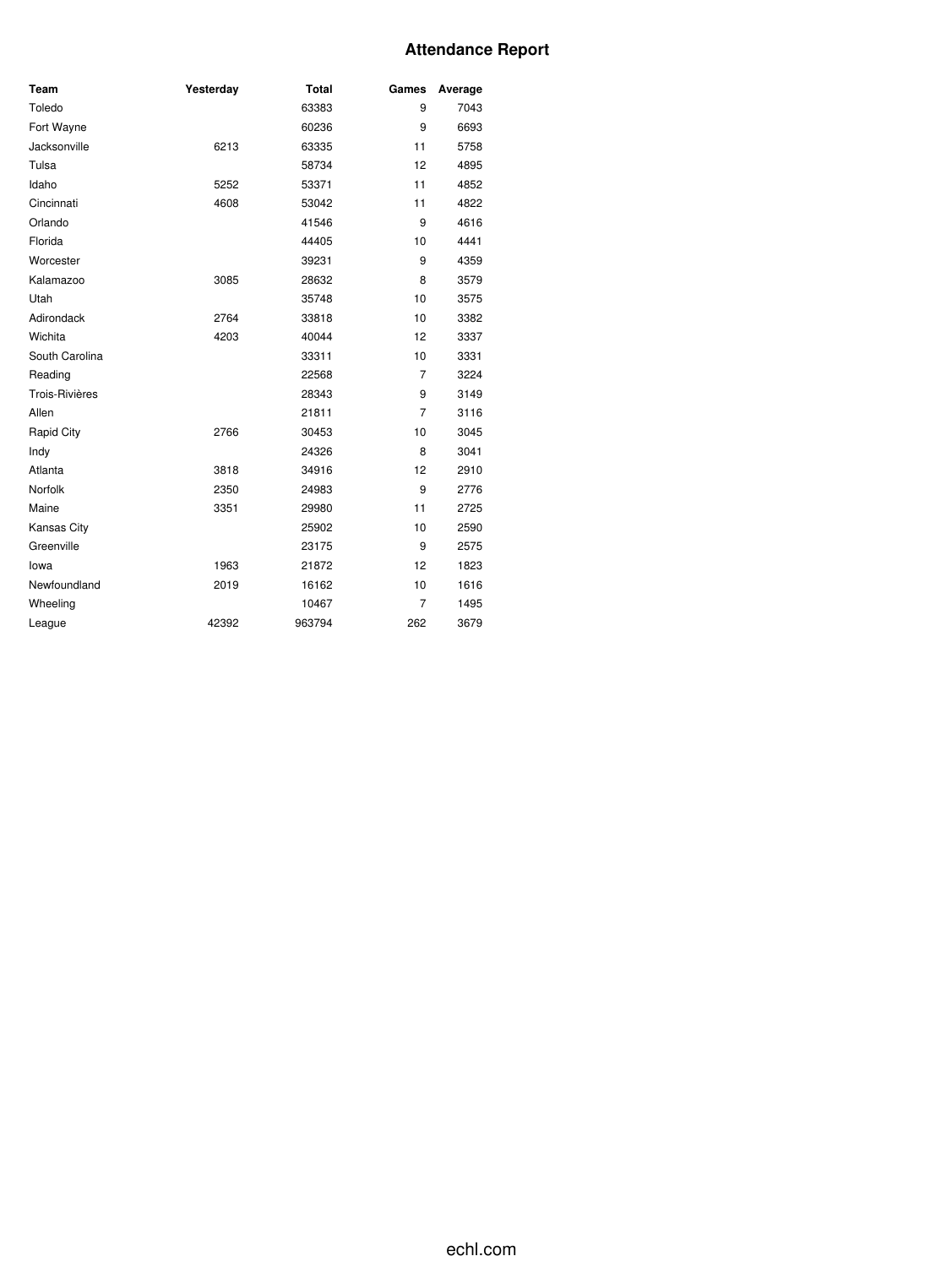# **Attendance Report**

| Team                  | Yesterday | <b>Total</b> | Games          | Average |
|-----------------------|-----------|--------------|----------------|---------|
| Toledo                |           | 63383        | 9              | 7043    |
| Fort Wayne            |           | 60236        | 9              | 6693    |
| Jacksonville          | 6213      | 63335        | 11             | 5758    |
| Tulsa                 |           | 58734        | 12             | 4895    |
| Idaho                 | 5252      | 53371        | 11             | 4852    |
| Cincinnati            | 4608      | 53042        | 11             | 4822    |
| Orlando               |           | 41546        | 9              | 4616    |
| Florida               |           | 44405        | 10             | 4441    |
| Worcester             |           | 39231        | 9              | 4359    |
| Kalamazoo             | 3085      | 28632        | 8              | 3579    |
| Utah                  |           | 35748        | 10             | 3575    |
| Adirondack            | 2764      | 33818        | 10             | 3382    |
| Wichita               | 4203      | 40044        | 12             | 3337    |
| South Carolina        |           | 33311        | 10             | 3331    |
| Reading               |           | 22568        | $\overline{7}$ | 3224    |
| <b>Trois-Rivières</b> |           | 28343        | 9              | 3149    |
| Allen                 |           | 21811        | $\overline{7}$ | 3116    |
| Rapid City            | 2766      | 30453        | 10             | 3045    |
| Indy                  |           | 24326        | 8              | 3041    |
| Atlanta               | 3818      | 34916        | 12             | 2910    |
| Norfolk               | 2350      | 24983        | 9              | 2776    |
| Maine                 | 3351      | 29980        | 11             | 2725    |
| Kansas City           |           | 25902        | 10             | 2590    |
| Greenville            |           | 23175        | 9              | 2575    |
| lowa                  | 1963      | 21872        | 12             | 1823    |
| Newfoundland          | 2019      | 16162        | 10             | 1616    |
| Wheeling              |           | 10467        | 7              | 1495    |
| League                | 42392     | 963794       | 262            | 3679    |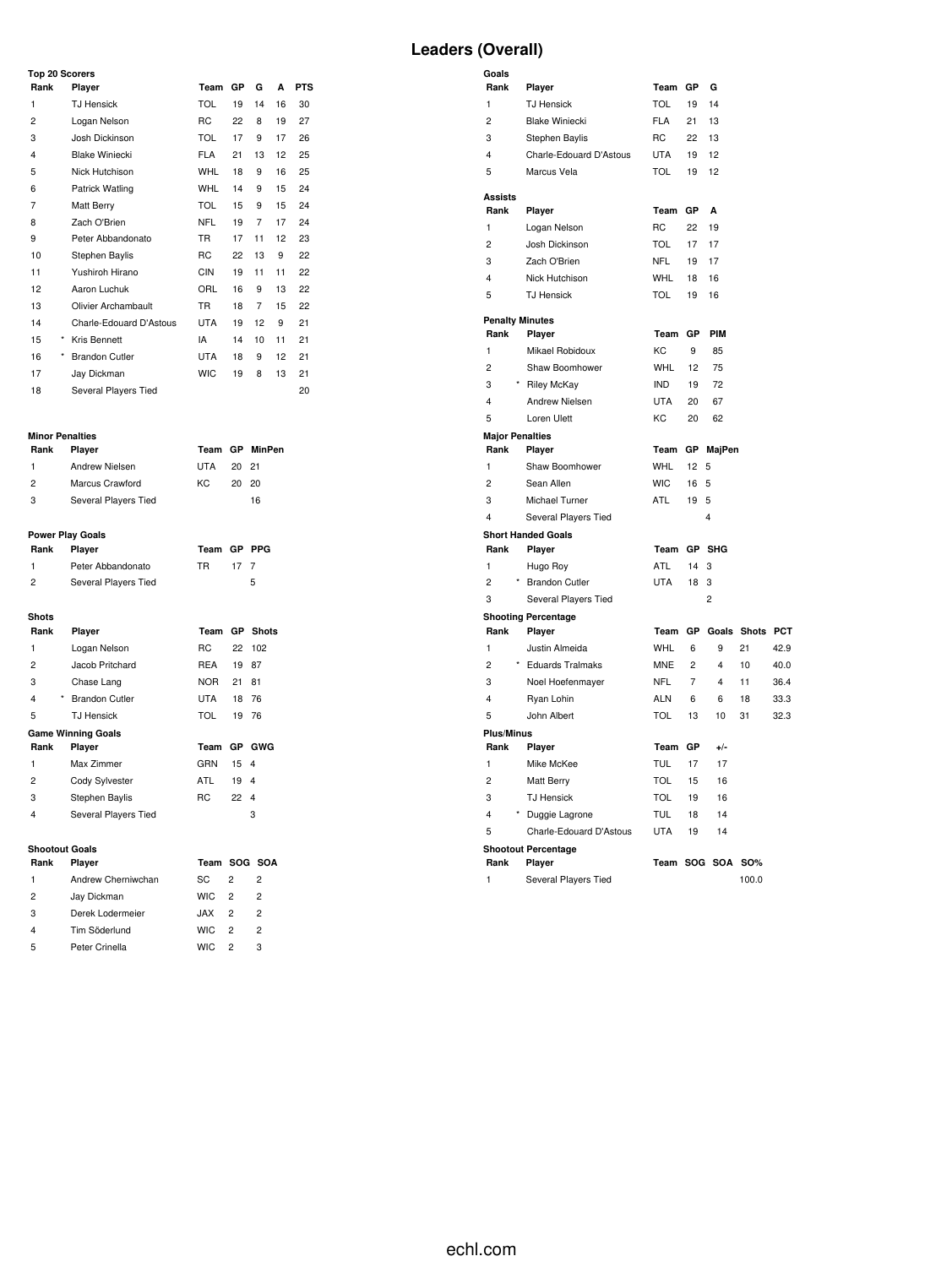# **Leaders (Overall)**

| <b>Top 20 Scorers</b> |                         |            |    |    |    |            |  |  |  |  |  |  |
|-----------------------|-------------------------|------------|----|----|----|------------|--|--|--|--|--|--|
| Rank                  | Player                  | Team       | GР | G  | A  | <b>PTS</b> |  |  |  |  |  |  |
| 1                     | <b>TJ Hensick</b>       | <b>TOL</b> | 19 | 14 | 16 | 30         |  |  |  |  |  |  |
| 2                     | Logan Nelson            | <b>RC</b>  | 22 | 8  | 19 | 27         |  |  |  |  |  |  |
| 3                     | Josh Dickinson          | <b>TOL</b> | 17 | 9  | 17 | 26         |  |  |  |  |  |  |
| 4                     | <b>Blake Winiecki</b>   | <b>FLA</b> | 21 | 13 | 12 | 25         |  |  |  |  |  |  |
| 5                     | Nick Hutchison          | <b>WHL</b> | 18 | 9  | 16 | 25         |  |  |  |  |  |  |
| 6                     | Patrick Watling         | <b>WHL</b> | 14 | 9  | 15 | 24         |  |  |  |  |  |  |
| $\overline{7}$        | <b>Matt Berry</b>       | <b>TOL</b> | 15 | 9  | 15 | 24         |  |  |  |  |  |  |
| 8                     | Zach O'Brien            | <b>NFL</b> | 19 | 7  | 17 | 24         |  |  |  |  |  |  |
| 9                     | Peter Abbandonato       | <b>TR</b>  | 17 | 11 | 12 | 23         |  |  |  |  |  |  |
| 10                    | Stephen Baylis          | <b>RC</b>  | 22 | 13 | 9  | 22         |  |  |  |  |  |  |
| 11                    | Yushiroh Hirano         | <b>CIN</b> | 19 | 11 | 11 | 22         |  |  |  |  |  |  |
| 12                    | Aaron Luchuk            | ORL        | 16 | 9  | 13 | 22         |  |  |  |  |  |  |
| 13                    | Olivier Archambault     | <b>TR</b>  | 18 | 7  | 15 | 22         |  |  |  |  |  |  |
| 14                    | Charle-Edouard D'Astous | <b>UTA</b> | 19 | 12 | 9  | 21         |  |  |  |  |  |  |
| 15<br>*               | Kris Bennett            | IA         | 14 | 10 | 11 | 21         |  |  |  |  |  |  |
| *<br>16               | <b>Brandon Cutler</b>   | <b>UTA</b> | 18 | 9  | 12 | 21         |  |  |  |  |  |  |
| 17                    | Jay Dickman             | <b>WIC</b> | 19 | 8  | 13 | 21         |  |  |  |  |  |  |
| 18                    | Several Players Tied    |            |    |    |    | 20         |  |  |  |  |  |  |

#### **Minor Penalties**

| Rank           | Player               |     |       | Team GP MinPen |
|----------------|----------------------|-----|-------|----------------|
| -1.            | Andrew Nielsen       | UTA | 20 21 |                |
| $\overline{2}$ | Marcus Crawford      | KC. | 20 20 |                |
| 3              | Several Players Tied |     |       | 16             |
|                |                      |     |       |                |

### **Power Play Goals**

| Rank          | <b>Plaver</b>        | Team GP PPG |      |   |
|---------------|----------------------|-------------|------|---|
|               | Peter Abbandonato    | TR.         | 17 7 |   |
| $\mathcal{P}$ | Several Players Tied |             |      | 5 |

# Shots<br>Rank Player

| Rank | Player                           |             |              | Team GP Shots |
|------|----------------------------------|-------------|--------------|---------------|
| 1    | Logan Nelson                     | <b>RC</b>   |              | 22 102        |
| 2    | Jacob Pritchard                  | REA         | 19 87        |               |
| 3    | Chase Lang                       | <b>NOR</b>  | 21           | 81            |
| 4    | <b>Brandon Cutler</b><br>$\star$ | UTA         |              | 18 76         |
| 5    | <b>TJ</b> Hensick                | TOL         |              | 19 76         |
|      | <b>Game Winning Goals</b>        |             |              |               |
| Rank | Player                           | Team GP GWG |              |               |
| 1    | Max Zimmer                       | GRN         | 15 4         |               |
| 2    | Cody Sylvester                   | ATL         | 19 4         |               |
| 3    | Stephen Baylis                   | RC.         | $22 \quad 4$ |               |
| 4    | Several Players Tied             |             |              | 3             |

#### **Shootout Goals**

| <b>Shootout Goals</b> |                    |              |                |                |
|-----------------------|--------------------|--------------|----------------|----------------|
| Rank                  | Player             | Team SOG SOA |                |                |
| 1                     | Andrew Cherniwchan | SC.          | 2              | 2              |
| 2                     | Jay Dickman        | <b>WIC</b>   | $\overline{2}$ | $\overline{2}$ |
| 3                     | Derek Lodermeier   | .IAX         | 2              | 2              |
| 4                     | Tim Söderlund      | WIC.         | 2              | 2              |
| 5                     | Peter Crinella     | <b>WIC</b>   | 2              | з              |

| Goals                          |                                             |                          |                |                         |              |            |
|--------------------------------|---------------------------------------------|--------------------------|----------------|-------------------------|--------------|------------|
| Rank                           | Player                                      | Team                     | GP             | G                       |              |            |
| $\mathbf{1}$                   | <b>TJ Hensick</b>                           | <b>TOL</b>               | 19             | 14                      |              |            |
| $\overline{c}$                 | <b>Blake Winiecki</b>                       | <b>FLA</b>               | 21             | 13                      |              |            |
| 3                              | Stephen Baylis                              | <b>RC</b>                | 22             | 13                      |              |            |
| $\overline{\mathbf{4}}$        | Charle-Edouard D'Astous                     | <b>UTA</b>               | 19             | 12                      |              |            |
| 5                              | Marcus Vela                                 | <b>TOL</b>               | 19             | 12                      |              |            |
| <b>Assists</b>                 |                                             |                          |                |                         |              |            |
| Rank                           | Player                                      | Team                     | GP             | A                       |              |            |
| 1                              | Logan Nelson                                | RC                       | 22             | 19                      |              |            |
| $\overline{c}$                 | Josh Dickinson                              | <b>TOL</b>               | 17             | 17                      |              |            |
| 3                              | Zach O'Brien                                | <b>NFL</b>               | 19             | 17                      |              |            |
| 4                              | Nick Hutchison                              | WHL                      | 18             | 16                      |              |            |
| 5                              | <b>TJ Hensick</b>                           | <b>TOL</b>               | 19             | 16                      |              |            |
|                                |                                             |                          |                |                         |              |            |
| <b>Penalty Minutes</b><br>Rank | Player                                      | Team                     | GP             | PIM                     |              |            |
| $\mathbf{1}$                   | Mikael Robidoux                             | KC                       | 9              | 85                      |              |            |
| $\overline{c}$                 | Shaw Boomhower                              | <b>WHL</b>               | 12             | 75                      |              |            |
| 3                              | * Riley McKay                               | <b>IND</b>               | 19             | 72                      |              |            |
| 4                              | Andrew Nielsen                              | <b>UTA</b>               | 20             | 67                      |              |            |
| 5                              | Loren Ulett                                 | KC                       | 20             | 62                      |              |            |
| <b>Major Penalties</b>         |                                             |                          |                |                         |              |            |
| Rank                           | Player                                      | Team                     | GP             | MajPen                  |              |            |
| $\mathbf{1}$                   | Shaw Boomhower                              | <b>WHL</b>               | 12             | 5                       |              |            |
| $\overline{2}$                 | Sean Allen                                  | <b>WIC</b>               | 16             | 5                       |              |            |
| 3                              | Michael Turner                              | <b>ATL</b>               | 19             | 5                       |              |            |
| $\overline{\mathbf{4}}$        | Several Players Tied                        |                          |                | 4                       |              |            |
|                                | <b>Short Handed Goals</b>                   |                          |                |                         |              |            |
| Rank                           | Player                                      | Team                     | GP             | <b>SHG</b>              |              |            |
| 1                              | Hugo Roy                                    | ATL                      | 14             | 3                       |              |            |
| $\overline{c}$                 | <b>Brandon Cutler</b>                       | <b>UTA</b>               | 18             | 3                       |              |            |
| 3                              | Several Players Tied                        |                          |                | $\overline{2}$          |              |            |
|                                | <b>Shooting Percentage</b>                  |                          |                |                         |              |            |
| Rank                           | Player                                      | Team                     | GP             | Goals                   | <b>Shots</b> | <b>PCT</b> |
| $\mathbf{1}$                   | Justin Almeida                              | <b>WHL</b>               | 6              | 9                       | 21           | 42.9       |
| $\overline{c}$                 | * Eduards Tralmaks                          | <b>MNE</b>               | $\overline{c}$ | $\overline{\mathbf{4}}$ | 10           | 40.0       |
| 3                              | Noel Hoefenmayer                            | <b>NFL</b>               | $\overline{7}$ | 4                       | 11           | 36.4       |
| $\overline{\mathbf{4}}$        | Ryan Lohin                                  | <b>ALN</b>               | 6              | 6                       | 18           | 33.3       |
| 5                              | John Albert                                 | TOL                      | 13             | 10                      | 31           | 32.3       |
| <b>Plus/Minus</b><br>Rank      |                                             | Team                     | GP             | $+/-$                   |              |            |
|                                | Player                                      |                          |                |                         |              |            |
| 1<br>$\overline{c}$            | Mike McKee<br>Matt Berry                    | <b>TUL</b><br><b>TOL</b> | 17<br>15       | 17<br>16                |              |            |
| 3                              | <b>TJ Hensick</b>                           | <b>TOL</b>               | 19             | 16                      |              |            |
| 4                              |                                             |                          |                | 14                      |              |            |
| 5                              | * Duggie Lagrone<br>Charle-Edouard D'Astous | <b>TUL</b><br><b>UTA</b> | 18             | 14                      |              |            |
|                                | <b>Shootout Percentage</b>                  |                          | 19             |                         |              |            |
| Rank                           | Player                                      |                          |                | Team SOG SOA            | <b>SO%</b>   |            |
| $\mathbf{1}$                   | Several Players Tied                        |                          |                |                         | 100.0        |            |
|                                |                                             |                          |                |                         |              |            |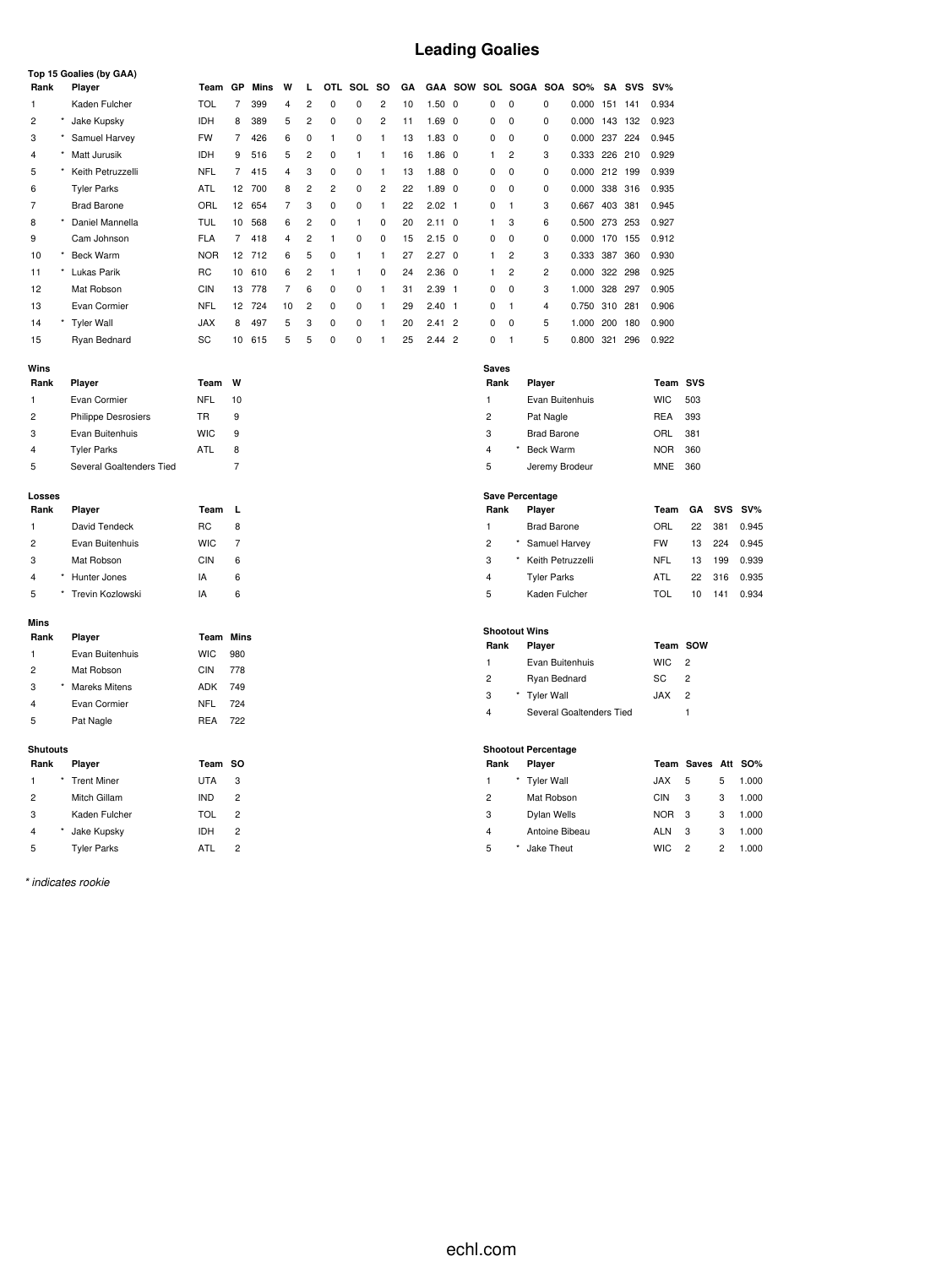# **Leading Goalies**

| Rank                       | Top 15 Goalies (by GAA)<br>Player | Team       | GP             | <b>Mins</b> | W              | г                       | OTL            | SOL          | <b>SO</b>               | GΑ       |                   | <b>GAA SOW</b> |                         | SOL SOGA SOA               |                    | <b>SO%</b>               | SA  | SVS | $SV\%$     |                    |                |        |
|----------------------------|-----------------------------------|------------|----------------|-------------|----------------|-------------------------|----------------|--------------|-------------------------|----------|-------------------|----------------|-------------------------|----------------------------|--------------------|--------------------------|-----|-----|------------|--------------------|----------------|--------|
| $\mathbf{1}$               | Kaden Fulcher                     | <b>TOL</b> | $\overline{7}$ | 399         | $\overline{4}$ | $\overline{c}$          | 0              | $\mathbf 0$  | $\overline{c}$          | 10       | 1.50 0            |                | $\Omega$                | $\Omega$                   | 0                  | 0.000 151 141            |     |     | 0.934      |                    |                |        |
| $\overline{\mathbf{c}}$    | Jake Kupsky                       | IDH        | 8              | 389         | 5              | $\overline{\mathbf{c}}$ | $\mathbf 0$    | $\pmb{0}$    | $\overline{\mathbf{c}}$ |          | $1.69$ 0          |                | 0                       | $\pmb{0}$                  | 0                  | 0.000 143 132            |     |     | 0.923      |                    |                |        |
| 3                          | Samuel Harvey                     | <b>FW</b>  | 7              | 426         | 6              | 0                       | $\mathbf{1}$   | 0            | $\mathbf{1}$            | 11<br>13 | $1.83$ 0          |                | 0                       | $\mathbf 0$                | 0                  | 0.000 237                |     | 224 | 0.945      |                    |                |        |
| $\overline{4}$<br>$^\star$ | Matt Jurusik                      | <b>IDH</b> | 9              | 516         | 5              | $\overline{2}$          | 0              | $\mathbf{1}$ | 1                       | 16       | $1.86$ 0          |                | 1                       | $\overline{2}$             | 3                  | 0.333 226                |     | 210 | 0.929      |                    |                |        |
| 5                          | Keith Petruzzelli                 | <b>NFL</b> | $\overline{7}$ | 415         | $\overline{4}$ | 3                       | 0              | 0            | $\mathbf{1}$            | 13       | $1.88$ 0          |                | 0                       | $\mathbf 0$                | 0                  | 0.000 212 199            |     |     | 0.939      |                    |                |        |
| 6                          | <b>Tyler Parks</b>                | ATL        | 12             | 700         | 8              | 2                       | $\overline{c}$ | 0            | $\overline{c}$          | 22       | 1.89 <sub>0</sub> |                | 0                       | 0                          | 0                  | 0.000                    | 338 | 316 | 0.935      |                    |                |        |
| 7                          | <b>Brad Barone</b>                | ORL        | 12             | 654         | 7              | 3                       | 0              | $\mathbf 0$  | $\mathbf{1}$            | 22       | $2.02$ 1          |                | 0                       | $\mathbf{1}$               | 3                  | 0.667 403                |     | 381 | 0.945      |                    |                |        |
| 8                          | Daniel Mannella                   | <b>TUL</b> | 10             | 568         | 6              | $\overline{2}$          | 0              | $\mathbf{1}$ | 0                       | 20       | $2.11$ 0          |                | 1                       | 3                          | 6                  | 0.500 273 253            |     |     | 0.927      |                    |                |        |
| 9                          | Cam Johnson                       | <b>FLA</b> | $\overline{7}$ | 418         | 4              | $\overline{\mathbf{c}}$ | 1              | $\pmb{0}$    | $\pmb{0}$               | 15       | $2.15$ 0          |                | 0                       | $\mathbf 0$                | 0                  | 0.000 170 155            |     |     | 0.912      |                    |                |        |
| 10                         | Beck Warm                         | <b>NOR</b> | 12             | 712         | 6              | 5                       | 0              | $\mathbf{1}$ | $\mathbf{1}$            | 27       | $2.27 \quad 0$    |                | $\mathbf{1}$            | $\overline{2}$             | 3                  | 0.333 387                |     | 360 | 0.930      |                    |                |        |
| $\star$<br>11              | Lukas Parik                       | <b>RC</b>  | 10             | 610         | 6              | $\overline{2}$          | $\mathbf{1}$   | $\mathbf{1}$ | $\mathbf 0$             | 24       | $2.36$ 0          |                | $\mathbf{1}$            | $\overline{2}$             | $\overline{2}$     | 0.000                    | 322 | 298 | 0.925      |                    |                |        |
| 12                         | Mat Robson                        | <b>CIN</b> | 13             | 778         | 7              | 6                       | 0              | 0            | $\mathbf{1}$            | 31       | $2.39$ 1          |                | 0                       | $\mathbf 0$                | 3                  | 1.000 328 297            |     |     | 0.905      |                    |                |        |
| 13                         | Evan Cormier                      | <b>NFL</b> | 12             | 724         | 10             | $\overline{c}$          | 0              | 0            | 1                       | 29       | $2.40$ 1          |                | 0                       | $\mathbf{1}$               | 4                  | 0.750 310                |     | 281 | 0.906      |                    |                |        |
| 14                         | <b>Tyler Wall</b>                 | <b>JAX</b> | 8              | 497         | 5              | 3                       | 0              | 0            | 1                       | 20       | 2.412             |                | 0                       | 0                          | 5                  | 1.000 200                |     | 180 | 0.900      |                    |                |        |
| 15                         | Ryan Bednard                      | SC         | 10             | 615         | 5              | 5                       | 0              | $\mathbf 0$  | $\mathbf{1}$            | 25       | $2.44$ 2          |                | 0                       | $\mathbf{1}$               | 5                  | 0.800 321                |     | 296 | 0.922      |                    |                |        |
|                            |                                   |            |                |             |                |                         |                |              |                         |          |                   |                |                         |                            |                    |                          |     |     |            |                    |                |        |
| Wins                       |                                   |            |                |             |                |                         |                |              |                         |          |                   |                | <b>Saves</b>            |                            |                    |                          |     |     |            |                    |                |        |
| Rank                       | Player                            | Team       | W              |             |                |                         |                |              |                         |          |                   |                | Rank                    |                            | Player             |                          |     |     | Team SVS   |                    |                |        |
| 1                          | Evan Cormier                      | <b>NFL</b> | 10             |             |                |                         |                |              |                         |          |                   |                | $\mathbf{1}$            |                            |                    | Evan Buitenhuis          |     |     | <b>WIC</b> | 503                |                |        |
| 2                          | <b>Philippe Desrosiers</b>        | TR         | 9              |             |                |                         |                |              |                         |          |                   |                | 2                       |                            | Pat Nagle          |                          |     |     | <b>REA</b> | 393                |                |        |
| 3                          | Evan Buitenhuis                   | <b>WIC</b> | 9              |             |                |                         |                |              |                         |          |                   |                | 3                       |                            | <b>Brad Barone</b> |                          |     |     | ORL        | 381                |                |        |
| $\overline{4}$             | <b>Tyler Parks</b>                | <b>ATL</b> | 8              |             |                |                         |                |              |                         |          |                   |                | $\overline{4}$          |                            | <b>Beck Warm</b>   |                          |     |     | <b>NOR</b> | 360                |                |        |
| 5                          | Several Goaltenders Tied          |            | $\overline{7}$ |             |                |                         |                |              |                         |          |                   |                | 5                       |                            | Jeremy Brodeur     |                          |     |     | MNE        | 360                |                |        |
|                            |                                   |            |                |             |                |                         |                |              |                         |          |                   |                |                         | <b>Save Percentage</b>     |                    |                          |     |     |            |                    |                |        |
| Losses<br>Rank             | Player                            | Team       | L              |             |                |                         |                |              |                         |          |                   |                | Rank                    |                            | Player             |                          |     |     | Team       | GΑ                 | <b>SVS</b>     | $SV\%$ |
| 1                          | David Tendeck                     | <b>RC</b>  | 8              |             |                |                         |                |              |                         |          |                   |                | $\mathbf{1}$            |                            | <b>Brad Barone</b> |                          |     |     | ORL        | 22                 | 381            | 0.945  |
| $\overline{c}$             | Evan Buitenhuis                   | <b>WIC</b> | 7              |             |                |                         |                |              |                         |          |                   |                | $\overline{c}$          |                            | Samuel Harvey      |                          |     |     | <b>FW</b>  | 13                 | 224            | 0.945  |
| 3                          | Mat Robson                        | <b>CIN</b> | 6              |             |                |                         |                |              |                         |          |                   |                | 3                       |                            | Keith Petruzzelli  |                          |     |     | NFL        | 13                 | 199            | 0.939  |
| $\overline{4}$             | Hunter Jones                      | IA         | 6              |             |                |                         |                |              |                         |          |                   |                | $\overline{4}$          |                            | <b>Tyler Parks</b> |                          |     |     | <b>ATL</b> | 22                 | 316            | 0.935  |
| 5                          | Trevin Kozlowski                  | IA         | 6              |             |                |                         |                |              |                         |          |                   |                | 5                       |                            | Kaden Fulcher      |                          |     |     | <b>TOL</b> | 10                 | 141            | 0.934  |
|                            |                                   |            |                |             |                |                         |                |              |                         |          |                   |                |                         |                            |                    |                          |     |     |            |                    |                |        |
| Mins                       |                                   |            |                |             |                |                         |                |              |                         |          |                   |                |                         | <b>Shootout Wins</b>       |                    |                          |     |     |            |                    |                |        |
| Rank                       | Player                            | Team       | Mins           |             |                |                         |                |              |                         |          |                   |                | Rank                    |                            | Player             |                          |     |     | Team SOW   |                    |                |        |
| $\mathbf{1}$               | Evan Buitenhuis                   | <b>WIC</b> | 980            |             |                |                         |                |              |                         |          |                   |                | $\mathbf{1}$            |                            |                    | Evan Buitenhuis          |     |     | <b>WIC</b> | $\overline{2}$     |                |        |
| $\overline{2}$             | Mat Robson                        | <b>CIN</b> | 778            |             |                |                         |                |              |                         |          |                   |                | $\overline{c}$          |                            | Ryan Bednard       |                          |     |     | SC         | $\overline{2}$     |                |        |
| 3                          | <b>Mareks Mitens</b>              | ADK        | 749            |             |                |                         |                |              |                         |          |                   |                | 3                       |                            | <b>Tyler Wall</b>  |                          |     |     | <b>JAX</b> | $\sqrt{2}$         |                |        |
| 4                          | Evan Cormier                      | <b>NFL</b> | 724            |             |                |                         |                |              |                         |          |                   |                | $\overline{4}$          |                            |                    | Several Goaltenders Tied |     |     |            | $\mathbf{1}$       |                |        |
| 5                          | Pat Nagle                         | <b>REA</b> | 722            |             |                |                         |                |              |                         |          |                   |                |                         |                            |                    |                          |     |     |            |                    |                |        |
| <b>Shutouts</b>            |                                   |            |                |             |                |                         |                |              |                         |          |                   |                |                         | <b>Shootout Percentage</b> |                    |                          |     |     |            |                    |                |        |
| Rank                       | Player                            | Team       | <b>SO</b>      |             |                |                         |                |              |                         |          |                   |                | Rank                    |                            | Player             |                          |     |     |            | Team Saves Att SO% |                |        |
| $\mathbf{1}$               | <b>Trent Miner</b>                | <b>UTA</b> | 3              |             |                |                         |                |              |                         |          |                   |                | $\mathbf{1}$            |                            | <b>Tyler Wall</b>  |                          |     |     | <b>JAX</b> | 5                  | 5              | 1.000  |
| $\overline{\mathbf{c}}$    | Mitch Gillam                      | <b>IND</b> | $\overline{c}$ |             |                |                         |                |              |                         |          |                   |                | $\overline{\mathbf{c}}$ |                            | Mat Robson         |                          |     |     | <b>CIN</b> | 3                  | 3              | 1.000  |
| 3                          | Kaden Fulcher                     | <b>TOL</b> | $\overline{c}$ |             |                |                         |                |              |                         |          |                   |                | 3                       |                            | Dylan Wells        |                          |     |     | <b>NOR</b> | 3                  | 3              | 1.000  |
| $\overline{4}$             | Jake Kupsky                       | IDH        | $\overline{2}$ |             |                |                         |                |              |                         |          |                   |                | $\overline{4}$          |                            | Antoine Bibeau     |                          |     |     | <b>ALN</b> | 3                  | 3              | 1.000  |
| 5                          | <b>Tyler Parks</b>                | <b>ATL</b> | $\overline{c}$ |             |                |                         |                |              |                         |          |                   |                | 5                       |                            | Jake Theut         |                          |     |     | <b>WIC</b> | $\overline{2}$     | $\overline{c}$ | 1.000  |
|                            |                                   |            |                |             |                |                         |                |              |                         |          |                   |                |                         |                            |                    |                          |     |     |            |                    |                |        |

*\* indicates rookie*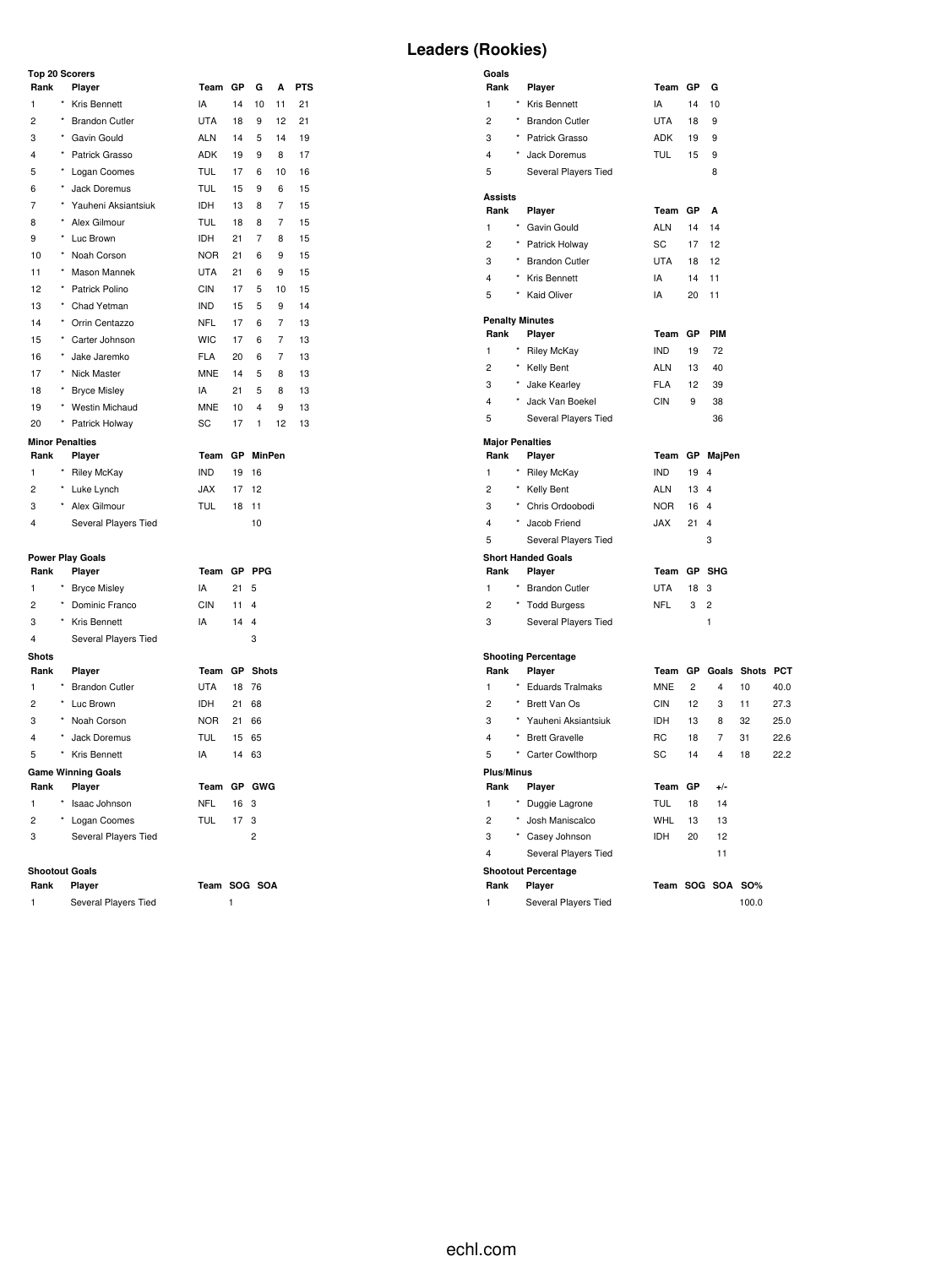### Top 2

| <b>Top 20 Scorers</b> |            |                         |             |           |               |    |            |  |  |  |
|-----------------------|------------|-------------------------|-------------|-----------|---------------|----|------------|--|--|--|
| Rank                  |            | Player                  | Team        | GP        | G             | A  | <b>PTS</b> |  |  |  |
| 1                     | $\star$    | Kris Bennett            | IA          | 14        | 10            | 11 | 21         |  |  |  |
| $\overline{2}$        | $^\star$   | <b>Brandon Cutler</b>   | UTA         | 18        | 9             | 12 | 21         |  |  |  |
| 3                     | $^{\star}$ | Gavin Gould             | <b>ALN</b>  | 14        | 5             | 14 | 19         |  |  |  |
| 4                     | $\star$    | Patrick Grasso          | ADK         | 19        | 9             | 8  | 17         |  |  |  |
| 5                     | *          | Logan Coomes            | TUL         | 17        | 6             | 10 | 16         |  |  |  |
| 6                     | $\star$    | Jack Doremus            | <b>TUL</b>  | 15        | 9             | 6  | 15         |  |  |  |
| 7                     |            | * Yauheni Aksiantsiuk   | <b>IDH</b>  | 13        | 8             | 7  | 15         |  |  |  |
| 8                     | $\star$    | Alex Gilmour            | <b>TUL</b>  | 18        | 8             | 7  | 15         |  |  |  |
| 9                     | ×          | Luc Brown               | <b>IDH</b>  | 21        | 7             | 8  | 15         |  |  |  |
| 10                    | $^\star$   | Noah Corson             | NOR.        | 21        | 6             | 9  | 15         |  |  |  |
| 11                    | $\star$    | Mason Mannek            | UTA         | 21        | 6             | 9  | 15         |  |  |  |
| 12                    | $\star$    | Patrick Polino          | <b>CIN</b>  | 17        | 5             | 10 | 15         |  |  |  |
| 13                    | $^\star$   | Chad Yetman             | <b>IND</b>  | 15        | 5             | 9  | 14         |  |  |  |
| 14                    | $\star$    | Orrin Centazzo          | NFL.        | 17        | 6             | 7  | 13         |  |  |  |
| 15                    | *          | Carter Johnson          | <b>WIC</b>  | 17        | 6             | 7  | 13         |  |  |  |
| 16                    | *          | Jake Jaremko            | <b>FLA</b>  | 20        | 6             | 7  | 13         |  |  |  |
| 17                    | *          | Nick Master             | <b>MNE</b>  | 14        | 5             | 8  | 13         |  |  |  |
| 18                    | $\star$    | <b>Bryce Misley</b>     | IA          | 21        | 5             | 8  | 13         |  |  |  |
| 19                    |            | * Westin Michaud        | <b>MNE</b>  | 10        | 4             | 9  | 13         |  |  |  |
| 20                    | *          | Patrick Holway          | SC          | 17        | 1             | 12 | 13         |  |  |  |
|                       |            | <b>Minor Penalties</b>  |             |           |               |    |            |  |  |  |
| Rank                  |            | Player                  | Team        | <b>GP</b> | <b>MinPen</b> |    |            |  |  |  |
| 1                     |            | <b>Riley McKay</b>      | <b>IND</b>  | 19        | 16            |    |            |  |  |  |
| 2                     | $^{\star}$ | Luke Lynch              | <b>JAX</b>  | 17        | 12            |    |            |  |  |  |
| 3                     | $^{\star}$ | Alex Gilmour            | <b>TUL</b>  | 18        | 11            |    |            |  |  |  |
| 4                     |            | Several Players Tied    |             |           | 10            |    |            |  |  |  |
|                       |            | <b>Power Play Goals</b> |             |           |               |    |            |  |  |  |
| Rank                  |            | Player                  | Team GP PPG |           |               |    |            |  |  |  |

|              | <b>Power Play Goals</b> |                           |             |           |                |  |  |  |  |  |  |
|--------------|-------------------------|---------------------------|-------------|-----------|----------------|--|--|--|--|--|--|
| Rank         |                         | Player                    | Team GP PPG |           |                |  |  |  |  |  |  |
| 1            | $\star$                 | <b>Bryce Misley</b>       | IA          | 21        | 5              |  |  |  |  |  |  |
| 2            | $\star$                 | Dominic Franco            | CIN         | 11        | 4              |  |  |  |  |  |  |
| 3            | $\star$                 | Kris Bennett              | IA          | 14        | 4              |  |  |  |  |  |  |
| 4            |                         | Several Players Tied      |             |           | 3              |  |  |  |  |  |  |
| <b>Shots</b> |                         |                           |             |           |                |  |  |  |  |  |  |
| Rank         |                         | Player                    | Team        | <b>GP</b> | <b>Shots</b>   |  |  |  |  |  |  |
| 1            | $^{\star}$              | <b>Brandon Cutler</b>     | UTA         | 18        | 76             |  |  |  |  |  |  |
| 2            | $\star$                 | Luc Brown                 | IDH         | 21        | 68             |  |  |  |  |  |  |
| 3            | $^{\star}$              | Noah Corson               | NOR         | 21        | 66             |  |  |  |  |  |  |
| 4            | $\star$                 | Jack Doremus              | TUL         | 15        | 65             |  |  |  |  |  |  |
| 5            | $^{\star}$              | Kris Bennett              | IA          | 14        | 63             |  |  |  |  |  |  |
|              |                         | <b>Game Winning Goals</b> |             |           |                |  |  |  |  |  |  |
| Rank         |                         | Player                    | Team GP     |           | GWG            |  |  |  |  |  |  |
| 1            | $\star$                 | Isaac Johnson             | NFL         | 16        | 3              |  |  |  |  |  |  |
| 2            | $\star$                 | Logan Coomes              | TUL         | 17        | 3              |  |  |  |  |  |  |
| 3            |                         | Several Players Tied      |             |           | $\overline{2}$ |  |  |  |  |  |  |
|              |                         |                           |             |           |                |  |  |  |  |  |  |

## **Shootout Goals**

**Rank Player Team SOG SOA** 1 Several Players Tied 1

# **Leaders (Rookies)**

| Goals<br>Rank          |            | Player                                 | Team GP           |                | G                   |                         |      |
|------------------------|------------|----------------------------------------|-------------------|----------------|---------------------|-------------------------|------|
| 1                      |            | * Kris Bennett                         | IA                | 14             | 10                  |                         |      |
| $\overline{c}$         |            | * Brandon Cutler                       | <b>UTA</b>        | 18             | 9                   |                         |      |
| 3                      |            | * Patrick Grasso                       | ADK               | 19             | 9                   |                         |      |
| 4                      | $^\star$   | Jack Doremus                           | <b>TUL</b>        | 15             | 9                   |                         |      |
| 5                      |            | Several Players Tied                   |                   |                | 8                   |                         |      |
|                        |            |                                        |                   |                |                     |                         |      |
| Assists<br>Rank        |            |                                        | Team              | GР             | A                   |                         |      |
| 1                      |            | Player<br>* Gavin Gould                | <b>ALN</b>        | 14             | 14                  |                         |      |
| $\overline{c}$         |            | * Patrick Holway                       | SC                | 17             | 12                  |                         |      |
| 3                      |            | * Brandon Cutler                       | <b>UTA</b>        | 18             | 12                  |                         |      |
| 4                      |            | * Kris Bennett                         | IA                | 14             | 11                  |                         |      |
| 5                      | $^{\star}$ | <b>Kaid Oliver</b>                     | IA                | 20             | 11                  |                         |      |
|                        |            |                                        |                   |                |                     |                         |      |
|                        |            | <b>Penalty Minutes</b>                 |                   |                |                     |                         |      |
| Rank                   |            | Player                                 | Team              | GР             | <b>PIM</b>          |                         |      |
| 1                      |            | <b>Riley McKay</b>                     | <b>IND</b>        | 19             | 72                  |                         |      |
| 2                      |            | * Kelly Bent                           | ALN               | 13             | 40                  |                         |      |
| 3                      |            | * Jake Kearley                         | FLA               | 12             | 39                  |                         |      |
| 4                      |            | Jack Van Boekel                        | CIN               | 9              | 38                  |                         |      |
| 5                      |            | Several Players Tied                   |                   |                | 36                  |                         |      |
| <b>Major Penalties</b> |            |                                        |                   |                |                     |                         |      |
| Rank                   |            | Player                                 | Team              |                | GP MajPen           |                         |      |
| 1                      |            | * Riley McKay                          | <b>IND</b>        | 19             | 4                   |                         |      |
| $\overline{c}$         |            | * Kelly Bent                           | ALN               | 13             | 4                   |                         |      |
| 3                      |            | * Chris Ordoobodi                      | NOR.              | 16             | 4                   |                         |      |
| 4                      |            | * Jacob Friend                         | JAX               | 21             | 4                   |                         |      |
| 5                      |            | Several Players Tied                   |                   |                | 3                   |                         |      |
|                        |            | <b>Short Handed Goals</b>              |                   |                |                     |                         |      |
| Rank<br>1              |            | Player<br>* Brandon Cutler             | Team GP SHG       |                |                     |                         |      |
| 2                      |            |                                        | <b>UTA</b><br>NFL | 18<br>3        | 3<br>$\overline{c}$ |                         |      |
| 3                      |            | * Todd Burgess<br>Several Players Tied |                   |                | 1                   |                         |      |
|                        |            |                                        |                   |                |                     |                         |      |
|                        |            | <b>Shooting Percentage</b>             |                   |                |                     |                         |      |
| Rank                   |            | Player                                 |                   |                |                     | Team GP Goals Shots PCT |      |
| $\mathbf{1}$           |            | * Eduards Tralmaks                     | <b>MNE</b>        | $\overline{c}$ | $\overline{4}$      | 10                      | 40.0 |
| $\overline{c}$         |            | * Brett Van Os                         | CIN               | 12             | 3                   | 11                      | 27.3 |
| 3                      | $^\star$   | Yauheni Aksiantsiuk                    | IDH               | 13             | 8                   | 32                      | 25.0 |
| 4                      |            | * Brett Gravelle                       | RC                | 18             | 7                   | 31                      | 22.6 |
| 5                      | $\star$    | Carter Cowlthorp                       | SC                | 14             | 4                   | 18                      | 22.2 |
| <b>Plus/Minus</b>      |            |                                        |                   |                |                     |                         |      |
| Rank                   |            | Player                                 | Team GP           |                | $+/-$               |                         |      |
| 1                      |            | Duggie Lagrone                         | TUL               | 18             | 14                  |                         |      |
| 2                      |            | * Josh Maniscalco                      | WHL               | 13             | 13                  |                         |      |
| 3                      |            | * Casey Johnson                        | IDH               | 20             | 12                  |                         |      |
| 4                      |            | Several Players Tied                   |                   |                | 11                  |                         |      |
|                        |            | <b>Shootout Percentage</b>             |                   |                |                     |                         |      |
| Rank                   |            | Player                                 |                   |                | Team SOG SOA        | SO%                     |      |
| 1                      |            | Several Players Tied                   |                   |                |                     | 100.0                   |      |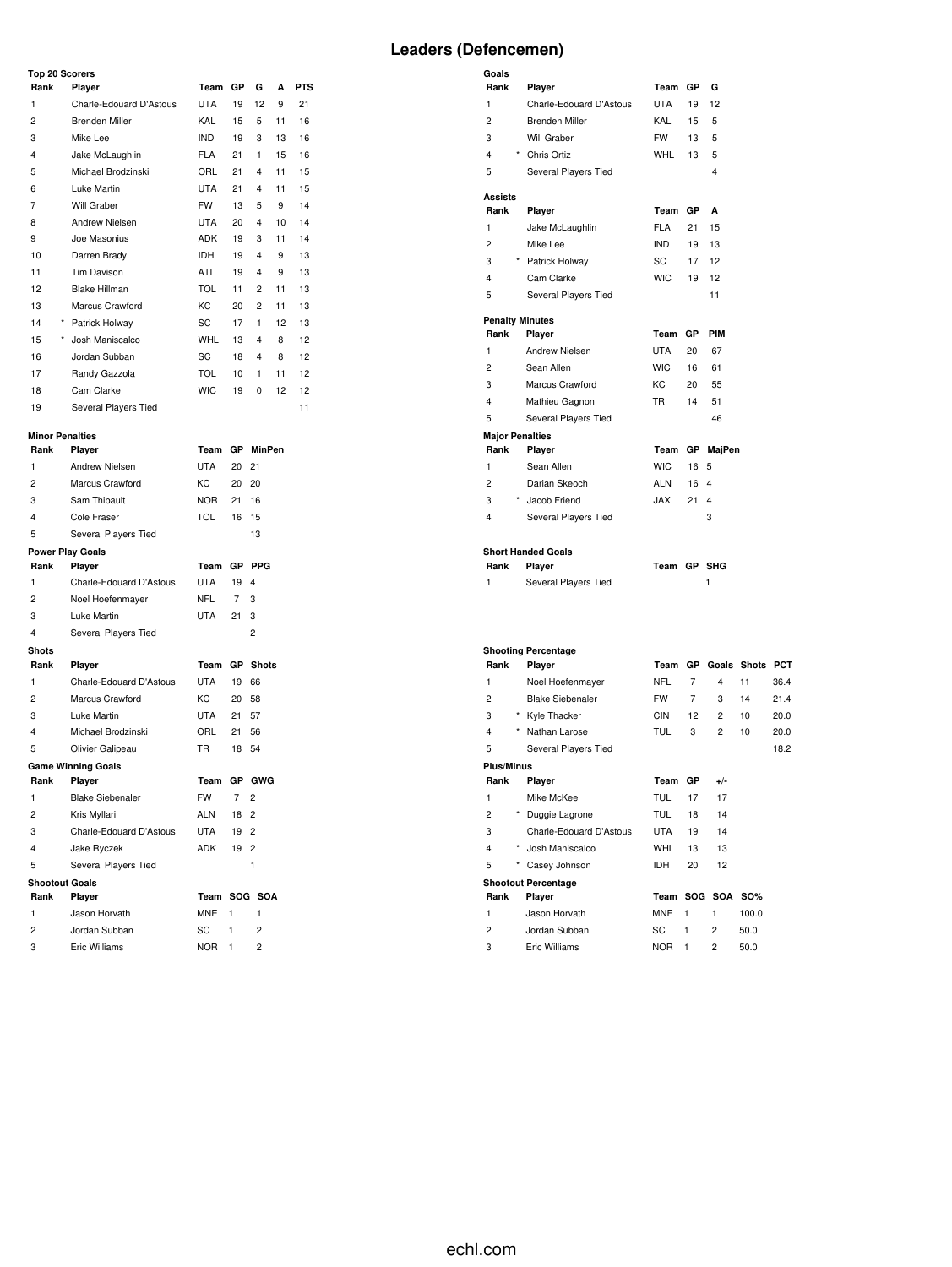#### **Top 20 Scorers**

|                        | <b>10p 20 Scorers</b> |                         |            |           |    |    |            |  |  |  |  |  |  |
|------------------------|-----------------------|-------------------------|------------|-----------|----|----|------------|--|--|--|--|--|--|
| Rank                   |                       | Player                  | Team       | <b>GP</b> | G  | A  | <b>PTS</b> |  |  |  |  |  |  |
| 1                      |                       | Charle-Edouard D'Astous | UTA        | 19        | 12 | 9  | 21         |  |  |  |  |  |  |
| $\overline{c}$         |                       | Brenden Miller          | KAL        | 15        | 5  | 11 | 16         |  |  |  |  |  |  |
| 3                      |                       | Mike Lee                | <b>IND</b> | 19        | 3  | 13 | 16         |  |  |  |  |  |  |
| 4                      |                       | Jake McLaughlin         | <b>FLA</b> | 21        | 1  | 15 | 16         |  |  |  |  |  |  |
| 5                      |                       | Michael Brodzinski      | ORL        | 21        | 4  | 11 | 15         |  |  |  |  |  |  |
| 6                      |                       | Luke Martin             | <b>UTA</b> | 21        | 4  | 11 | 15         |  |  |  |  |  |  |
| 7                      |                       | Will Graber             | <b>FW</b>  | 13        | 5  | 9  | 14         |  |  |  |  |  |  |
| 8                      |                       | <b>Andrew Nielsen</b>   | <b>UTA</b> | 20        | 4  | 10 | 14         |  |  |  |  |  |  |
| 9                      |                       | Joe Masonius            | <b>ADK</b> | 19        | 3  | 11 | 14         |  |  |  |  |  |  |
| 10                     |                       | Darren Brady            | <b>IDH</b> | 19        | 4  | 9  | 13         |  |  |  |  |  |  |
| 11                     |                       | Tim Davison             | <b>ATL</b> | 19        | 4  | 9  | 13         |  |  |  |  |  |  |
| 12                     |                       | <b>Blake Hillman</b>    | <b>TOL</b> | 11        | 2  | 11 | 13         |  |  |  |  |  |  |
| 13                     |                       | Marcus Crawford         | KC         | 20        | 2  | 11 | 13         |  |  |  |  |  |  |
| 14                     | ×                     | Patrick Holway          | SC         | 17        | 1  | 12 | 13         |  |  |  |  |  |  |
| 15                     | $\star$               | Josh Maniscalco         | <b>WHL</b> | 13        | 4  | 8  | 12         |  |  |  |  |  |  |
| 16                     |                       | Jordan Subban           | SC         | 18        | 4  | 8  | 12         |  |  |  |  |  |  |
| 17                     |                       | Randy Gazzola           | <b>TOL</b> | 10        | 1  | 11 | 12         |  |  |  |  |  |  |
| 18                     |                       | Cam Clarke              | <b>WIC</b> | 19        | 0  | 12 | 12         |  |  |  |  |  |  |
| 19                     |                       | Several Players Tied    |            |           |    |    | 11         |  |  |  |  |  |  |
| <b>Minor Penalties</b> |                       |                         |            |           |    |    |            |  |  |  |  |  |  |

| Rank                  | Player                    | Team       | GР             | MinPen         |
|-----------------------|---------------------------|------------|----------------|----------------|
| 1                     | Andrew Nielsen            | <b>UTA</b> | 20             | 21             |
| 2                     | Marcus Crawford           | КC         | 20             | 20             |
| 3                     | Sam Thibault              | NOR.       | 21             | 16             |
| 4                     | Cole Fraser               | <b>TOL</b> | 16             | 15             |
| 5                     | Several Players Tied      |            |                | 13             |
|                       | <b>Power Play Goals</b>   |            |                |                |
| Rank                  | Player                    | Team       |                | GP PPG         |
| 1                     | Charle-Edouard D'Astous   | <b>UTA</b> | 19             | 4              |
| $\overline{2}$        | Noel Hoefenmayer          | NFL        | $\overline{7}$ | 3              |
| 3                     | Luke Martin               | UTA        | 21             | 3              |
| 4                     | Several Players Tied      |            |                | 2              |
| <b>Shots</b>          |                           |            |                |                |
| Rank                  | Player                    | Team       | <b>GP</b>      | <b>Shots</b>   |
| 1                     | Charle-Edouard D'Astous   | UTA        | 19             | 66             |
| 2                     | Marcus Crawford           | KC         | 20             | 58             |
| 3                     | Luke Martin               | UTA        | 21             | 57             |
| 4                     | Michael Brodzinski        | ORL        | 21             | 56             |
| 5                     | Olivier Galipeau          | TR.        | 18             | 54             |
|                       | <b>Game Winning Goals</b> |            |                |                |
| Rank                  | Player                    | Team       |                | GP GWG         |
| 1                     | <b>Blake Siebenaler</b>   | <b>FW</b>  | 7              | $\overline{2}$ |
| 2                     | Kris Myllari              | ALN        | 18             | $\overline{2}$ |
| 3                     | Charle-Edouard D'Astous   | UTA        | 19             | $\overline{2}$ |
| 4                     | Jake Ryczek               | <b>ADK</b> | 19             | 2              |
| 5                     | Several Players Tied      |            |                | 1              |
| <b>Shootout Goals</b> |                           |            |                |                |
| Rank                  | Player                    |            |                | Team SOG SOA   |
| 1                     | Jason Horvath             | MNE        | 1              | 1              |
| 2                     | Jordan Subban             | SC         | 1              | $\overline{2}$ |
| 3                     | Eric Williams             | <b>NOR</b> | 1              | $\overline{c}$ |

| Goals                  |                           |             |           |        |
|------------------------|---------------------------|-------------|-----------|--------|
| Rank                   | Player                    | Team        | GP        | G      |
| 1                      | Charle-Edouard D'Astous   | <b>UTA</b>  | 19        | 12     |
| $\overline{c}$         | <b>Brenden Miller</b>     | KAL         | 15        | 5      |
| 3                      | Will Graber               | <b>FW</b>   | 13        | 5      |
| 4                      | * Chris Ortiz             | <b>WHL</b>  | 13        | 5      |
| 5                      | Several Players Tied      |             |           | 4      |
| Assists                |                           |             |           |        |
| Rank                   | Player                    | Team        | <b>GP</b> | A      |
| 1                      | Jake McLaughlin           | <b>FLA</b>  | $21 -$    | 15     |
| $\overline{c}$         | Mike Lee                  | IND.        | 19        | 13     |
| 3                      | * Patrick Holway          | SC          | 17        | 12     |
| 4                      | Cam Clarke                | <b>WIC</b>  | 19        | 12     |
| 5                      | Several Players Tied      |             |           | 11     |
| <b>Penalty Minutes</b> |                           |             |           |        |
| Rank                   | Player                    | Team        | GP        | PIM    |
| 1                      | Andrew Nielsen            | <b>UTA</b>  | 20        | 67     |
| $\overline{c}$         | Sean Allen                | <b>WIC</b>  | 16        | 61     |
| 3                      | Marcus Crawford           | KC          | 20        | 55     |
| 4                      | Mathieu Gagnon            | <b>TR</b>   | 14        | 51     |
| 5                      | Several Players Tied      |             |           | 46     |
| <b>Major Penalties</b> |                           |             |           |        |
| Rank                   | Player                    | Team        | GP        | MajPen |
| 1                      | Sean Allen                | <b>WIC</b>  | 16        | 5      |
| 2                      | Darian Skeoch             | <b>ALN</b>  | 16        | 4      |
| 3                      | * Jacob Friend            | JAX         | 21        | 4      |
| 4                      | Several Players Tied      |             |           | 3      |
|                        |                           |             |           |        |
|                        | <b>Short Handed Goals</b> | Team GP SHG |           |        |
| Rank                   | Player                    |             |           |        |
| 1                      | Several Players Tied      |             |           | 1      |
|                        |                           |             |           |        |
|                        |                           |             |           |        |
|                        |                           |             |           |        |

| <b>Shooting Percentage</b> |         |                            |            |           |                |             |            |  |  |  |  |
|----------------------------|---------|----------------------------|------------|-----------|----------------|-------------|------------|--|--|--|--|
| Rank                       |         | Player                     | Team       | <b>GP</b> |                | Goals Shots | <b>PCT</b> |  |  |  |  |
| 1                          |         | Noel Hoefenmayer           | <b>NFL</b> | 7         | 4              | 11          | 36.4       |  |  |  |  |
| $\overline{c}$             |         | <b>Blake Siebenaler</b>    | <b>FW</b>  | 7         | 3              | 14          | 21.4       |  |  |  |  |
| 3                          | $\star$ | Kyle Thacker               | CIN        | 12        | 2              | 10          | 20.0       |  |  |  |  |
| 4                          | $\star$ | Nathan Larose              | <b>TUL</b> | 3         | $\overline{2}$ | 10          | 20.0       |  |  |  |  |
| 5                          |         | Several Players Tied       |            |           |                |             | 18.2       |  |  |  |  |
| <b>Plus/Minus</b>          |         |                            |            |           |                |             |            |  |  |  |  |
| Rank                       |         | Player                     | Team       | GP        | $+/-$          |             |            |  |  |  |  |
| 1                          |         | Mike McKee                 | <b>TUL</b> | 17        | 17             |             |            |  |  |  |  |
| 2                          | $\star$ | Duggie Lagrone             | <b>TUL</b> | 18        | 14             |             |            |  |  |  |  |
| 3                          |         | Charle-Edouard D'Astous    | UTA        | 19        | 14             |             |            |  |  |  |  |
| 4                          | $\star$ | Josh Maniscalco            | WHL        | 13        | 13             |             |            |  |  |  |  |
| 5                          | $\star$ | Casey Johnson              | <b>IDH</b> | 20        | 12             |             |            |  |  |  |  |
|                            |         | <b>Shootout Percentage</b> |            |           |                |             |            |  |  |  |  |
| Rank                       |         | Player                     | Team       |           | SOG SOA        | SO%         |            |  |  |  |  |
| 1                          |         | Jason Horvath              | <b>MNE</b> | 1         | 1              | 100.0       |            |  |  |  |  |
| $\overline{c}$             |         | Jordan Subban              | SC         | 1         | $\overline{2}$ | 50.0        |            |  |  |  |  |
| 3                          |         | Eric Williams              | <b>NOR</b> | 1         | $\overline{2}$ | 50.0        |            |  |  |  |  |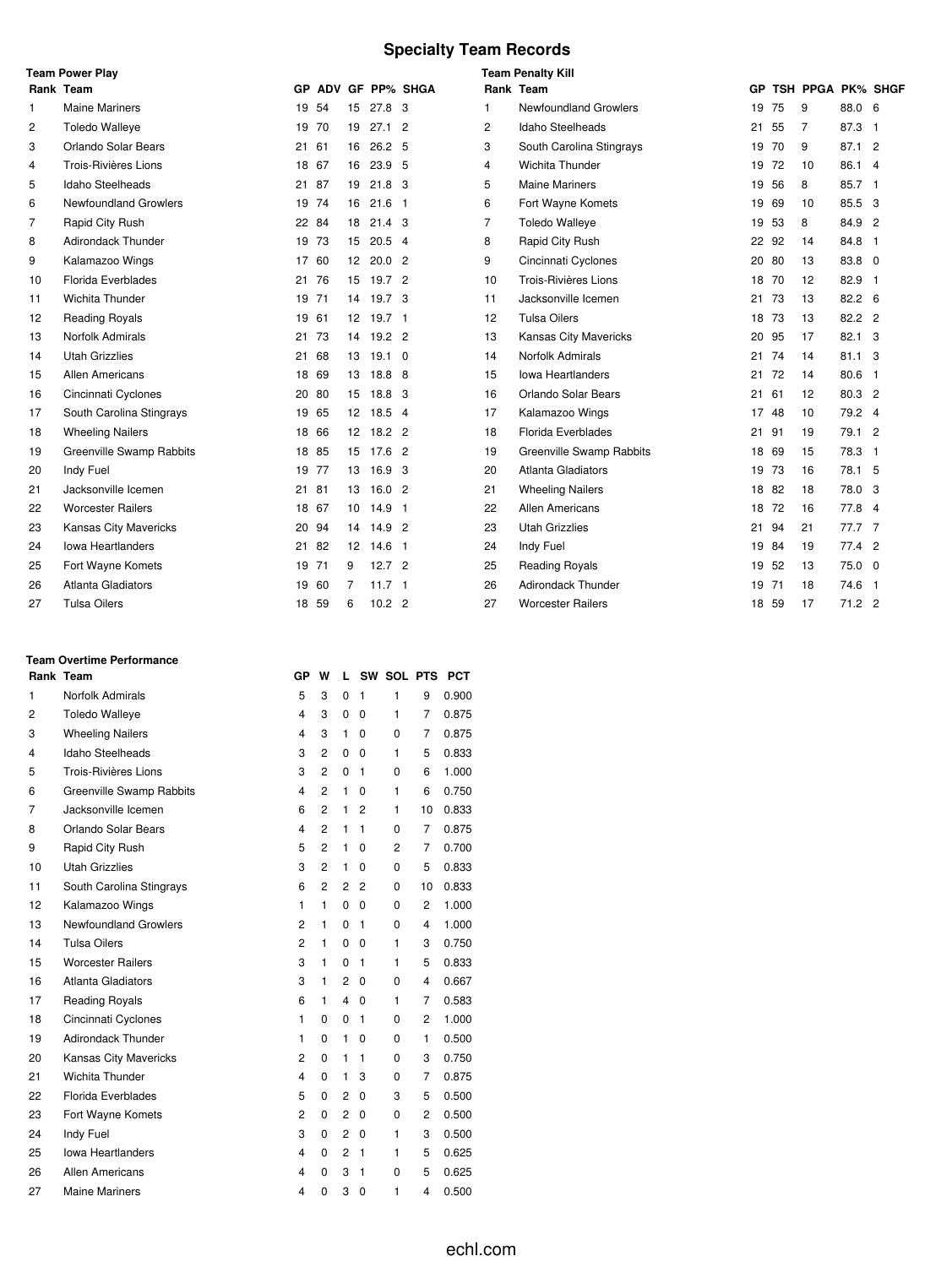# **Specialty Team Records**

|                | <b>Team Power Play</b>       |       |       |                 |                   |                    |                | <b>Team Penalty Kill</b>     |       |     |                   |                |  |
|----------------|------------------------------|-------|-------|-----------------|-------------------|--------------------|----------------|------------------------------|-------|-----|-------------------|----------------|--|
|                | Rank Team                    |       |       |                 |                   | GP ADV GF PP% SHGA |                | Rank Team                    | GP.   |     | TSH PPGA PK% SHGF |                |  |
| 1              | <b>Maine Mariners</b>        |       | 19 54 | 15              | $27.8$ 3          |                    | 1              | <b>Newfoundland Growlers</b> | 19    | 75  | 9                 | 88.0 6         |  |
| 2              | <b>Toledo Walleye</b>        |       | 19 70 | 19              | $27.1$ 2          |                    | 2              | Idaho Steelheads             | 21    | 55  | 7                 | 87.3 1         |  |
| 3              | Orlando Solar Bears          | 21    | 61    | 16              | 26.2 <sub>5</sub> |                    | 3              | South Carolina Stingrays     | 19    | 70  | 9                 | 87.1 2         |  |
| 4              | Trois-Rivières Lions         | 18 67 |       | 16              | 23.9 <sub>5</sub> |                    | 4              | Wichita Thunder              | 19    | 72  | 10                | 86.1 4         |  |
| 5              | Idaho Steelheads             | 21 87 |       | 19              | $21.8$ 3          |                    | 5              | <b>Maine Mariners</b>        | 19    | 56  | 8                 | 85.7 1         |  |
| 6              | <b>Newfoundland Growlers</b> |       | 19 74 | 16              | $21.6$ 1          |                    | 6              | Fort Wayne Komets            | 19    | 69  | 10                | 85.5 3         |  |
| $\overline{7}$ | Rapid City Rush              | 22 84 |       | 18              | 21.4 <sub>3</sub> |                    | $\overline{7}$ | <b>Toledo Walleye</b>        | 19    | 53  | 8                 | 84.9 2         |  |
| 8              | <b>Adirondack Thunder</b>    |       | 19 73 | 15              | $20.5$ 4          |                    | 8              | Rapid City Rush              | 22 92 |     | 14                | 84.8 1         |  |
| 9              | Kalamazoo Wings              |       | 17 60 | 12 <sup>2</sup> | 20.0 <sub>2</sub> |                    | 9              | Cincinnati Cyclones          | 20 80 |     | 13                | 83.8 0         |  |
| 10             | Florida Everblades           | 21 76 |       |                 | 15 19.7 2         |                    | 10             | Trois-Rivières Lions         | 18 70 |     | 12                | 82.9 1         |  |
| 11             | <b>Wichita Thunder</b>       | 19 71 |       | 14              | 19.7 <sup>3</sup> |                    | 11             | Jacksonville Icemen          | 21    | 73  | 13                | 82.2 6         |  |
| 12             | <b>Reading Royals</b>        | 19 61 |       |                 | 12 19.7 1         |                    | 12             | <b>Tulsa Oilers</b>          | 18    | 73  | 13                | 82.2 2         |  |
| 13             | <b>Norfolk Admirals</b>      |       | 21 73 |                 | 14 19.2 2         |                    | 13             | Kansas City Mavericks        | 20    | 95  | 17                | 82.1 3         |  |
| 14             | <b>Utah Grizzlies</b>        | 21    | 68    | 13              | $19.1 \quad 0$    |                    | 14             | Norfolk Admirals             | 21    | 74  | 14                | $81.1 \quad 3$ |  |
| 15             | Allen Americans              | 18 69 |       |                 | 13 18.8 8         |                    | 15             | <b>Iowa Heartlanders</b>     | 21    | 72  | 14                | 80.6 1         |  |
| 16             | Cincinnati Cyclones          |       | 20 80 | 15              | 18.8 3            |                    | 16             | Orlando Solar Bears          | 21    | 61  | 12                | 80.3 2         |  |
| 17             | South Carolina Stingrays     | 19 65 |       | 12              | 18.5 4            |                    | 17             | Kalamazoo Wings              | 17    | -48 | 10                | 79.2 4         |  |
| 18             | <b>Wheeling Nailers</b>      | 18 66 |       |                 | 12 18.2 2         |                    | 18             | Florida Everblades           | 21 91 |     | 19                | 79.1 2         |  |
| 19             | Greenville Swamp Rabbits     |       | 18 85 | 15              | 17.6 2            |                    | 19             | Greenville Swamp Rabbits     | 18    | 69  | 15                | 78.3 1         |  |
| 20             | Indy Fuel                    | 19 77 |       | 13              | 16.9 3            |                    | 20             | <b>Atlanta Gladiators</b>    | 19    | 73  | 16                | 78.1 5         |  |
| 21             | Jacksonville Icemen          | 21 81 |       | 13              | 16.02             |                    | 21             | <b>Wheeling Nailers</b>      | 18 82 |     | 18                | 78.0 3         |  |
| 22             | <b>Worcester Railers</b>     | 18 67 |       | 10 <sup>°</sup> | $14.9$ 1          |                    | 22             | <b>Allen Americans</b>       | 18    | 72  | 16                | 77.8 4         |  |
| 23             | <b>Kansas City Mavericks</b> |       | 20 94 | 14              | 14.9 2            |                    | 23             | <b>Utah Grizzlies</b>        | 21    | 94  | 21                | 77.7 7         |  |
| 24             | <b>Iowa Heartlanders</b>     | 21    | 82    |                 | 12 14.6 1         |                    | 24             | Indy Fuel                    | 19    | 84  | 19                | 77.4 2         |  |
| 25             | Fort Wayne Komets            | 19 71 |       | 9               | 12.7 <sup>2</sup> |                    | 25             | <b>Reading Royals</b>        | 19 52 |     | 13                | $75.0\quad 0$  |  |
| 26             | <b>Atlanta Gladiators</b>    |       | 19 60 | 7               | 11.7 <sub>1</sub> |                    | 26             | Adirondack Thunder           | 19 71 |     | 18                | 74.6 1         |  |
| 27             | <b>Tulsa Oilers</b>          |       | 18 59 | 6               | 10.2 <sub>2</sub> |                    | 27             | <b>Worcester Railers</b>     | 18    | 59  | 17                | 71.2 2         |  |

#### **Team Overtime Performance**

|    | Rank Team                | GР                      | W              | L              | SW             | <b>SOL PTS</b> |    | <b>PCT</b> |
|----|--------------------------|-------------------------|----------------|----------------|----------------|----------------|----|------------|
| 1  | Norfolk Admirals         | 5                       | 3              | 0              | 1              | 1              | 9  | 0.900      |
| 2  | <b>Toledo Walleye</b>    | $\overline{4}$          | 3              | 0              | 0              | 1              | 7  | 0.875      |
| 3  | <b>Wheeling Nailers</b>  | $\overline{4}$          | 3              | 1              | 0              | 0              | 7  | 0.875      |
| 4  | <b>Idaho Steelheads</b>  | 3                       | $\overline{2}$ | 0              | 0              | 1              | 5  | 0.833      |
| 5  | Trois-Rivières Lions     | 3                       | 2              | 0              | 1              | 0              | 6  | 1.000      |
| 6  | Greenville Swamp Rabbits | $\overline{4}$          | $\overline{2}$ | $\mathbf{1}$   | 0              | 1              | 6  | 0.750      |
| 7  | Jacksonville Icemen      | 6                       | $\overline{2}$ | 1              | $\overline{2}$ | 1              | 10 | 0.833      |
| 8  | Orlando Solar Bears      | 4                       | $\overline{2}$ | 1              | 1              | 0              | 7  | 0.875      |
| 9  | Rapid City Rush          | 5                       | $\overline{2}$ | 1              | 0              | 2              | 7  | 0.700      |
| 10 | <b>Utah Grizzlies</b>    | 3                       | $\overline{2}$ | 1              | 0              | 0              | 5  | 0.833      |
| 11 | South Carolina Stingrays | 6                       | $\overline{2}$ | $\overline{2}$ | 2              | 0              | 10 | 0.833      |
| 12 | Kalamazoo Wings          | 1                       | 1              | $\Omega$       | $\Omega$       | 0              | 2  | 1.000      |
| 13 | Newfoundland Growlers    | $\overline{c}$          | 1              | 0              | 1              | 0              | 4  | 1.000      |
| 14 | <b>Tulsa Oilers</b>      | $\overline{c}$          | 1              | 0              | 0              | 1              | 3  | 0.750      |
| 15 | <b>Worcester Railers</b> | 3                       | 1              | 0              | 1              | 1              | 5  | 0.833      |
| 16 | Atlanta Gladiators       | 3                       | 1              | $\overline{2}$ | 0              | 0              | 4  | 0.667      |
| 17 | <b>Reading Royals</b>    | 6                       | 1              | 4              | 0              | 1              | 7  | 0.583      |
| 18 | Cincinnati Cyclones      | 1                       | 0              | 0              | 1              | 0              | 2  | 1.000      |
| 19 | Adirondack Thunder       | 1                       | 0              | 1              | 0              | 0              | 1  | 0.500      |
| 20 | Kansas City Mavericks    | $\overline{c}$          | 0              | $\mathbf{1}$   | 1              | 0              | 3  | 0.750      |
| 21 | Wichita Thunder          | $\overline{\mathbf{4}}$ | 0              | 1              | 3              | 0              | 7  | 0.875      |
| 22 | Florida Everblades       | 5                       | 0              | 2              | $\Omega$       | 3              | 5  | 0.500      |
| 23 | Fort Wayne Komets        | $\overline{c}$          | 0              | $\overline{2}$ | 0              | 0              | 2  | 0.500      |
| 24 | Indy Fuel                | 3                       | 0              | $\overline{2}$ | 0              | 1              | 3  | 0.500      |
| 25 | <b>Iowa Heartlanders</b> | 4                       | 0              | $\overline{2}$ | 1              | 1              | 5  | 0.625      |
| 26 | <b>Allen Americans</b>   | 4                       | 0              | 3              | 1              | 0              | 5  | 0.625      |
| 27 | <b>Maine Mariners</b>    | 4                       | 0              | 3              | 0              | 1              | 4  | 0.500      |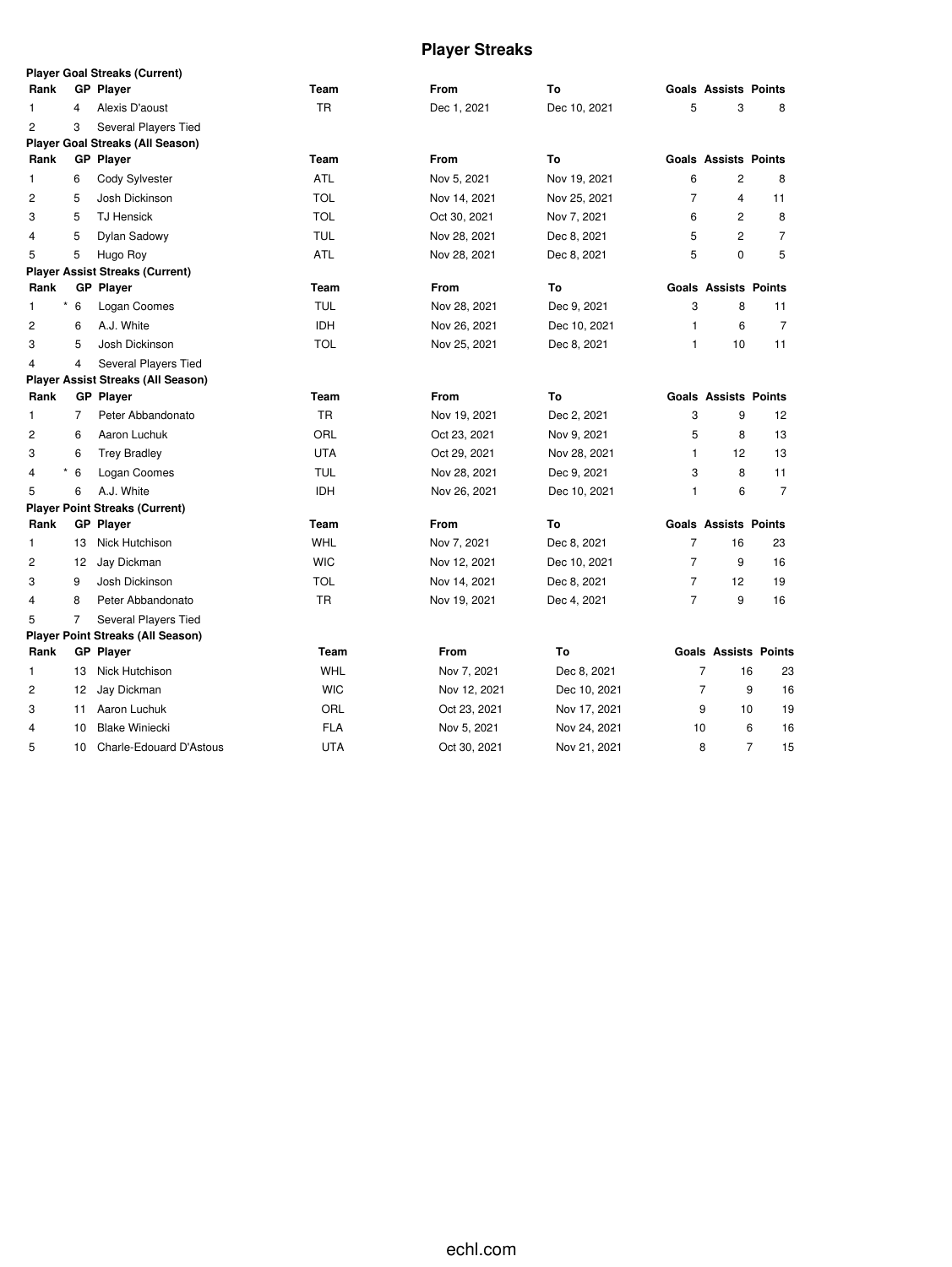# **Player Streaks**

|                         |                | <b>Player Goal Streaks (Current)</b>      |            |              |              |                |                             |                      |
|-------------------------|----------------|-------------------------------------------|------------|--------------|--------------|----------------|-----------------------------|----------------------|
| Rank                    |                | <b>GP Player</b>                          | Team       | From         | To           |                | <b>Goals Assists Points</b> |                      |
| 1                       | 4              | Alexis D'aoust                            | <b>TR</b>  | Dec 1, 2021  | Dec 10, 2021 | 5              | 3                           | 8                    |
| 2                       | 3              | Several Players Tied                      |            |              |              |                |                             |                      |
|                         |                | <b>Player Goal Streaks (All Season)</b>   |            |              |              |                |                             |                      |
| Rank                    |                | <b>GP Player</b>                          | Team       | <b>From</b>  | To           |                | <b>Goals Assists Points</b> |                      |
| 1                       | 6              | Cody Sylvester                            | <b>ATL</b> | Nov 5, 2021  | Nov 19, 2021 | 6              | 2                           | 8                    |
| $\overline{c}$          | 5              | Josh Dickinson                            | TOL        | Nov 14, 2021 | Nov 25, 2021 | 7              | 4                           | 11                   |
| 3                       | 5              | <b>TJ Hensick</b>                         | <b>TOL</b> | Oct 30, 2021 | Nov 7, 2021  | 6              | 2                           | 8                    |
| 4                       | 5              | Dylan Sadowy                              | TUL        | Nov 28, 2021 | Dec 8, 2021  | 5              | 2                           | $\overline{7}$       |
| 5                       | 5              | Hugo Roy                                  | ATL        | Nov 28, 2021 | Dec 8, 2021  | 5              | 0                           | 5                    |
|                         |                | <b>Player Assist Streaks (Current)</b>    |            |              |              |                |                             |                      |
| Rank                    |                | <b>GP Player</b>                          | Team       | From         | To           |                | <b>Goals Assists Points</b> |                      |
| 1                       | $*$ 6          | Logan Coomes                              | <b>TUL</b> | Nov 28, 2021 | Dec 9, 2021  | 3              | 8                           | 11                   |
| 2                       | 6              | A.J. White                                | <b>IDH</b> | Nov 26, 2021 | Dec 10, 2021 | $\mathbf{1}$   | 6                           | $\overline{7}$       |
| 3                       | 5              | Josh Dickinson                            | <b>TOL</b> | Nov 25, 2021 | Dec 8, 2021  | $\mathbf{1}$   | 10                          | 11                   |
| 4                       | 4              | Several Players Tied                      |            |              |              |                |                             |                      |
|                         |                | <b>Player Assist Streaks (All Season)</b> |            |              |              |                |                             |                      |
| Rank                    |                | <b>GP Player</b>                          | Team       | From         | To           |                | <b>Goals Assists Points</b> |                      |
| 1                       | $\overline{7}$ | Peter Abbandonato                         | TR         | Nov 19, 2021 | Dec 2, 2021  | 3              | 9                           | 12                   |
| $\overline{\mathbf{c}}$ | 6              | Aaron Luchuk                              | ORL        | Oct 23, 2021 | Nov 9, 2021  | 5              | 8                           | 13                   |
| 3                       | 6              | <b>Trey Bradley</b>                       | <b>UTA</b> | Oct 29, 2021 | Nov 28, 2021 | $\mathbf{1}$   | 12                          | 13                   |
| $\overline{4}$          | $*$ 6          | Logan Coomes                              | <b>TUL</b> | Nov 28, 2021 | Dec 9, 2021  | 3              | 8                           | 11                   |
| 5                       | 6              | A.J. White                                | <b>IDH</b> | Nov 26, 2021 | Dec 10, 2021 | $\mathbf{1}$   | 6                           | $\overline{7}$       |
|                         |                | <b>Player Point Streaks (Current)</b>     |            |              |              |                |                             |                      |
| Rank                    |                | <b>GP Player</b>                          | Team       | From         | To           |                | <b>Goals Assists Points</b> |                      |
| 1                       | 13             | Nick Hutchison                            | WHL        | Nov 7, 2021  | Dec 8, 2021  | $\overline{7}$ | 16                          | 23                   |
| 2                       | 12             | Jay Dickman                               | <b>WIC</b> | Nov 12, 2021 | Dec 10, 2021 | $\overline{7}$ | 9                           | 16                   |
| 3                       | 9              | Josh Dickinson                            | TOL        | Nov 14, 2021 | Dec 8, 2021  | 7              | 12                          | 19                   |
| 4                       | 8              | Peter Abbandonato                         | TR         | Nov 19, 2021 | Dec 4, 2021  | $\overline{7}$ | 9                           | 16                   |
| 5                       | 7              | Several Players Tied                      |            |              |              |                |                             |                      |
|                         |                | <b>Player Point Streaks (All Season)</b>  |            |              |              |                |                             |                      |
| Rank                    |                | GP Player                                 | Team       | From         | To           |                | <b>Goals Assists Points</b> |                      |
| 1                       | 13             | Nick Hutchison                            | <b>WHL</b> | Nov 7, 2021  | Dec 8, 2021  |                | $\overline{7}$<br>16        | 23                   |
| 2                       | 12             | Jay Dickman                               | <b>WIC</b> | Nov 12, 2021 | Dec 10, 2021 |                | $\overline{7}$<br>9         | 16                   |
| 3                       | 11             | Aaron Luchuk                              | ORL        | Oct 23, 2021 | Nov 17, 2021 |                | 9<br>10                     | 19                   |
| 4                       | 10             | <b>Blake Winiecki</b>                     | <b>FLA</b> | Nov 5, 2021  | Nov 24, 2021 | 10             |                             | 6<br>16              |
| 5                       | 10             | Charle-Edouard D'Astous                   | UTA        | Oct 30, 2021 | Nov 21, 2021 |                | 8                           | $\overline{7}$<br>15 |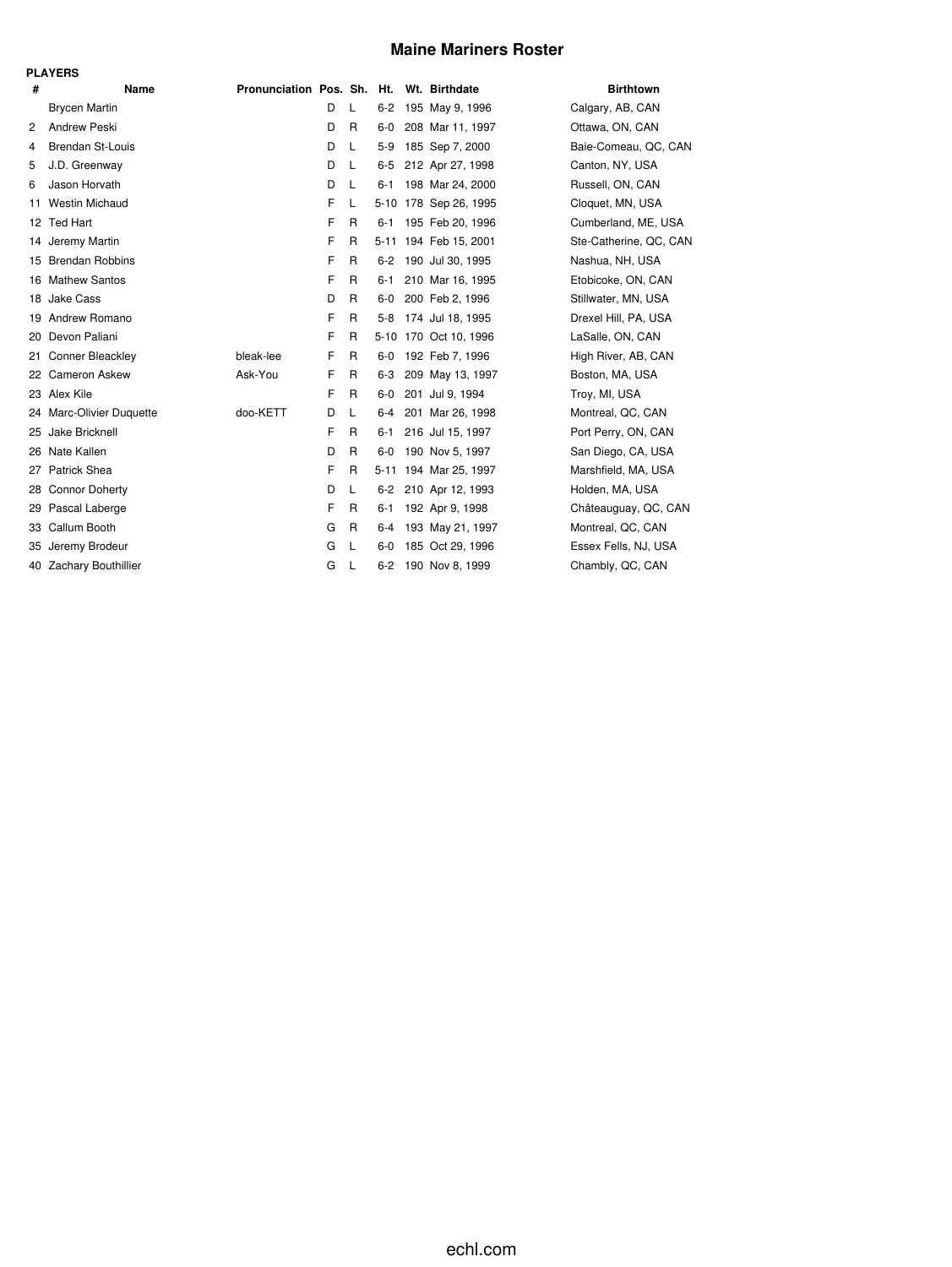## **Maine Mariners Roster**

| -<br>г | ۰, |
|--------|----|
|--------|----|

|     | .                        |                                          |   |              |         |                       |                        |
|-----|--------------------------|------------------------------------------|---|--------------|---------|-----------------------|------------------------|
| #   | Name                     | Pronunciation Pos. Sh. Ht. Wt. Birthdate |   |              |         |                       | <b>Birthtown</b>       |
|     | <b>Brycen Martin</b>     |                                          | D | L            | $6-2$   | 195 May 9, 1996       | Calgary, AB, CAN       |
| 2   | <b>Andrew Peski</b>      |                                          | D | R            | $6-0$   | 208 Mar 11, 1997      | Ottawa, ON, CAN        |
| 4   | <b>Brendan St-Louis</b>  |                                          | D | L            | $5-9$   | 185 Sep 7, 2000       | Baie-Comeau, QC, CAN   |
| 5   | J.D. Greenway            |                                          | D | L            | $6 - 5$ | 212 Apr 27, 1998      | Canton, NY, USA        |
| 6   | Jason Horvath            |                                          | D | L            | 6-1     | 198 Mar 24, 2000      | Russell, ON, CAN       |
| 11  | <b>Westin Michaud</b>    |                                          | F | L            |         | 5-10 178 Sep 26, 1995 | Cloquet, MN, USA       |
|     | 12 Ted Hart              |                                          | F | R            | $6 - 1$ | 195 Feb 20, 1996      | Cumberland, ME, USA    |
|     | 14 Jeremy Martin         |                                          | F | $\mathsf{R}$ |         | 5-11 194 Feb 15, 2001 | Ste-Catherine, QC, CAN |
|     | 15 Brendan Robbins       |                                          | F | R            |         | 6-2 190 Jul 30, 1995  | Nashua, NH, USA        |
|     | 16 Mathew Santos         |                                          | F | R            | $6 - 1$ | 210 Mar 16, 1995      | Etobicoke, ON, CAN     |
|     | 18 Jake Cass             |                                          | D | R            | $6-0$   | 200 Feb 2, 1996       | Stillwater, MN, USA    |
| 19  | Andrew Romano            |                                          | F | R            | $5 - 8$ | 174 Jul 18, 1995      | Drexel Hill, PA, USA   |
| 20  | Devon Paliani            |                                          | F | R            |         | 5-10 170 Oct 10, 1996 | LaSalle, ON, CAN       |
| 21. | Conner Bleackley         | bleak-lee                                | F | R            | 6-0     | 192 Feb 7, 1996       | High River, AB, CAN    |
|     | 22 Cameron Askew         | Ask-You                                  | F | R            | $6 - 3$ | 209 May 13, 1997      | Boston, MA, USA        |
|     | 23 Alex Kile             |                                          | F | R            | $6-0$   | 201 Jul 9, 1994       | Troy, MI, USA          |
|     | 24 Marc-Olivier Duquette | doo-KETT                                 | D | L            | 6-4     | 201 Mar 26, 1998      | Montreal, QC, CAN      |
| 25  | Jake Bricknell           |                                          | F | R            | $6 - 1$ | 216 Jul 15, 1997      | Port Perry, ON, CAN    |
| 26  | Nate Kallen              |                                          | D | R            | $6-0$   | 190 Nov 5, 1997       | San Diego, CA, USA     |
| 27  | Patrick Shea             |                                          | F | R            |         | 5-11 194 Mar 25, 1997 | Marshfield, MA, USA    |
| 28  | <b>Connor Doherty</b>    |                                          | D | L            |         | 6-2 210 Apr 12, 1993  | Holden, MA, USA        |
| 29  | Pascal Laberge           |                                          | F | R            | 6-1     | 192 Apr 9, 1998       | Châteauguay, QC, CAN   |
| 33  | Callum Booth             |                                          | G | $\mathsf{R}$ | 6-4     | 193 May 21, 1997      | Montreal, QC, CAN      |
| 35  | Jeremy Brodeur           |                                          | G | L            | $6-0$   | 185 Oct 29, 1996      | Essex Fells, NJ, USA   |
|     | 40 Zachary Bouthillier   |                                          | G | L            |         | 6-2 190 Nov 8, 1999   | Chambly, QC, CAN       |
|     |                          |                                          |   |              |         |                       |                        |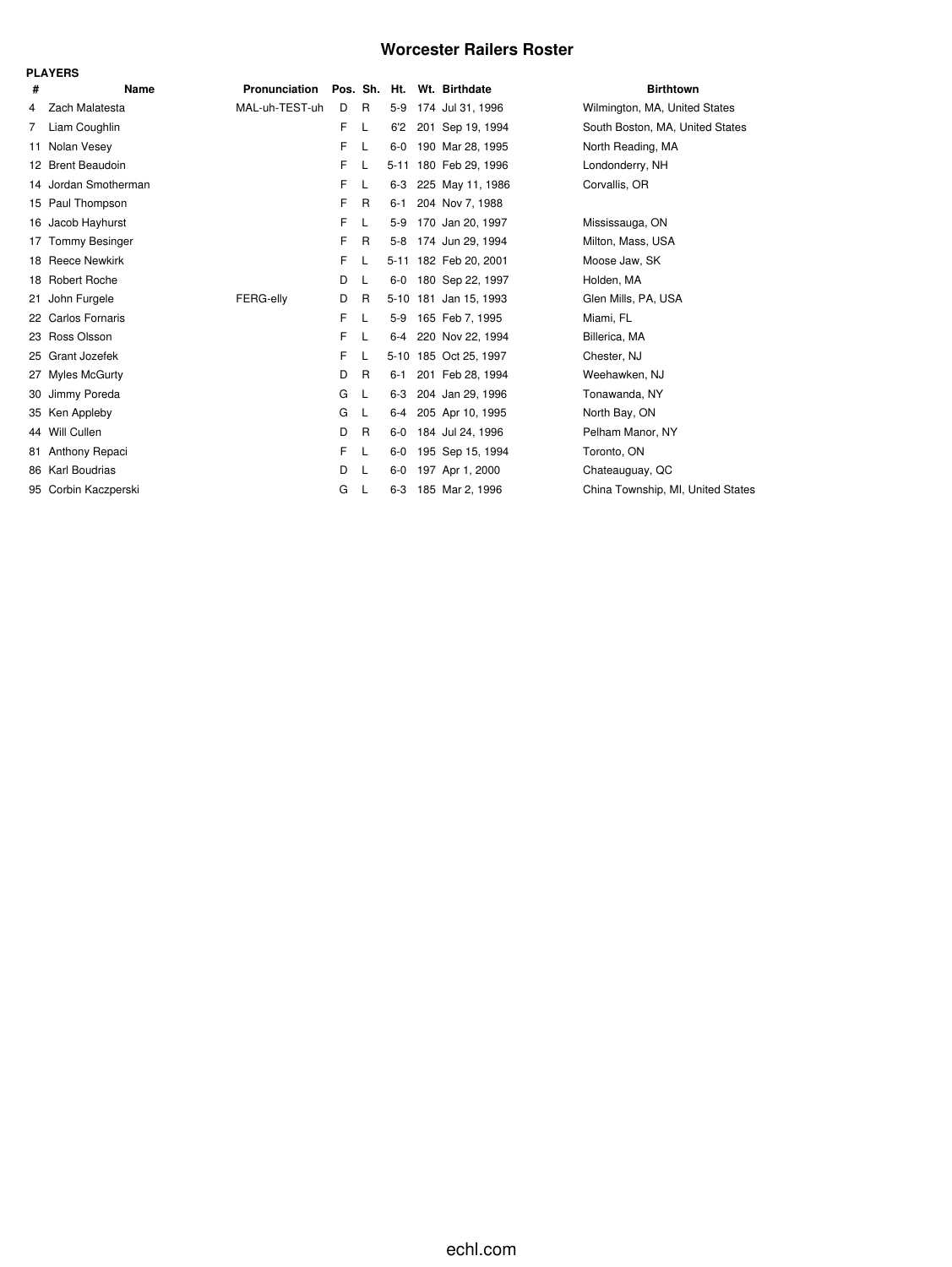## **Worcester Railers Roster**

|    | <b>PLAYERS</b>         |                  |              |    |          |                       |                                   |
|----|------------------------|------------------|--------------|----|----------|-----------------------|-----------------------------------|
| #  | Name                   | Pronunciation    | Pos. Sh. Ht. |    |          | Wt. Birthdate         | <b>Birthtown</b>                  |
| 4  | Zach Malatesta         | MAL-uh-TEST-uh   | D            | R  | $5-9$    | 174 Jul 31, 1996      | Wilmington, MA, United States     |
| 7  | Liam Coughlin          |                  | F            | L  | 6'2      | 201 Sep 19, 1994      | South Boston, MA, United States   |
| 11 | Nolan Vesey            |                  | F            | L  | $6-0$    | 190 Mar 28, 1995      | North Reading, MA                 |
|    | 12 Brent Beaudoin      |                  | F            | L  | $5 - 11$ | 180 Feb 29, 1996      | Londonderry, NH                   |
|    | 14 Jordan Smotherman   |                  | F            | L  | 6-3      | 225 May 11, 1986      | Corvallis, OR                     |
|    | 15 Paul Thompson       |                  | F            | R  | $6 - 1$  | 204 Nov 7, 1988       |                                   |
| 16 | Jacob Hayhurst         |                  | F            | L  | $5-9$    | 170 Jan 20, 1997      | Mississauga, ON                   |
| 17 | <b>Tommy Besinger</b>  |                  | F            | R. | $5-8$    | 174 Jun 29, 1994      | Milton, Mass, USA                 |
|    | 18 Reece Newkirk       |                  | F            | L  |          | 5-11 182 Feb 20, 2001 | Moose Jaw, SK                     |
|    | 18 Robert Roche        |                  | D            | L  | $6-0$    | 180 Sep 22, 1997      | Holden, MA                        |
| 21 | John Furgele           | <b>FERG-elly</b> | D            | R  |          | 5-10 181 Jan 15, 1993 | Glen Mills, PA, USA               |
| 22 | <b>Carlos Fornaris</b> |                  | F            | L  | $5-9$    | 165 Feb 7, 1995       | Miami, FL                         |
|    | 23 Ross Olsson         |                  | F            | L  | 6-4      | 220 Nov 22, 1994      | Billerica, MA                     |
|    | 25 Grant Jozefek       |                  | F            |    |          | 5-10 185 Oct 25, 1997 | Chester, NJ                       |
| 27 | Myles McGurty          |                  | D            | R  | $6 - 1$  | 201 Feb 28, 1994      | Weehawken, NJ                     |
| 30 | Jimmy Poreda           |                  | G            | L  | 6-3      | 204 Jan 29, 1996      | Tonawanda, NY                     |
|    | 35 Ken Appleby         |                  | G            | L  | $6-4$    | 205 Apr 10, 1995      | North Bay, ON                     |
|    | 44 Will Cullen         |                  | D            | R  | $6-0$    | 184 Jul 24, 1996      | Pelham Manor, NY                  |
|    | 81 Anthony Repaci      |                  | F            | L  | $6-0$    | 195 Sep 15, 1994      | Toronto, ON                       |
|    | 86 Karl Boudrias       |                  | D            | L  | $6-0$    | 197 Apr 1, 2000       | Chateauguay, QC                   |
|    | 95 Corbin Kaczperski   |                  | G            | L  | $6 - 3$  | 185 Mar 2, 1996       | China Township, MI, United States |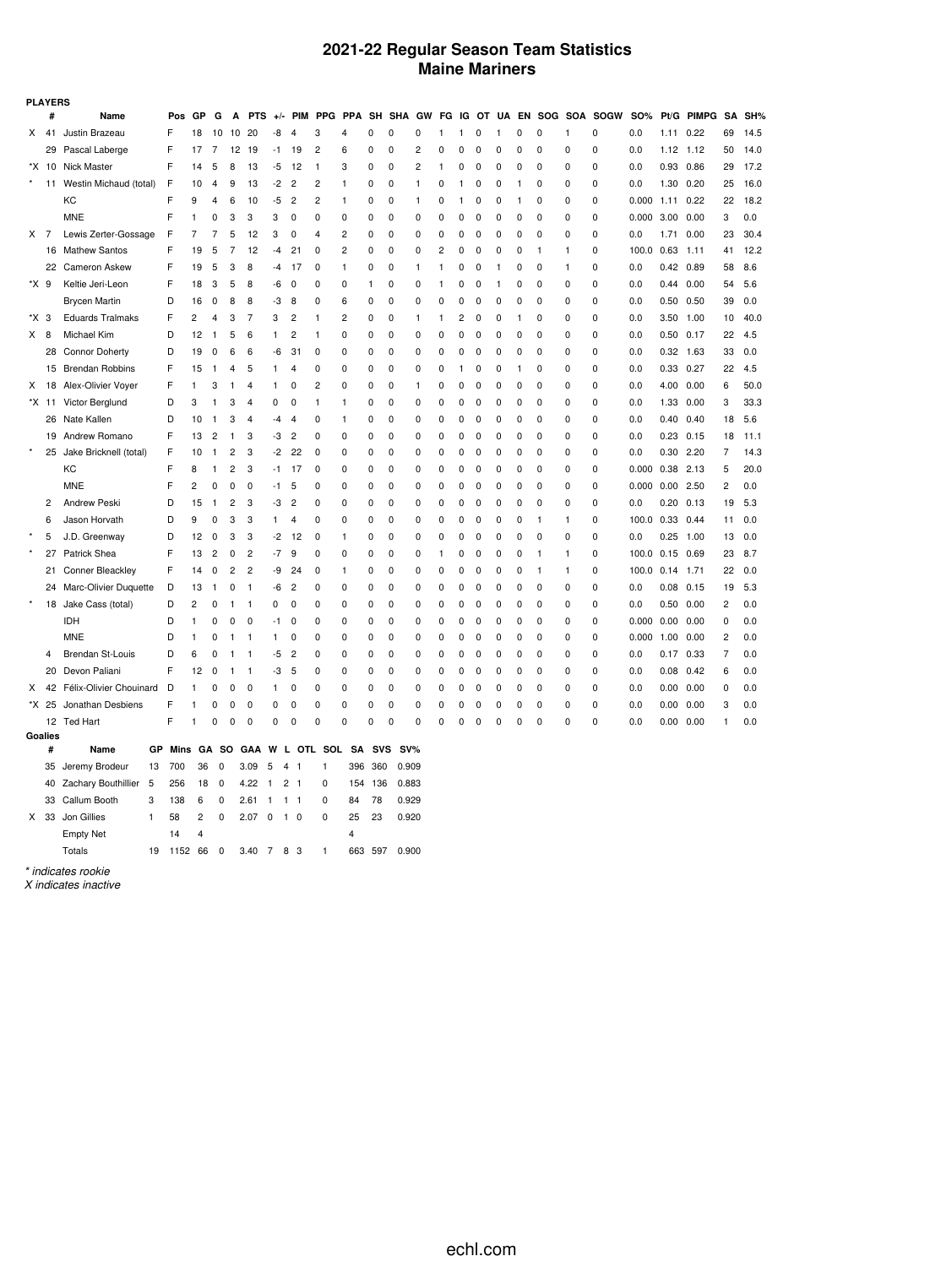## **2021-22 Regular Season Team Statistics Maine Mariners**

|         | <b>PLAYERS</b> |                         |      |                |              |                |                |                     |                |                |                |              |             |             |    |   |             |              |          |              |             |                 |                 |                   |              |                |      |
|---------|----------------|-------------------------|------|----------------|--------------|----------------|----------------|---------------------|----------------|----------------|----------------|--------------|-------------|-------------|----|---|-------------|--------------|----------|--------------|-------------|-----------------|-----------------|-------------------|--------------|----------------|------|
|         | #              | Name                    | Pos  | GP             | G            | A              | <b>PTS</b>     | $+/-$               | <b>PIM</b>     | <b>PPG</b>     | <b>PPA</b>     | SH           | <b>SHA</b>  | GW          | FG |   |             | IG OT UA     |          |              |             | EN SOG SOA SOGW | SO%             | Pt/G              | <b>PIMPG</b> | <b>SA</b>      | SH%  |
| x       | 41             | Justin Brazeau          | F    | 18             | 10           | 10             | 20             | -8                  | 4              | 3              | $\overline{4}$ | 0            | 0           | 0           | 1  | 1 | $\Omega$    | -1           | 0        | 0            | 1           | 0               | 0.0             | 1.11              | 0.22         | 69             | 14.5 |
|         | 29             | Pascal Laberge          | F    | 17             | 7            | 12             | 19             | -1                  | 19             | $\overline{c}$ | 6              | 0            | 0           | 2           | 0  | 0 | 0           | 0            | 0        | 0            | 0           | $\Omega$        | 0.0             | $1.12$ $1.12$     |              | 50             | 14.0 |
|         | *X 10          | Nick Master             | F    | 14             | 5            | 8              | 13             | -5                  | 12             | 1              | 3              | 0            | 0           | 2           | 1  | 0 | 0           | 0            | 0        | 0            | 0           | 0               | 0.0             | 0.93 0.86         |              | 29             | 17.2 |
| $\star$ | 11             | Westin Michaud (total)  | F    | 10             | 4            | 9              | 13             | $-2$                | 2              | $\overline{c}$ | 1              | 0            | 0           | 1           | 0  | 1 | 0           | 0            | 1        | 0            | 0           | 0               | 0.0             | 1.30              | 0.20         | 25             | 16.0 |
|         |                | KC                      | F    | 9              | 4            | 6              | 10             | -5                  | $\overline{2}$ | $\overline{2}$ | 1              | 0            | 0           | 1           | 0  | 1 | 0           | O            | 1        | 0            | 0           | 0               | 0.000           | 1.11              | 0.22         | 22             | 18.2 |
|         |                | <b>MNE</b>              | F    | 1              | 0            | 3              | 3              | 3                   | $\mathbf 0$    | 0              | 0              | 0            | $\mathbf 0$ | 0           | 0  | 0 | $\Omega$    | $\Omega$     | 0        | 0            | 0           | 0               | 0.000           | 3.00              | 0.00         | 3              | 0.0  |
| X       | 7              | Lewis Zerter-Gossage    | F    | 7              | 7            | 5              | 12             | 3                   | 0              | 4              | $\overline{c}$ | 0            | 0           | 0           | 0  | 0 | 0           | 0            | 0        | 0            | 0           | 0               | 0.0             | 1.71              | 0.00         | 23             | 30.4 |
|         | 16             | <b>Mathew Santos</b>    | F    | 19             | 5            | 7              | 12             | -4                  | 21             | 0              | $\overline{c}$ | 0            | 0           | 0           | 2  | 0 | 0           | 0            | 0        | $\mathbf{1}$ | 1           | 0               | 100.0           | 0.63              | 1.11         | 41             | 12.2 |
|         |                | 22 Cameron Askew        | F    | 19             | 5            | 3              | 8              | -4                  | 17             | 0              | 1              | 0            | 0           | 1           | 1  | 0 | 0           | $\mathbf{1}$ | 0        | 0            | 1           | 0               | 0.0             | $0.42$ 0.89       |              | 58             | 8.6  |
| *X 9    |                | Keltie Jeri-Leon        | F    | 18             | 3            | 5              | 8              | -6                  | 0              | 0              | $\Omega$       | $\mathbf{1}$ | 0           | 0           | 1  | 0 | 0           | 1            | 0        | 0            | 0           | 0               | 0.0             | $0.44$ 0.00       |              | 54             | 5.6  |
|         |                | <b>Brycen Martin</b>    | D    | 16             | 0            | 8              | 8              | -3                  | 8              | 0              | 6              | 0            | 0           | 0           | 0  | 0 | 0           | 0            | 0        | 0            | 0           | 0               | 0.0             | $0.50$ $0.50$     |              | 39             | 0.0  |
| *X 3    |                | <b>Eduards Tralmaks</b> | F    | 2              | 4            | 3              | 7              | 3                   | $\overline{c}$ | 1              | 2              | 0            | 0           | 1           | 1  | 2 | 0           | O            | 1        | 0            | 0           | 0               | 0.0             | 3.50              | 1.00         | 10             | 40.0 |
| X.      | 8              | Michael Kim             | D    | 12             | $\mathbf{1}$ | 5              | 6              | 1                   | 2              | 1              | 0              | 0            | 0           | 0           | 0  | 0 | 0           | O            | 0        | 0            | 0           | 0               | 0.0             | $0.50$ $0.17$     |              | 22             | 4.5  |
|         | 28             | <b>Connor Doherty</b>   | D    | 19             | 0            | 6              | 6              | -6                  | 31             | 0              | $\mathbf 0$    | 0            | $\mathbf 0$ | 0           | 0  | 0 | 0           | 0            | 0        | $\mathbf 0$  | 0           | 0               | 0.0             | $0.32$ 1.63       |              | 33             | 0.0  |
|         | 15             | <b>Brendan Robbins</b>  | F    | 15             | $\mathbf{1}$ | $\overline{4}$ | 5              | 1                   | 4              | 0              | 0              | 0            | 0           | 0           | 0  | 1 | 0           | 0            | 1        | 0            | 0           | 0               | 0.0             | 0.33 0.27         |              | 22             | 4.5  |
| Х       | 18             | Alex-Olivier Voyer      | F    | 1              | 3            | 1              | 4              | 1                   | 0              | $\overline{c}$ | 0              | 0            | 0           | 1           | 0  | 0 | $\Omega$    | $\Omega$     | 0        | 0            | 0           | 0               | 0.0             | 4.00              | 0.00         | 6              | 50.0 |
|         | *X 11          | Victor Berglund         | D    | 3              | 1            | 3              | $\overline{4}$ | 0                   | $\mathbf 0$    | 1              | 1              | 0            | $\mathbf 0$ | 0           | 0  | 0 | 0           | 0            | $\Omega$ | 0            | $\Omega$    | 0               | 0.0             | 1.33 0.00         |              | 3              | 33.3 |
|         | 26             | Nate Kallen             | D    | 10             | 1            | 3              | 4              | -4                  | 4              | 0              | 1              | 0            | 0           | 0           | 0  | 0 | 0           | 0            | 0        | 0            | 0           | 0               | 0.0             | 0.40              | 0.40         | 18             | 5.6  |
|         | 19             | Andrew Romano           | F    | 13             | 2            | 1              | 3              | -3                  | 2              | 0              | 0              | 0            | 0           | 0           | 0  | 0 | 0           | 0            | 0        | 0            | 0           | 0               | 0.0             | 0.23              | 0.15         | 18             | 11.1 |
| $\star$ | 25             | Jake Bricknell (total)  | F    | 10             | 1            | 2              | 3              | -2                  | 22             | 0              | 0              | 0            | 0           | 0           | 0  | 0 | 0           | 0            | 0        | 0            | 0           | 0               | 0.0             | 0.30 2.20         |              | 7              | 14.3 |
|         |                | КC                      | F    | 8              | $\mathbf{1}$ | 2              | 3              | $-1$                | 17             | 0              | $\Omega$       | 0            | 0           | 0           | 0  | 0 | 0           | 0            | 0        | 0            | 0           | 0               | 0.000           | $0.38$ 2.13       |              | 5              | 20.0 |
|         |                | <b>MNE</b>              | F    | $\overline{c}$ | 0            | $\mathbf 0$    | 0              | -1                  | 5              | 0              | 0              | 0            | 0           | 0           | 0  | 0 | 0           | 0            | 0        | $\mathbf 0$  | 0           | 0               | 0.000 0.00 2.50 |                   |              | $\overline{c}$ | 0.0  |
|         | $\overline{c}$ | Andrew Peski            | D    | 15             | 1            | $\overline{c}$ | 3              | -3                  | $\overline{c}$ | 0              | 0              | 0            | 0           | 0           | 0  | 0 | 0           | O            | 0        | $\mathbf 0$  | 0           | 0               | 0.0             | 0.20              | 0.13         | 19             | 5.3  |
|         | 6              | Jason Horvath           | D    | 9              | 0            | 3              | 3              | 1                   | 4              | 0              | 0              | 0            | 0           | 0           | 0  | 0 | 0           | 0            | 0        | $\mathbf{1}$ | 1           | 0               | 100.0           | $0.33$ $0.44$     |              | 11             | 0.0  |
| $\star$ | 5              | J.D. Greenway           | D    | 12             | 0            | 3              | 3              | -2                  | 12             | 0              | 1              | 0            | 0           | 0           | 0  | 0 | 0           | 0            | 0        | 0            | 0           | 0               | 0.0             | $0.25$ 1.00       |              | 13             | 0.0  |
| $\star$ | 27             | Patrick Shea            | F    | 13             | 2            | 0              | $\overline{c}$ | $-7$                | 9              | 0              | 0              | 0            | 0           | 0           | 1  | 0 | 0           | 0            | 0        | $\mathbf{1}$ | 1           | 0               | 100.0           | 0.15              | 0.69         | 23             | 8.7  |
|         | 21             | Conner Bleackley        | F    | 14             | 0            | $\overline{c}$ | 2              | -9                  | 24             | 0              | 1              | 0            | 0           | 0           | 0  | 0 | 0           | 0            | 0        | $\mathbf{1}$ | 1           | 0               | 100.0           | $0.14$ 1.71       |              | 22             | 0.0  |
|         | 24             | Marc-Olivier Duquette   | D    | 13             | $\mathbf{1}$ | 0              | 1              | -6                  | $\overline{c}$ | 0              | 0              | 0            | 0           | 0           | 0  | 0 | 0           | 0            | 0        | 0            | 0           | 0               | 0.0             | $0.08$ $0.15$     |              | 19             | 5.3  |
|         | 18             | Jake Cass (total)       | D    | 2              | 0            | $\mathbf{1}$   | 1              | 0                   | 0              | 0              | 0              | 0            | 0           | 0           | 0  | 0 | 0           | O            | 0        | 0            | 0           | 0               | 0.0             | 0.50              | 0.00         | $\overline{c}$ | 0.0  |
|         |                | <b>IDH</b>              | D    | 1              | 0            | 0              | 0              | -1                  | 0              | 0              | 0              | 0            | 0           | 0           | 0  | 0 | 0           | $\Omega$     | 0        | 0            | 0           | 0               | 0.000           | 0.00              | 0.00         | 0              | 0.0  |
|         |                | <b>MNE</b>              | D    | 1              | 0            | $\mathbf{1}$   | 1              | 1                   | 0              | 0              | 0              | 0            | $\mathbf 0$ | 0           | 0  | 0 | 0           | 0            | 0        | 0            | 0           | 0               | 0.000           | 1.00 0.00         |              | 2              | 0.0  |
|         | 4              | <b>Brendan St-Louis</b> | D    | 6              | 0            | 1              | 1              | -5                  | $\overline{c}$ | 0              | 0              | 0            | 0           | 0           | 0  | 0 | 0           | O            | 0        | 0            | 0           | 0               | 0.0             | $0.17$ $0.33$     |              | $\overline{7}$ | 0.0  |
|         | 20             | Devon Paliani           | F    | 12             | 0            | $\mathbf{1}$   | 1              | -3                  | 5              | 0              | 0              | 0            | 0           | 0           | 0  | 0 | $\Omega$    | 0            | 0        | 0            | 0           | 0               | 0.0             | 0.08              | 0.42         | 6              | 0.0  |
| X       | 42             | Félix-Olivier Chouinard | D    | 1              | 0            | 0              | 0              | 1.                  | 0              | 0              | 0              | 0            | 0           | 0           | 0  | 0 | $\Omega$    | $\Omega$     | 0        | 0            | 0           | 0               | 0.0             | $0.00 \quad 0.00$ |              | 0              | 0.0  |
| *X.     | 25             | Jonathan Desbiens       | F    | 1              | 0            | 0              | 0              | 0                   | 0              | 0              | 0              | 0            | 0           | 0           | 0  | 0 | 0           | O            | 0        | 0            | 0           | 0               | 0.0             | 0.00              | 0.00         | 3              | 0.0  |
|         |                | 12 Ted Hart             | F    | 1              | 0            | $\mathbf 0$    | $\mathbf 0$    | 0                   | $\mathbf 0$    | $\mathbf 0$    | $\mathbf 0$    | 0            | 0           | $\mathbf 0$ | 0  | 0 | $\mathbf 0$ | $\mathbf 0$  | 0        | 0            | $\mathbf 0$ | $\mathbf 0$     | 0.0             | 0.00 0.00         |              | 1              | 0.0  |
|         | Goalies<br>#   | Name<br>GP              | Mins |                | <b>GA SO</b> |                | <b>GAA</b>     | W                   | L              | OTL SOL SA     |                | svs          | $SV\%$      |             |    |   |             |              |          |              |             |                 |                 |                   |              |                |      |
|         | 35             | Jeremy Brodeur<br>13    | 700  | 36             | $^{\circ}$   |                | 3.09           | 5<br>$\overline{4}$ | -1             | 1              |                | 396 360      | 0.909       |             |    |   |             |              |          |              |             |                 |                 |                   |              |                |      |
|         |                |                         |      |                |              |                |                |                     |                |                |                |              |             |             |    |   |             |              |          |              |             |                 |                 |                   |              |                |      |

|  | 40 Zachary Bouthillier 5 256 18 0 4.22 1 2 1 0 154 136 0.883 |                         |  |  |  |                                    |       |               |
|--|--------------------------------------------------------------|-------------------------|--|--|--|------------------------------------|-------|---------------|
|  | 33 Callum Booth                                              |                         |  |  |  | 3 138 6 0 2.61 1 1 1 0 84 78 0.929 |       |               |
|  | X 33 Jon Gillies                                             | 58.                     |  |  |  | 2 0 2.07 0 1 0 0                   | 25 23 | 0.920         |
|  | <b>Empty Net</b>                                             | 14 4                    |  |  |  |                                    |       |               |
|  | Totals                                                       | 19 1152 66 0 3.40 7 8 3 |  |  |  | $\overline{1}$                     |       | 663 597 0.900 |

*\* indicates rookie*

*X indicates inactive*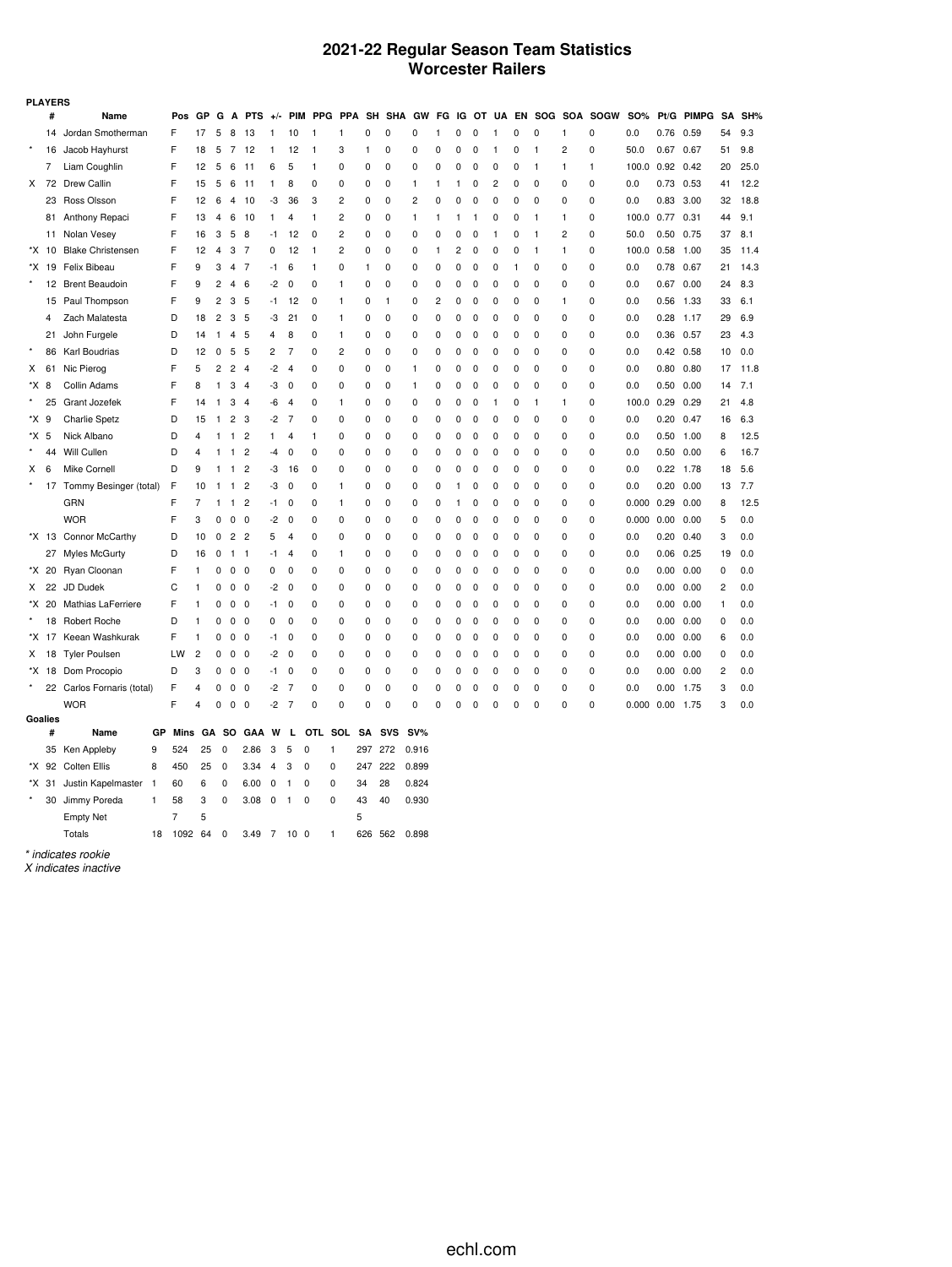## **2021-22 Regular Season Team Statistics Worcester Railers**

|         | <b>PLAYERS</b> |                            |              |                |                |                |                |                         |                |                   |              |                         |           |               |        |              |              |             |              |   |              |                |                       |            |      |            |    |      |
|---------|----------------|----------------------------|--------------|----------------|----------------|----------------|----------------|-------------------------|----------------|-------------------|--------------|-------------------------|-----------|---------------|--------|--------------|--------------|-------------|--------------|---|--------------|----------------|-----------------------|------------|------|------------|----|------|
|         | #              | Name                       |              | Pos            | <b>GP</b>      | G              | A              | <b>PTS</b>              | $+/-$          |                   | PIM PPG      |                         |           | PPA SH SHA GW |        | FG           | IG           |             |              |   |              |                | OT UA EN SOG SOA SOGW | <b>SO%</b> |      | Pt/G PIMPG | SA | SH%  |
|         | 14             | Jordan Smotherman          |              | F              | 17             | 5              | 8              | 13                      | 1              | 10                | $\mathbf{1}$ | $\mathbf{1}$            | 0         | 0             | 0      | 1            | 0            | 0           | 1            | 0 | 0            | 1              | 0                     | 0.0        | 0.76 | 0.59       | 54 | 9.3  |
|         | 16             | Jacob Hayhurst             |              | F              | 18             | 5              | 7              | 12                      | 1              | 12                | $\mathbf{1}$ | 3                       | 1         | 0             | 0      | 0            | 0            | 0           | 1            | 0 | $\mathbf{1}$ | $\overline{c}$ | 0                     | 50.0       | 0.67 | 0.67       | 51 | 9.8  |
|         | 7              | Liam Coughlin              |              | F              | 12             | 5              | 6              | 11                      | 6              | 5                 | 1            | 0                       | 0         | 0             | 0      | $\mathbf 0$  | $\mathbf 0$  | 0           | 0            | 0 | 1            | 1              | $\mathbf{1}$          | 100.0      | 0.92 | 0.42       | 20 | 25.0 |
| X       | 72             | Drew Callin                |              | F              | 15             | 5              | 6              | 11                      | 1              | 8                 | 0            | 0                       | 0         | 0             | 1      | 1            | 1            | 0           | 2            | 0 | 0            | 0              | 0                     | 0.0        | 0.73 | 0.53       | 41 | 12.2 |
|         | 23             | Ross Olsson                |              | F              | 12             | 6              | 4              | 10                      | -3             | 36                | 3            | $\overline{c}$          | 0         | $\mathbf 0$   | 2      | $\mathbf 0$  | $\mathbf 0$  | $\pmb{0}$   | 0            | 0 | $\mathbf 0$  | 0              | 0                     | 0.0        | 0.83 | 3.00       | 32 | 18.8 |
|         | 81             | Anthony Repaci             |              | F              | 13             | 4              | 6              | 10                      | 1              | 4                 | $\mathbf{1}$ | $\overline{\mathbf{c}}$ | 0         | 0             | 1      | 1            | -1           | 1           | 0            | 0 | 1            | 1              | 0                     | 100.0      | 0.77 | 0.31       | 44 | 9.1  |
|         |                | 11 Nolan Vesey             |              | F              | 16             | 3              | 5              | 8                       | $-1$           | 12                | 0            | 2                       | 0         | 0             | 0      | 0            | 0            | 0           | $\mathbf{1}$ | 0 | 1            | 2              | 0                     | 50.0       | 0.50 | 0.75       | 37 | 8.1  |
|         | *X 10          | <b>Blake Christensen</b>   |              | F              | 12             | 4              | 3              | 7                       | 0              | 12                | $\mathbf{1}$ | $\overline{\mathbf{c}}$ | 0         | 0             | 0      | $\mathbf{1}$ | 2            | 0           | 0            | 0 | $\mathbf{1}$ | 1              | 0                     | 100.0      | 0.58 | 1.00       | 35 | 11.4 |
| *X      | 19             | Felix Bibeau               |              | F              | 9              | 3              | 4              | 7                       | -1             | 6                 | $\mathbf{1}$ | 0                       | 1         | 0             | 0      | 0            | 0            | 0           | 0            | 1 | 0            | 0              | 0                     | 0.0        | 0.78 | 0.67       | 21 | 14.3 |
| $\star$ | 12             | <b>Brent Beaudoin</b>      |              | F              | 9              | 2              | $\overline{4}$ | 6                       | -2             | 0                 | 0            | 1                       | 0         | 0             | 0      | $\mathbf 0$  | 0            | 0           | 0            | 0 | 0            | 0              | 0                     | 0.0        | 0.67 | 0.00       | 24 | 8.3  |
|         |                | 15 Paul Thompson           |              | F              | 9              | 2              | 3              | 5                       | -1             | 12                | 0            | 1                       | 0         | 1             | 0      | 2            | 0            | 0           | 0            | 0 | 0            | 1              | 0                     | 0.0        | 0.56 | 1.33       | 33 | 6.1  |
|         | 4              | Zach Malatesta             |              | D              | 18             | 2              | 3              | 5                       | -3             | 21                | 0            | $\mathbf{1}$            | 0         | 0             | 0      | 0            | 0            | 0           | 0            | 0 | 0            | 0              | 0                     | 0.0        | 0.28 | 1.17       | 29 | 6.9  |
|         | 21             | John Furgele               |              | D              | 14             | $\mathbf{1}$   | 4              | 5                       | 4              | 8                 | 0            | 1                       | 0         | 0             | 0      | 0            | 0            | 0           | 0            | 0 | 0            | 0              | 0                     | 0.0        | 0.36 | 0.57       | 23 | 4.3  |
|         | 86             | Karl Boudrias              |              | D              | 12             | 0              | 5              | -5                      | 2              | 7                 | 0            | $\overline{2}$          | 0         | 0             | 0      | 0            | 0            | 0           | 0            | 0 | 0            | 0              | 0                     | 0.0        | 0.42 | 0.58       | 10 | 0.0  |
| X       | 61             | Nic Pierog                 |              | F              | 5              | $\overline{c}$ | 2              | $\overline{4}$          | $-2$           | $\overline{4}$    | 0            | 0                       | 0         | 0             | 1      | 0            | 0            | $\pmb{0}$   | 0            | 0 | $\mathbf 0$  | 0              | $\mathbf 0$           | 0.0        | 0.80 | 0.80       | 17 | 11.8 |
| *X      | 8              | Collin Adams               |              | F              | 8              | 1              | 3              | $\overline{4}$          | -3             | 0                 | 0            | 0                       | 0         | 0             | 1      | 0            | 0            | 0           | 0            | 0 | 0            | 0              | 0                     | 0.0        | 0.50 | 0.00       | 14 | 7.1  |
|         | 25             | Grant Jozefek              |              | F              | 14             | $\mathbf{1}$   | 3              | $\overline{4}$          | -6             | 4                 | 0            | 1                       | 0         | 0             | 0      | 0            | 0            | 0           | 1            | 0 | 1            | 1              | 0                     | 100.0      | 0.29 | 0.29       | 21 | 4.8  |
| *X      | 9              | <b>Charlie Spetz</b>       |              | D              | 15             | $\mathbf{1}$   | $\overline{2}$ | 3                       | -2             | 7                 | 0            | 0                       | 0         | 0             | 0      | 0            | 0            | 0           | 0            | 0 | 0            | 0              | 0                     | 0.0        | 0.20 | 0.47       | 16 | 6.3  |
| *X      | 5              | Nick Albano                |              | D              | 4              | 1              | $\mathbf{1}$   | 2                       | 1              | 4                 | $\mathbf{1}$ | 0                       | 0         | 0             | 0      | 0            | 0            | 0           | 0            | 0 | 0            | 0              | 0                     | 0.0        | 0.50 | 1.00       | 8  | 12.5 |
|         | 44             | Will Cullen                |              | D              | 4              | 1              | 1              | $\overline{2}$          | $-4$           | 0                 | 0            | $\mathbf 0$             | 0         | 0             | 0      | $\mathbf 0$  | 0            | 0           | 0            | 0 | 0            | 0              | 0                     | 0.0        | 0.50 | 0.00       | 6  | 16.7 |
| Х       | 6              | Mike Cornell               |              | D              | 9              | 1              | $\mathbf{1}$   | $\overline{c}$          | -3             | 16                | 0            | 0                       | 0         | 0             | 0      | 0            | 0            | 0           | 0            | 0 | 0            | 0              | 0                     | 0.0        | 0.22 | 1.78       | 18 | 5.6  |
|         | 17             | Tommy Besinger (total)     |              | F              | 10             | 1              | $\mathbf{1}$   | $\overline{c}$          | -3             | 0                 | 0            | 1                       | 0         | 0             | 0      | 0            | $\mathbf{1}$ | 0           | 0            | 0 | 0            | 0              | 0                     | 0.0        | 0.20 | 0.00       | 13 | 7.7  |
|         |                | GRN                        |              | F              | 7              | 1              | 1              | $\overline{c}$          | -1             | 0                 | 0            | 1                       | 0         | 0             | 0      | 0            | 1            | 0           | 0            | 0 | 0            | 0              | 0                     | 0.000      | 0.29 | 0.00       | 8  | 12.5 |
|         |                | <b>WOR</b>                 |              | F              | 3              | 0              | 0              | 0                       | $-2$           | 0                 | 0            | 0                       | 0         | 0             | 0      | 0            | 0            | 0           | 0            | 0 | 0            | 0              | 0                     | 0.000      | 0.00 | 0.00       | 5  | 0.0  |
|         |                | *X 13 Connor McCarthy      |              | D              | 10             | 0              | $\overline{c}$ | $\overline{\mathbf{c}}$ | 5              | 4                 | 0            | 0                       | 0         | 0             | 0      | 0            | 0            | $\pmb{0}$   | 0            | 0 | 0            | 0              | 0                     | 0.0        | 0.20 | 0.40       | 3  | 0.0  |
|         |                | 27 Myles McGurty           |              | D              | 16             | 0              | $\mathbf{1}$   | $\mathbf{1}$            | $-1$           | 4                 | 0            | 1                       | 0         | 0             | 0      | 0            | 0            | $\pmb{0}$   | 0            | 0 | 0            | 0              | 0                     | 0.0        | 0.06 | 0.25       | 19 | 0.0  |
|         | *X 20          | Ryan Cloonan               |              | F              | 1              | $\mathbf 0$    | 0              | $\mathbf 0$             | 0              | $\mathbf 0$       | $\mathbf 0$  | 0                       | 0         | 0             | 0      | $\mathbf 0$  | $\mathbf 0$  | $\mathbf 0$ | 0            | 0 | $\mathbf 0$  | 0              | 0                     | 0.0        | 0.00 | 0.00       | 0  | 0.0  |
| X       | 22             | JD Dudek                   |              | C              | 1              | 0              | 0              | 0                       | -2             | 0                 | 0            | 0                       | 0         | 0             | 0      | 0            | 0            | 0           | 0            | 0 | 0            | 0              | 0                     | 0.0        | 0.00 | 0.00       | 2  | 0.0  |
| *X      |                | 20 Mathias LaFerriere      |              | F              | 1              | 0              | 0              | $\mathbf 0$             | -1             | 0                 | 0            | $\mathbf 0$             | 0         | 0             | 0      | 0            | 0            | 0           | 0            | 0 | 0            | 0              | 0                     | 0.0        | 0.00 | 0.00       | 1  | 0.0  |
|         |                | 18 Robert Roche            |              | D              | 1              | 0              | 0              | 0                       | 0              | 0                 | 0            | 0                       | 0         | 0             | 0      | 0            | 0            | 0           | 0            | 0 | 0            | 0              | 0                     | 0.0        | 0.00 | 0.00       | 0  | 0.0  |
| *X      | 17             | Keean Washkurak            |              | F              | 1              | 0              | 0              | 0                       | -1             | 0                 | 0            | $\mathbf 0$             | 0         | 0             | 0      | $\mathbf 0$  | $\mathbf 0$  | 0           | 0            | 0 | 0            | 0              | 0                     | 0.0        | 0.00 | 0.00       | 6  | 0.0  |
| X       | 18             | <b>Tyler Poulsen</b>       |              | LW             | $\overline{c}$ | 0              | 0              | $\mathbf 0$             | -2             | 0                 | 0            | $\mathbf 0$             | 0         | 0             | 0      | $\mathbf 0$  | 0            | 0           | 0            | 0 | 0            | 0              | 0                     | 0.0        | 0.00 | 0.00       | 0  | 0.0  |
| *X      |                | 18 Dom Procopio            |              | D              | 3              | 0              | 0              | 0                       | -1             | 0                 | 0            | 0                       | 0         | 0             | 0      | 0            | 0            | 0           | 0            | 0 | 0            | 0              | 0                     | 0.0        | 0.00 | 0.00       | 2  | 0.0  |
|         |                | 22 Carlos Fornaris (total) |              | F              | 4              | $\mathbf 0$    | 0              | 0                       | $-2$           | 7                 | 0            | 0                       | 0         | 0             | 0      | 0            | $\mathbf 0$  | 0           | 0            | 0 | 0            | 0              | 0                     | 0.0        | 0.00 | 1.75       | 3  | 0.0  |
|         |                | <b>WOR</b>                 |              | F              | 4              | 0              | $\mathbf 0$    | 0                       | $-2$           | $\overline{7}$    | 0            | 0                       | 0         | 0             | 0      | $\mathbf 0$  | $\mathbf 0$  | $\pmb{0}$   | 0            | 0 | 0            | 0              | 0                     | 0.000      | 0.00 | 1.75       | 3  | 0.0  |
|         | Goalies        |                            |              |                |                |                |                |                         |                |                   |              |                         |           |               |        |              |              |             |              |   |              |                |                       |            |      |            |    |      |
|         | #              | Name                       | GP           | Mins           | GA             |                | -SO            | GAA                     | W              | L                 | <b>OTL</b>   | SOL                     | <b>SA</b> | <b>SVS</b>    | $SV\%$ |              |              |             |              |   |              |                |                       |            |      |            |    |      |
|         |                | 35 Ken Appleby             | 9            | 524            | 25             | $\mathbf 0$    |                | 2.86                    | 3              | 5<br>0            | 1            |                         | 297       | 272           | 0.916  |              |              |             |              |   |              |                |                       |            |      |            |    |      |
|         |                | *X 92 Colten Ellis         | 8            | 450            | 25             | 0              |                | 3.34                    | $\overline{4}$ | 3<br>$\mathbf 0$  | 0            |                         | 247       | 222           | 0.899  |              |              |             |              |   |              |                |                       |            |      |            |    |      |
| *X      | 31             | Justin Kapelmaster         | $\mathbf{1}$ | 60             | 6              | 0              |                | 6.00                    | 0              | $\mathbf{1}$<br>0 | 0            |                         | 34        | 28            | 0.824  |              |              |             |              |   |              |                |                       |            |      |            |    |      |
|         | 30             | Jimmy Poreda               | 1            | 58             | 3              | 0              |                | 3.08                    | 0              | 0<br>$\mathbf{1}$ | $\Omega$     |                         | 43        | 40            | 0.930  |              |              |             |              |   |              |                |                       |            |      |            |    |      |
|         |                | <b>Empty Net</b>           |              | $\overline{7}$ | 5              |                |                |                         |                |                   |              |                         | 5         |               |        |              |              |             |              |   |              |                |                       |            |      |            |    |      |

Totals 18 1092 64 0 3.49 7 10 0 1 626 562 0.898

*\* indicates rookie*

*X indicates inactive*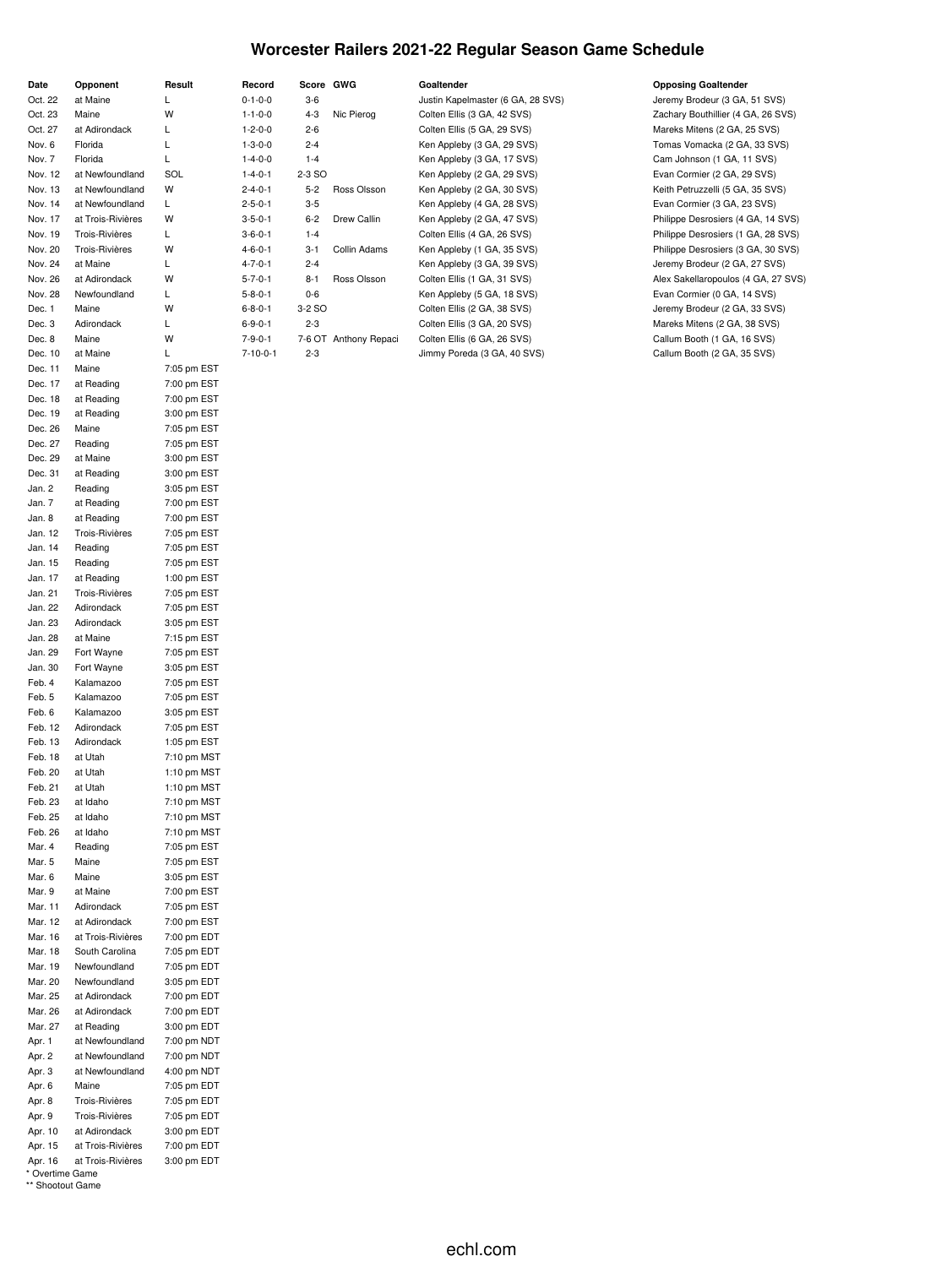### **Worcester Railers 2021-22 Regular Season Game Schedule**

| Date    | Opponent              | Result      |
|---------|-----------------------|-------------|
| Oct. 22 | at Maine              | Г           |
| Oct. 23 | Maine                 | W           |
| Oct. 27 | at Adirondack         | L           |
| Nov. 6  | Florida               | L           |
| Nov. 7  | Florida               | L           |
| Nov. 12 | at Newfoundland       | SOL         |
| Nov. 13 | at Newfoundland       | W           |
|         |                       |             |
| Nov. 14 | at Newfoundland       | Г<br>W      |
| Nov. 17 | at Trois-Rivières     |             |
| Nov. 19 | Trois-Rivières        | Г           |
| Nov. 20 | <b>Trois-Rivières</b> | W           |
| Nov. 24 | at Maine              | L           |
| Nov. 26 | at Adirondack         | W           |
| Nov. 28 | Newfoundland          | Г           |
| Dec. 1  | Maine                 | W           |
| Dec. 3  | Adirondack            | L           |
| Dec. 8  | Maine                 | W           |
| Dec. 10 | at Maine              | L           |
| Dec. 11 | Maine                 | 7:05 pm EST |
| Dec. 17 | at Reading            | 7:00 pm EST |
| Dec. 18 | at Reading            | 7:00 pm EST |
| Dec. 19 | at Reading            | 3:00 pm EST |
| Dec. 26 | Maine                 | 7:05 pm EST |
| Dec. 27 | Reading               | 7:05 pm EST |
| Dec. 29 | at Maine              | 3:00 pm EST |
| Dec. 31 | at Reading            | 3:00 pm EST |
| Jan. 2  | Reading               | 3:05 pm EST |
| Jan. 7  | at Reading            | 7:00 pm EST |
| Jan. 8  | at Reading            | 7:00 pm EST |
| Jan. 12 | Trois-Rivières        | 7:05 pm EST |
| Jan. 14 | Reading               | 7:05 pm EST |
| Jan. 15 | Reading               | 7:05 pm EST |
| Jan. 17 | at Reading            | 1:00 pm EST |
| Jan. 21 | Trois-Rivières        | 7:05 pm EST |
| Jan. 22 | Adirondack            | 7:05 pm EST |
| Jan. 23 | Adirondack            | 3:05 pm EST |
| Jan. 28 | at Maine              | 7:15 pm EST |
| Jan. 29 | Fort Wayne            | 7:05 pm EST |
| Jan. 30 | Fort Wayne            | 3:05 pm EST |
| Feb. 4  | Kalamazoo             | 7:05 pm EST |
| Feb. 5  | Kalamazoo             | 7:05 pm EST |
| Feb. 6  | Kalamazoo             | 3:05 pm EST |
| Feb. 12 | Adirondack            | 7:05 pm EST |
| Feb. 13 | Adirondack            | 1:05 pm EST |
| Feb. 18 | at Utah               | 7:10 pm MST |
| Feb. 20 | at Utah               | 1:10 pm MST |
| Feb. 21 | at Utah               | 1:10 pm MST |
| Feb. 23 | at Idaho              | 7:10 pm MST |
| Feb. 25 | at Idaho              | 7:10 pm MST |
| Feb. 26 | at Idaho              | 7:10 pm MST |
| Mar. 4  | Reading               | 7:05 pm EST |
| Mar. 5  | Maine                 | 7:05 pm EST |
| Mar. 6  | Maine                 | 3:05 pm EST |
| Mar. 9  | at Maine              | 7:00 pm EST |
| Mar. 11 | Adirondack            | 7:05 pm EST |
| Mar. 12 | at Adirondack         | 7:00 pm EST |
| Mar. 16 | at Trois-Rivières     | 7:00 pm EDT |
| Mar. 18 | South Carolina        | 7:05 pm EDT |
| Mar. 19 | Newfoundland          | 7:05 pm EDT |
| Mar. 20 | Newfoundland          | 3:05 pm EDT |
| Mar. 25 | at Adirondack         | 7:00 pm EDT |
| Mar. 26 | at Adirondack         | 7:00 pm EDT |
| Mar. 27 | at Reading            | 3:00 pm EDT |
| Apr. 1  | at Newfoundland       | 7:00 pm NDT |
| Apr. 2  | at Newfoundland       | 7:00 pm NDT |
| Apr. 3  | at Newfoundland       | 4:00 pm NDT |
| Apr. 6  | Maine                 | 7:05 pm EDT |
| Apr. 8  | Trois-Rivières        | 7:05 pm EDT |
| Apr. 9  | Trois-Rivières        | 7:05 pm EDT |
| Apr. 10 | at Adirondack         | 3:00 pm EDT |
| Apr. 15 | at Trois-Rivières     | 7:00 pm EDT |
| Apr. 16 | at Trois-Rivières     | 3:00 pm EDT |
|         |                       |             |

|  | * Overtime Game  |  |
|--|------------------|--|
|  | ** Shootout Game |  |

| Record          | Score GWG |                       | Goaltender                        | <b>Opposing Goaltender</b>         |
|-----------------|-----------|-----------------------|-----------------------------------|------------------------------------|
| $0 - 1 - 0 - 0$ | $3-6$     |                       | Justin Kapelmaster (6 GA, 28 SVS) | Jeremy Brodeur (3 GA, 51 SVS)      |
| $1 - 1 - 0 - 0$ | $4 - 3$   | Nic Pierog            | Colten Ellis (3 GA, 42 SVS)       | Zachary Bouthillier (4 GA, 26 SVS) |
| $1 - 2 - 0 - 0$ | $2 - 6$   |                       | Colten Ellis (5 GA, 29 SVS)       | Mareks Mitens (2 GA, 25 SVS)       |
| $1 - 3 - 0 - 0$ | $2 - 4$   |                       | Ken Appleby (3 GA, 29 SVS)        | Tomas Vomacka (2 GA, 33 SVS)       |
| $1 - 4 - 0 - 0$ | $1 - 4$   |                       | Ken Appleby (3 GA, 17 SVS)        | Cam Johnson (1 GA, 11 SVS)         |
| $1 - 4 - 0 - 1$ | 2-3 SO    |                       | Ken Appleby (2 GA, 29 SVS)        | Evan Cormier (2 GA, 29 SVS)        |
| $2 - 4 - 0 - 1$ | $5 - 2$   | Ross Olsson           | Ken Appleby (2 GA, 30 SVS)        | Keith Petruzzelli (5 GA, 35 SVS)   |
| $2 - 5 - 0 - 1$ | $3-5$     |                       | Ken Appleby (4 GA, 28 SVS)        | Evan Cormier (3 GA, 23 SVS)        |
| $3 - 5 - 0 - 1$ | $6 - 2$   | Drew Callin           | Ken Appleby (2 GA, 47 SVS)        | Philippe Desrosiers (4 GA, 14 SVS) |
| $3 - 6 - 0 - 1$ | $1 - 4$   |                       | Colten Ellis (4 GA, 26 SVS)       | Philippe Desrosiers (1 GA, 28 SVS) |
| $4 - 6 - 0 - 1$ | $3 - 1$   | Collin Adams          | Ken Appleby (1 GA, 35 SVS)        | Philippe Desrosiers (3 GA, 30 SVS) |
| $4 - 7 - 0 - 1$ | $2 - 4$   |                       | Ken Appleby (3 GA, 39 SVS)        | Jeremy Brodeur (2 GA, 27 SVS)      |
| $5 - 7 - 0 - 1$ | $8 - 1$   | Ross Olsson           | Colten Ellis (1 GA, 31 SVS)       | Alex Sakellaropoulos (4 GA, 27 SVS |
| $5 - 8 - 0 - 1$ | $0-6$     |                       | Ken Appleby (5 GA, 18 SVS)        | Evan Cormier (0 GA, 14 SVS)        |
| $6 - 8 - 0 - 1$ | 3-2 SO    |                       | Colten Ellis (2 GA, 38 SVS)       | Jeremy Brodeur (2 GA, 33 SVS)      |
| $6 - 9 - 0 - 1$ | $2 - 3$   |                       | Colten Ellis (3 GA, 20 SVS)       | Mareks Mitens (2 GA, 38 SVS)       |
| $7 - 9 - 0 - 1$ |           | 7-6 OT Anthony Repaci | Colten Ellis (6 GA, 26 SVS)       | Callum Booth (1 GA, 16 SVS)        |
| $-1000$         |           |                       |                                   |                                    |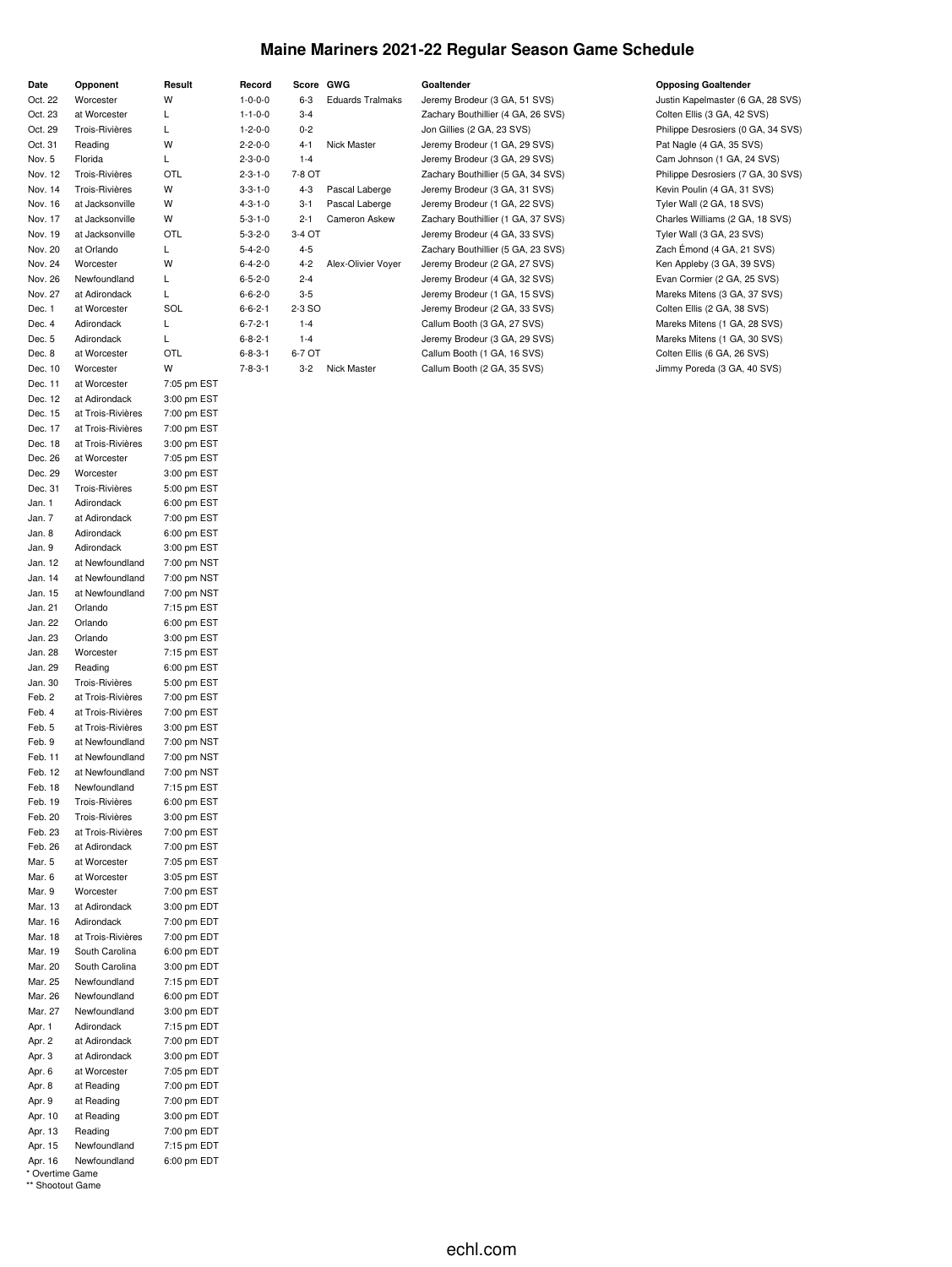## **Maine Mariners 2021-22 Regular Season Game Schedule**

|                    |                       |                            |                           |           |                         | Goaltender                         |                                                                 |
|--------------------|-----------------------|----------------------------|---------------------------|-----------|-------------------------|------------------------------------|-----------------------------------------------------------------|
| Date               | Opponent<br>Worcester | Result<br>W                | Record<br>$1 - 0 - 0 - 0$ | Score GWG | <b>Eduards Tralmaks</b> |                                    | <b>Opposing Goaltender</b><br>Justin Kapelmaster (6 GA, 28 SVS) |
| Oct. 22            |                       |                            |                           | 6-3       |                         | Jeremy Brodeur (3 GA, 51 SVS)      |                                                                 |
| Oct. 23            | at Worcester          | L                          | $1 - 1 - 0 - 0$           | $3 - 4$   |                         | Zachary Bouthillier (4 GA, 26 SVS) | Colten Ellis (3 GA, 42 SVS)                                     |
| Oct. 29            | Trois-Rivières        | Г                          | $1 - 2 - 0 - 0$           | $0 - 2$   |                         | Jon Gillies (2 GA, 23 SVS)         | Philippe Desrosiers (0 GA, 34 SVS)                              |
| Oct. 31            | Reading               | W                          | $2 - 2 - 0 - 0$           | $4 - 1$   | Nick Master             | Jeremy Brodeur (1 GA, 29 SVS)      | Pat Nagle (4 GA, 35 SVS)                                        |
| Nov. 5             | Florida               | Г                          | $2 - 3 - 0 - 0$           | $1 - 4$   |                         | Jeremy Brodeur (3 GA, 29 SVS)      | Cam Johnson (1 GA, 24 SVS)                                      |
| Nov. 12            | Trois-Rivières        | OTL                        | $2 - 3 - 1 - 0$           | 7-8 OT    |                         | Zachary Bouthillier (5 GA, 34 SVS) | Philippe Desrosiers (7 GA, 30 SVS)                              |
| Nov. 14            | Trois-Rivières        | W                          | $3 - 3 - 1 - 0$           | $4 - 3$   | Pascal Laberge          | Jeremy Brodeur (3 GA, 31 SVS)      | Kevin Poulin (4 GA, 31 SVS)                                     |
| Nov. 16            | at Jacksonville       | W                          | $4 - 3 - 1 - 0$           | $3 - 1$   | Pascal Laberge          | Jeremy Brodeur (1 GA, 22 SVS)      | Tyler Wall (2 GA, 18 SVS)                                       |
| Nov. 17            | at Jacksonville       | W                          | $5 - 3 - 1 - 0$           | $2 - 1$   | Cameron Askew           | Zachary Bouthillier (1 GA, 37 SVS) | Charles Williams (2 GA, 18 SVS)                                 |
| Nov. 19            | at Jacksonville       | OTL                        | $5 - 3 - 2 - 0$           | 3-4 OT    |                         | Jeremy Brodeur (4 GA, 33 SVS)      | Tyler Wall (3 GA, 23 SVS)                                       |
| Nov. 20            | at Orlando            | L                          | $5 - 4 - 2 - 0$           | $4 - 5$   |                         | Zachary Bouthillier (5 GA, 23 SVS) | Zach Émond (4 GA, 21 SVS)                                       |
| Nov. 24            | Worcester             | W                          | $6 - 4 - 2 - 0$           | $4 - 2$   | Alex-Olivier Voyer      | Jeremy Brodeur (2 GA, 27 SVS)      | Ken Appleby (3 GA, 39 SVS)                                      |
| Nov. 26            | Newfoundland          | L                          | $6 - 5 - 2 - 0$           | $2 - 4$   |                         | Jeremy Brodeur (4 GA, 32 SVS)      | Evan Cormier (2 GA, 25 SVS)                                     |
| Nov. 27            | at Adirondack         | Г                          | $6 - 6 - 2 - 0$           | $3 - 5$   |                         | Jeremy Brodeur (1 GA, 15 SVS)      | Mareks Mitens (3 GA, 37 SVS)                                    |
| Dec. 1             | at Worcester          | SOL                        | $6 - 6 - 2 - 1$           | 2-3 SO    |                         | Jeremy Brodeur (2 GA, 33 SVS)      | Colten Ellis (2 GA, 38 SVS)                                     |
| Dec. 4             | Adirondack            | Г                          | $6 - 7 - 2 - 1$           | $1 - 4$   |                         | Callum Booth (3 GA, 27 SVS)        | Mareks Mitens (1 GA, 28 SVS)                                    |
| Dec. 5             | Adirondack            | Г                          | $6 - 8 - 2 - 1$           | $1 - 4$   |                         | Jeremy Brodeur (3 GA, 29 SVS)      | Mareks Mitens (1 GA, 30 SVS)                                    |
| Dec. 8             | at Worcester          | OTL                        | $6 - 8 - 3 - 1$           | 6-7 OT    |                         | Callum Booth (1 GA, 16 SVS)        | Colten Ellis (6 GA, 26 SVS)                                     |
| Dec. 10            | Worcester             | W                          | $7 - 8 - 3 - 1$           | $3 - 2$   | <b>Nick Master</b>      | Callum Booth (2 GA, 35 SVS)        | Jimmy Poreda (3 GA, 40 SVS)                                     |
| Dec. 11            | at Worcester          | 7:05 pm EST                |                           |           |                         |                                    |                                                                 |
| Dec. 12            | at Adirondack         | 3:00 pm EST                |                           |           |                         |                                    |                                                                 |
| Dec. 15            | at Trois-Rivières     | 7:00 pm EST                |                           |           |                         |                                    |                                                                 |
| Dec. 17            | at Trois-Rivières     | 7:00 pm EST                |                           |           |                         |                                    |                                                                 |
| Dec. 18            | at Trois-Rivières     | 3:00 pm EST                |                           |           |                         |                                    |                                                                 |
| Dec. 26            | at Worcester          | 7:05 pm EST                |                           |           |                         |                                    |                                                                 |
| Dec. 29            | Worcester             | 3:00 pm EST                |                           |           |                         |                                    |                                                                 |
|                    |                       |                            |                           |           |                         |                                    |                                                                 |
| Dec. 31            | Trois-Rivières        | 5:00 pm EST                |                           |           |                         |                                    |                                                                 |
| Jan. 1             | Adirondack            | 6:00 pm EST                |                           |           |                         |                                    |                                                                 |
| Jan. 7             | at Adirondack         | 7:00 pm EST                |                           |           |                         |                                    |                                                                 |
| Jan. 8             | Adirondack            | 6:00 pm EST                |                           |           |                         |                                    |                                                                 |
| Jan. 9             | Adirondack            | 3:00 pm EST                |                           |           |                         |                                    |                                                                 |
| Jan. 12            | at Newfoundland       | 7:00 pm NST                |                           |           |                         |                                    |                                                                 |
| Jan. 14            | at Newfoundland       | 7:00 pm NST                |                           |           |                         |                                    |                                                                 |
| Jan. 15            | at Newfoundland       | 7:00 pm NST                |                           |           |                         |                                    |                                                                 |
| Jan. 21            | Orlando               | 7:15 pm EST                |                           |           |                         |                                    |                                                                 |
| Jan. 22            | Orlando               | 6:00 pm EST                |                           |           |                         |                                    |                                                                 |
| Jan. 23            | Orlando               | 3:00 pm EST                |                           |           |                         |                                    |                                                                 |
| Jan. 28            | Worcester             | 7:15 pm EST                |                           |           |                         |                                    |                                                                 |
| Jan. 29            | Reading               | 6:00 pm EST                |                           |           |                         |                                    |                                                                 |
| Jan. 30            | Trois-Rivières        | 5:00 pm EST                |                           |           |                         |                                    |                                                                 |
| Feb. 2             | at Trois-Rivières     | 7:00 pm EST                |                           |           |                         |                                    |                                                                 |
| Feb. 4             | at Trois-Rivières     | 7:00 pm EST                |                           |           |                         |                                    |                                                                 |
| Feb. 5             | at Trois-Rivières     | 3:00 pm EST                |                           |           |                         |                                    |                                                                 |
| Feb. 9             | at Newfoundland       | 7:00 pm NST                |                           |           |                         |                                    |                                                                 |
| Feb. 11            | at Newfoundland       | 7:00 pm NST                |                           |           |                         |                                    |                                                                 |
| Feb. 12            | at Newfoundland       | 7:00 pm NST                |                           |           |                         |                                    |                                                                 |
| Feb. 18            | Newfoundland          | 7:15 pm EST                |                           |           |                         |                                    |                                                                 |
| Feb. 19            | Trois-Rivières        | 6:00 pm EST                |                           |           |                         |                                    |                                                                 |
| Feb. 20            | Trois-Rivières        | 3:00 pm EST                |                           |           |                         |                                    |                                                                 |
| Feb. 23            | at Trois-Rivières     | 7:00 pm EST                |                           |           |                         |                                    |                                                                 |
| Feb. 26            | at Adirondack         | 7:00 pm EST                |                           |           |                         |                                    |                                                                 |
| Mar. 5             | at Worcester          | 7:05 pm EST                |                           |           |                         |                                    |                                                                 |
| Mar. 6             | at Worcester          | 3:05 pm EST                |                           |           |                         |                                    |                                                                 |
| Mar. 9             | Worcester             | 7:00 pm EST                |                           |           |                         |                                    |                                                                 |
| Mar. 13            | at Adirondack         | 3:00 pm EDT                |                           |           |                         |                                    |                                                                 |
|                    | Adirondack            |                            |                           |           |                         |                                    |                                                                 |
| Mar. 16<br>Mar. 18 | at Trois-Rivières     | 7:00 pm EDT<br>7:00 pm EDT |                           |           |                         |                                    |                                                                 |
|                    |                       |                            |                           |           |                         |                                    |                                                                 |
| Mar. 19            | South Carolina        | 6:00 pm EDT                |                           |           |                         |                                    |                                                                 |
| Mar. 20            | South Carolina        | 3:00 pm EDT                |                           |           |                         |                                    |                                                                 |
| Mar. 25            | Newfoundland          | 7:15 pm EDT                |                           |           |                         |                                    |                                                                 |
| Mar. 26            | Newfoundland          | 6:00 pm EDT                |                           |           |                         |                                    |                                                                 |
| Mar. 27            | Newfoundland          | 3:00 pm EDT                |                           |           |                         |                                    |                                                                 |
| Apr. 1             | Adirondack            | 7:15 pm EDT                |                           |           |                         |                                    |                                                                 |
| Apr. 2             | at Adirondack         | 7:00 pm EDT                |                           |           |                         |                                    |                                                                 |
| Apr. 3             | at Adirondack         | 3:00 pm EDT                |                           |           |                         |                                    |                                                                 |
| Apr. 6             | at Worcester          | 7:05 pm EDT                |                           |           |                         |                                    |                                                                 |
| Apr. 8             | at Reading            | 7:00 pm EDT                |                           |           |                         |                                    |                                                                 |
| Apr. 9             | at Reading            | 7:00 pm EDT                |                           |           |                         |                                    |                                                                 |
| Apr. 10            | at Reading            | 3:00 pm EDT                |                           |           |                         |                                    |                                                                 |
| Apr. 13            | Reading               | 7:00 pm EDT                |                           |           |                         |                                    |                                                                 |
| Apr. 15            | Newfoundland          | 7:15 pm EDT                |                           |           |                         |                                    |                                                                 |
| Apr. 16            | Newfoundland          | 6:00 pm EDT                |                           |           |                         |                                    |                                                                 |

<sup>\*</sup> Overtime Game \*\* Shootout Game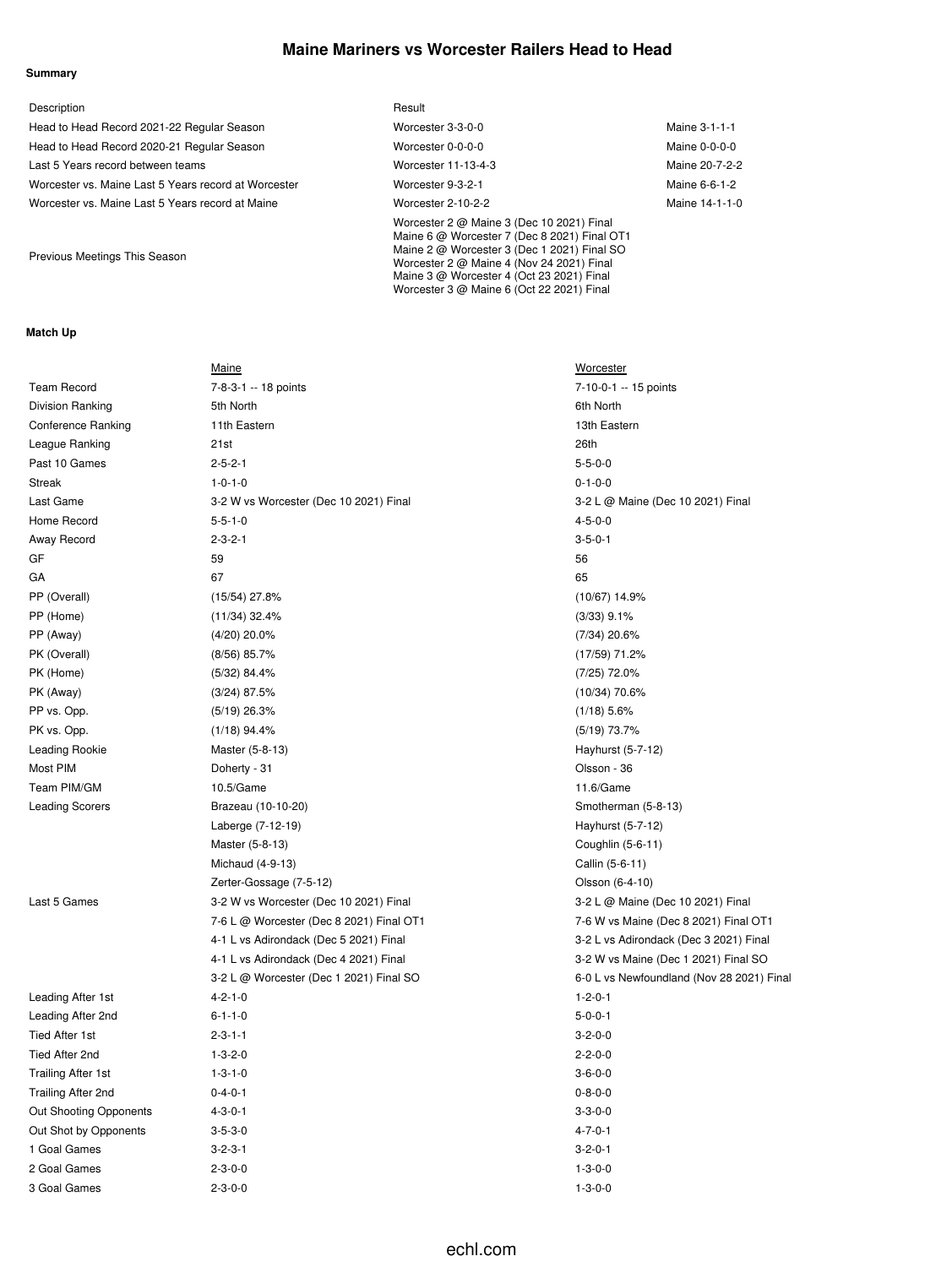## **Maine Mariners vs Worcester Railers Head to Head**

#### **Summary**

| Description                                          | Result                                                                                                                                                                                                                                                                          |                |
|------------------------------------------------------|---------------------------------------------------------------------------------------------------------------------------------------------------------------------------------------------------------------------------------------------------------------------------------|----------------|
| Head to Head Record 2021-22 Regular Season           | Worcester 3-3-0-0                                                                                                                                                                                                                                                               | Maine 3-1-1-1  |
| Head to Head Record 2020-21 Regular Season           | Worcester 0-0-0-0                                                                                                                                                                                                                                                               | Maine 0-0-0-0  |
| Last 5 Years record between teams                    | Worcester 11-13-4-3                                                                                                                                                                                                                                                             | Maine 20-7-2-2 |
| Worcester vs. Maine Last 5 Years record at Worcester | Worcester 9-3-2-1                                                                                                                                                                                                                                                               | Maine 6-6-1-2  |
| Worcester vs. Maine Last 5 Years record at Maine     | Worcester 2-10-2-2                                                                                                                                                                                                                                                              | Maine 14-1-1-0 |
| Previous Meetings This Season                        | Worcester 2 @ Maine 3 (Dec 10 2021) Final<br>Maine 6 @ Worcester 7 (Dec 8 2021) Final OT1<br>Maine 2 @ Worcester 3 (Dec 1 2021) Final SO<br>Worcester 2 @ Maine 4 (Nov 24 2021) Final<br>Maine 3 @ Worcester 4 (Oct 23 2021) Final<br>Worcester 3 @ Maine 6 (Oct 22 2021) Final |                |

#### **Match Up**

|                               | Maine                                    | <b>Worcester</b>                          |
|-------------------------------|------------------------------------------|-------------------------------------------|
| <b>Team Record</b>            | 7-8-3-1 -- 18 points                     | 7-10-0-1 -- 15 points                     |
| Division Ranking              | 5th North                                | 6th North                                 |
| <b>Conference Ranking</b>     | 11th Eastern                             | 13th Eastern                              |
| League Ranking                | 21st                                     | 26th                                      |
| Past 10 Games                 | $2 - 5 - 2 - 1$                          | $5 - 5 - 0 - 0$                           |
| <b>Streak</b>                 | $1 - 0 - 1 - 0$                          | $0 - 1 - 0 - 0$                           |
| Last Game                     | 3-2 W vs Worcester (Dec 10 2021) Final   | 3-2 L @ Maine (Dec 10 2021) Final         |
| Home Record                   | $5 - 5 - 1 - 0$                          | $4 - 5 - 0 - 0$                           |
| Away Record                   | $2 - 3 - 2 - 1$                          | $3 - 5 - 0 - 1$                           |
| GF                            | 59                                       | 56                                        |
| GА                            | 67                                       | 65                                        |
| PP (Overall)                  | $(15/54)$ 27.8%                          | $(10/67)$ 14.9%                           |
| PP (Home)                     | $(11/34)$ 32.4%                          | $(3/33)$ 9.1%                             |
| PP (Away)                     | (4/20) 20.0%                             | $(7/34)$ 20.6%                            |
| PK (Overall)                  | $(8/56)$ 85.7%                           | (17/59) 71.2%                             |
| PK (Home)                     | (5/32) 84.4%                             | $(7/25)$ 72.0%                            |
| PK (Away)                     | $(3/24)$ 87.5%                           | (10/34) 70.6%                             |
| PP vs. Opp.                   | $(5/19)$ 26.3%                           | $(1/18)$ 5.6%                             |
| PK vs. Opp.                   | $(1/18)$ 94.4%                           | $(5/19)$ 73.7%                            |
| Leading Rookie                | Master (5-8-13)                          | Hayhurst (5-7-12)                         |
| Most PIM                      | Doherty - 31                             | Olsson - 36                               |
| Team PIM/GM                   | 10.5/Game                                | 11.6/Game                                 |
| <b>Leading Scorers</b>        | Brazeau (10-10-20)                       | Smotherman (5-8-13)                       |
|                               | Laberge (7-12-19)                        | Hayhurst (5-7-12)                         |
|                               | Master (5-8-13)                          | Coughlin (5-6-11)                         |
|                               | Michaud (4-9-13)                         | Callin (5-6-11)                           |
|                               | Zerter-Gossage (7-5-12)                  | Olsson (6-4-10)                           |
| Last 5 Games                  | 3-2 W vs Worcester (Dec 10 2021) Final   | 3-2 L @ Maine (Dec 10 2021) Final         |
|                               | 7-6 L @ Worcester (Dec 8 2021) Final OT1 | 7-6 W vs Maine (Dec 8 2021) Final OT1     |
|                               | 4-1 L vs Adirondack (Dec 5 2021) Final   | 3-2 L vs Adirondack (Dec 3 2021) Final    |
|                               | 4-1 L vs Adirondack (Dec 4 2021) Final   | 3-2 W vs Maine (Dec 1 2021) Final SO      |
|                               | 3-2 L @ Worcester (Dec 1 2021) Final SO  | 6-0 L vs Newfoundland (Nov 28 2021) Final |
| Leading After 1st             | $4 - 2 - 1 - 0$                          | $1 - 2 - 0 - 1$                           |
| Leading After 2nd             | $6 - 1 - 1 - 0$                          | $5 - 0 - 0 - 1$                           |
| <b>Tied After 1st</b>         | $2 - 3 - 1 - 1$                          | $3 - 2 - 0 - 0$                           |
| Tied After 2nd                | $1 - 3 - 2 - 0$                          | $2 - 2 - 0 - 0$                           |
| <b>Trailing After 1st</b>     | $1 - 3 - 1 - 0$                          | $3 - 6 - 0 - 0$                           |
| Trailing After 2nd            | $0 - 4 - 0 - 1$                          | $0 - 8 - 0 - 0$                           |
| <b>Out Shooting Opponents</b> | $4 - 3 - 0 - 1$                          | $3 - 3 - 0 - 0$                           |
| Out Shot by Opponents         | $3 - 5 - 3 - 0$                          | $4 - 7 - 0 - 1$                           |
| 1 Goal Games                  | $3 - 2 - 3 - 1$                          | $3 - 2 - 0 - 1$                           |
| 2 Goal Games                  | $2 - 3 - 0 - 0$                          | $1 - 3 - 0 - 0$                           |
| 3 Goal Games                  | $2 - 3 - 0 - 0$                          | $1 - 3 - 0 - 0$                           |

# echl.com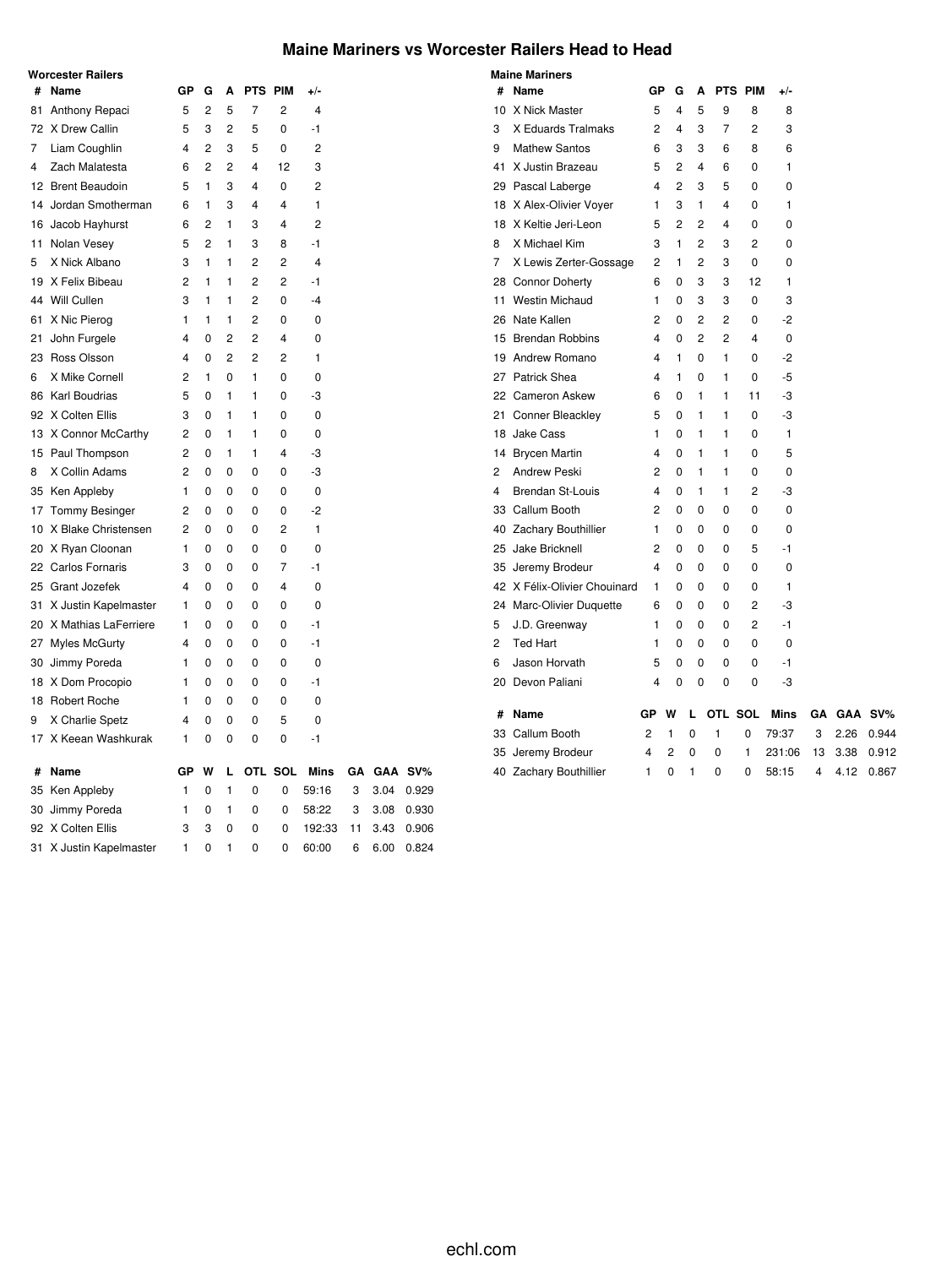## **Maine Mariners vs Worcester Railers Head to Head**

|    | <b>Worcester Railers</b> |    |                |                |                |                |                |    |      |         |
|----|--------------------------|----|----------------|----------------|----------------|----------------|----------------|----|------|---------|
| #  | Name                     | GР | G              | A              | <b>PTS</b>     | <b>PIM</b>     | $+/-$          |    |      |         |
| 81 | Anthony Repaci           | 5  | $\overline{2}$ | 5              | 7              | 2              | 4              |    |      |         |
| 72 | X Drew Callin            | 5  | 3              | $\overline{2}$ | 5              | 0              | $-1$           |    |      |         |
| 7  | Liam Coughlin            | 4  | $\overline{2}$ | 3              | 5              | 0              | 2              |    |      |         |
| 4  | Zach Malatesta           | 6  | 2              | 2              | 4              | 12             | 3              |    |      |         |
|    | 12 Brent Beaudoin        | 5  | 1              | 3              | $\overline{4}$ | 0              | 2              |    |      |         |
|    | 14 Jordan Smotherman     | 6  | 1              | 3              | $\overline{4}$ | 4              | 1              |    |      |         |
|    | 16 Jacob Hayhurst        | 6  | $\overline{c}$ | 1              | 3              | 4              | $\overline{2}$ |    |      |         |
| 11 | Nolan Vesey              | 5  | $\overline{2}$ | 1              | 3              | 8              | $-1$           |    |      |         |
| 5  | X Nick Albano            | 3  | 1              | 1              | $\overline{2}$ | 2              | $\overline{4}$ |    |      |         |
|    | 19 X Felix Bibeau        | 2  | 1              | 1              | 2              | 2              | $-1$           |    |      |         |
|    | 44 Will Cullen           | 3  | 1              | 1              | $\overline{2}$ | 0              | $-4$           |    |      |         |
| 61 | X Nic Pierog             | 1  | $\mathbf{1}$   | 1              | $\overline{2}$ | 0              | 0              |    |      |         |
| 21 | John Furgele             | 4  | 0              | $\overline{2}$ | $\overline{2}$ | 4              | 0              |    |      |         |
|    | 23 Ross Olsson           | 4  | 0              | $\overline{2}$ | $\overline{2}$ | 2              | 1              |    |      |         |
| 6  | X Mike Cornell           | 2  | 1              | 0              | 1              | 0              | 0              |    |      |         |
|    | 86 Karl Boudrias         | 5  | 0              | 1              | 1              | 0              | -3             |    |      |         |
|    | 92 X Colten Ellis        | 3  | 0              | 1              | 1              | 0              | 0              |    |      |         |
|    | 13 X Connor McCarthy     | 2  | 0              | 1              | 1              | 0              | 0              |    |      |         |
|    | 15 Paul Thompson         | 2  | 0              | 1              | 1              | 4              | -3             |    |      |         |
| 8  | X Collin Adams           | 2  | 0              | 0              | 0              | 0              | -3             |    |      |         |
|    | 35 Ken Appleby           | 1  | 0              | 0              | 0              | 0              | 0              |    |      |         |
| 17 | Tommy Besinger           | 2  | 0              | 0              | 0              | 0              | $-2$           |    |      |         |
| 10 | X Blake Christensen      | 2  | 0              | 0              | 0              | 2              | 1              |    |      |         |
| 20 | X Ryan Cloonan           | 1  | 0              | 0              | 0              | 0              | 0              |    |      |         |
|    | 22 Carlos Fornaris       | 3  | 0              | 0              | 0              | $\overline{7}$ | $-1$           |    |      |         |
|    | 25 Grant Jozefek         | 4  | 0              | 0              | 0              | 4              | 0              |    |      |         |
| 31 | X Justin Kapelmaster     | 1  | 0              | 0              | 0              | 0              | 0              |    |      |         |
|    | 20 X Mathias LaFerriere  | 1  | 0              | 0              | 0              | 0              | $-1$           |    |      |         |
| 27 | <b>Myles McGurty</b>     | 4  | 0              | 0              | 0              | 0              | $-1$           |    |      |         |
|    | 30 Jimmy Poreda          | 1  | 0              | 0              | 0              | 0              | 0              |    |      |         |
|    | 18 X Dom Procopio        | 1  | 0              | 0              | 0              | 0              | $-1$           |    |      |         |
|    | 18 Robert Roche          | 1  | 0              | 0              | 0              | 0              | 0              |    |      |         |
| 9  | X Charlie Spetz          | 4  | 0              | $\Omega$       | 0              | 5              | 0              |    |      |         |
|    | 17 X Keean Washkurak     | 1  | 0              | 0              | 0              | 0              | $-1$           |    |      |         |
| #  | Name                     | GP | W              | L              |                | OTL SOL        | <b>Mins</b>    | GΑ |      | GAA SV% |
|    | 35 Ken Appleby           | 1  | 0              | 1              | 0              | 0              | 59:16          | 3  | 3.04 | 0.929   |
|    | 30 Jimmy Poreda          | 1  | 0              | 1              | 0              | 0              | 58:22          | 3  | 3.08 | 0.930   |
|    | 92 X Colten Ellis        | 3  | 3              | 0              | 0              | 0              | 192:33         | 11 | 3.43 | 0.906   |
| 31 | X Justin Kapelmaster     | 1  | 0              | 1              | 0              | 0              | 60:00          | 6  | 6.00 | 0.824   |

|    | <b>Maine Mariners</b>        |                |          |   |              |         |        |    |      |         |
|----|------------------------------|----------------|----------|---|--------------|---------|--------|----|------|---------|
| #  | Name                         | GР             | G        | A |              | PTS PIM | +/-    |    |      |         |
| 10 | X Nick Master                | 5              | 4        | 5 | 9            | 8       | 8      |    |      |         |
| 3  | X Eduards Tralmaks           | 2              | 4        | 3 | 7            | 2       | 3      |    |      |         |
| 9  | <b>Mathew Santos</b>         | 6              | 3        | 3 | 6            | 8       | 6      |    |      |         |
| 41 | X Justin Brazeau             | 5              | 2        | 4 | 6            | 0       | 1      |    |      |         |
|    | 29 Pascal Laberge            | 4              | 2        | 3 | 5            | 0       | 0      |    |      |         |
|    | 18 X Alex-Olivier Voyer      | 1              | 3        | 1 | 4            | 0       | 1      |    |      |         |
|    | 18 X Keltie Jeri-Leon        | 5              | 2        | 2 | 4            | 0       | 0      |    |      |         |
| 8  | X Michael Kim                | 3              | 1        | 2 | 3            | 2       | 0      |    |      |         |
| 7  | X Lewis Zerter-Gossage       | 2              | 1        | 2 | 3            | 0       | 0      |    |      |         |
|    | 28 Connor Doherty            | 6              | 0        | 3 | 3            | 12      | 1      |    |      |         |
|    | 11 Westin Michaud            | 1              | 0        | 3 | 3            | 0       | 3      |    |      |         |
|    | 26 Nate Kallen               | 2              | 0        | 2 | 2            | 0       | -2     |    |      |         |
|    | 15 Brendan Robbins           | 4              | 0        | 2 | 2            | 4       | 0      |    |      |         |
|    | 19 Andrew Romano             | 4              | 1        | 0 | 1            | 0       | -2     |    |      |         |
| 27 | <b>Patrick Shea</b>          | 4              | 1        | 0 | 1            | 0       | -5     |    |      |         |
|    | 22 Cameron Askew             | 6              | 0        | 1 | $\mathbf{1}$ | 11      | -3     |    |      |         |
|    | 21 Conner Bleackley          | 5              | 0        | 1 | 1            | 0       | -3     |    |      |         |
|    | 18 Jake Cass                 | 1              | 0        | 1 | 1            | 0       | 1      |    |      |         |
|    | 14 Brycen Martin             | 4              | 0        | 1 | 1            | 0       | 5      |    |      |         |
| 2  | <b>Andrew Peski</b>          | $\overline{2}$ | $\Omega$ | 1 | $\mathbf{1}$ | 0       | 0      |    |      |         |
| 4  | <b>Brendan St-Louis</b>      | 4              | 0        | 1 | 1            | 2       | -3     |    |      |         |
|    | 33 Callum Booth              | 2              | 0        | 0 | 0            | 0       | 0      |    |      |         |
|    | 40 Zachary Bouthillier       | 1              | 0        | 0 | 0            | 0       | 0      |    |      |         |
|    | 25 Jake Bricknell            | 2              | 0        | 0 | 0            | 5       | $-1$   |    |      |         |
|    | 35 Jeremy Brodeur            | 4              | $\Omega$ | 0 | 0            | 0       | 0      |    |      |         |
|    | 42 X Félix-Olivier Chouinard | 1              | 0        | 0 | 0            | 0       | 1      |    |      |         |
|    | 24 Marc-Olivier Duquette     | 6              | 0        | 0 | 0            | 2       | -3     |    |      |         |
| 5  | J.D. Greenway                | 1              | 0        | 0 | 0            | 2       | $-1$   |    |      |         |
| 2  | <b>Ted Hart</b>              | 1              | 0        | 0 | 0            | 0       | 0      |    |      |         |
| 6  | Jason Horvath                | 5              | 0        | 0 | 0            | 0       | -1     |    |      |         |
|    | 20 Devon Paliani             | 4              | 0        | 0 | 0            | 0       | -3     |    |      |         |
| #  | Name                         | GP             | W        | L | OTL SOL      |         | Mins   | GΑ |      | GAA SV% |
|    | 33 Callum Booth              | 2              | 1        | 0 | 1            | 0       | 79:37  | 3  | 2.26 | 0.944   |
|    | 35 Jeremy Brodeur            | 4              | 2        | 0 | 0            | 1       | 231:06 | 13 | 3.38 | 0.912   |
|    | 40 Zachary Bouthillier       | 1              | 0        | 1 | 0            | 0       | 58:15  | 4  | 4.12 | 0.867   |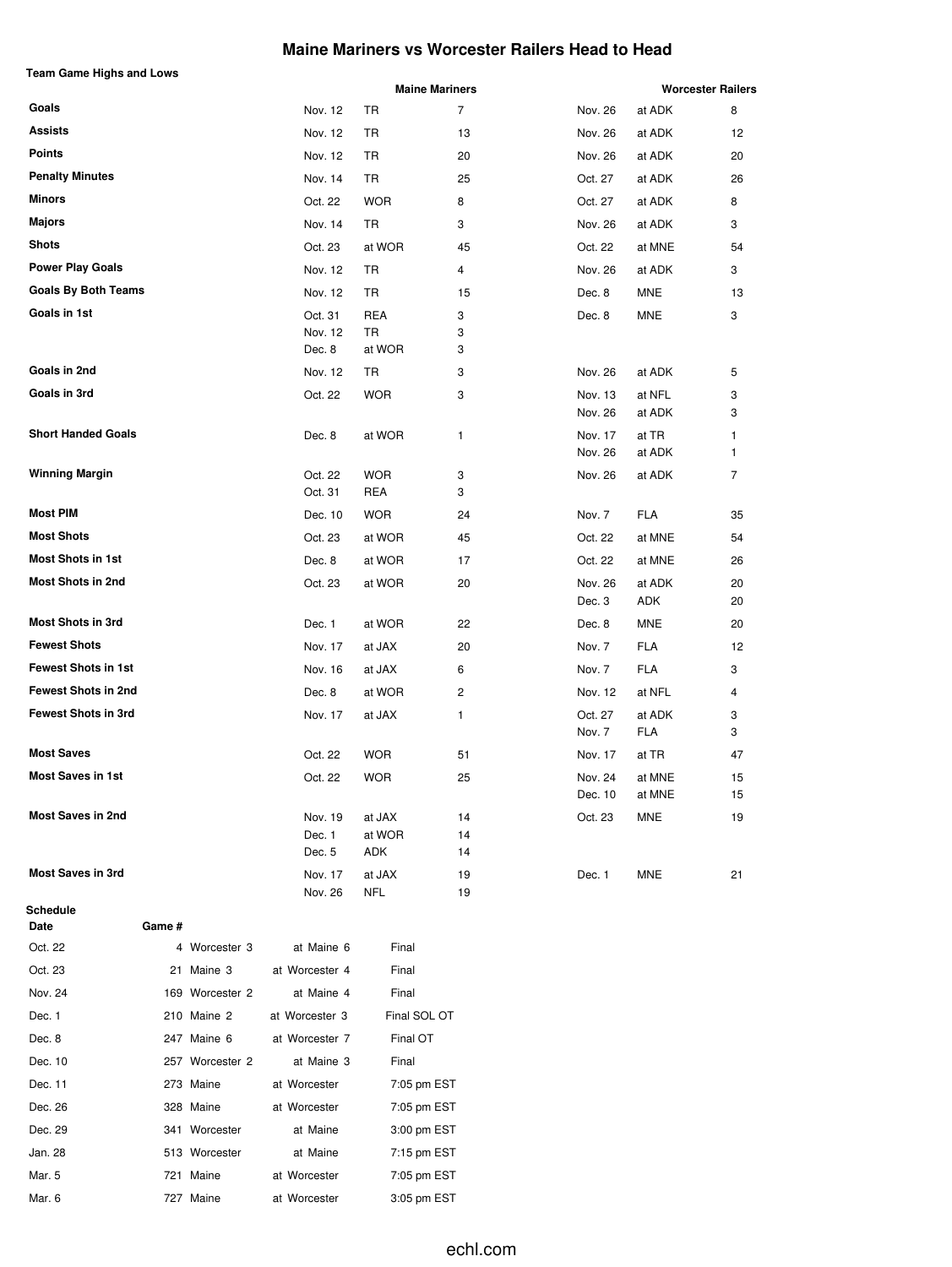## **Maine Mariners vs Worcester Railers Head to Head**

|  | Team Game Highs and Lows |  |
|--|--------------------------|--|
|  |                          |  |

| Team Game Highs and Lows   |        |                 |                    |               | <b>Maine Mariners</b> |                    |                      | <b>Worcester Railers</b> |
|----------------------------|--------|-----------------|--------------------|---------------|-----------------------|--------------------|----------------------|--------------------------|
| Goals                      |        |                 | Nov. 12            | TR            | $\overline{7}$        | Nov. 26            | at ADK               | 8                        |
| <b>Assists</b>             |        |                 | Nov. 12            | TR            | 13                    | Nov. 26            | at ADK               | 12                       |
| <b>Points</b>              |        |                 | Nov. 12            | TR            | 20                    | Nov. 26            | at ADK               | 20                       |
| <b>Penalty Minutes</b>     |        |                 | Nov. 14            | TR            | 25                    | Oct. 27            | at ADK               | 26                       |
| Minors                     |        |                 | Oct. 22            | <b>WOR</b>    | 8                     | Oct. 27            | at ADK               | 8                        |
| Majors                     |        |                 | Nov. 14            | TR            | 3                     | Nov. 26            | at ADK               | 3                        |
| <b>Shots</b>               |        |                 | Oct. 23            | at WOR        | 45                    | Oct. 22            | at MNE               | 54                       |
| <b>Power Play Goals</b>    |        |                 | Nov. 12            | TR            | 4                     | Nov. 26            | at ADK               | 3                        |
| <b>Goals By Both Teams</b> |        |                 | Nov. 12            | TR            | 15                    | Dec. 8             | MNE                  | 13                       |
| Goals in 1st               |        |                 | Oct. 31            | <b>REA</b>    | 3                     | Dec. 8             | MNE                  | 3                        |
|                            |        |                 | Nov. 12            | TR            | 3                     |                    |                      |                          |
|                            |        |                 | Dec. 8             | at WOR        | 3                     |                    |                      |                          |
| Goals in 2nd               |        |                 | Nov. 12            | TR            | 3                     | Nov. 26            | at ADK               | 5                        |
| Goals in 3rd               |        |                 | Oct. 22            | <b>WOR</b>    | 3                     | Nov. 13<br>Nov. 26 | at NFL<br>at ADK     | 3<br>3                   |
| <b>Short Handed Goals</b>  |        |                 | Dec. 8             | at WOR        | 1                     | Nov. 17            | at TR                | 1                        |
|                            |        |                 |                    |               |                       | Nov. 26            | at ADK               | 1                        |
| <b>Winning Margin</b>      |        |                 | Oct. 22            | <b>WOR</b>    | 3                     | Nov. 26            | at ADK               | 7                        |
|                            |        |                 | Oct. 31            | REA           | 3                     |                    |                      |                          |
| <b>Most PIM</b>            |        |                 | Dec. 10            | <b>WOR</b>    | 24                    | Nov. 7             | <b>FLA</b>           | 35                       |
| <b>Most Shots</b>          |        |                 | Oct. 23            | at WOR        | 45                    | Oct. 22            | at MNE               | 54                       |
| Most Shots in 1st          |        |                 | Dec. 8             | at WOR        | 17                    | Oct. 22            | at MNE               | 26                       |
| <b>Most Shots in 2nd</b>   |        |                 | Oct. 23            | at WOR        | 20                    | Nov. 26<br>Dec. 3  | at ADK<br>ADK        | 20<br>20                 |
| <b>Most Shots in 3rd</b>   |        |                 | Dec. 1             | at WOR        | 22                    | Dec. 8             | MNE                  | 20                       |
| <b>Fewest Shots</b>        |        |                 | Nov. 17            | at JAX        | 20                    | Nov. 7             | <b>FLA</b>           | 12                       |
| <b>Fewest Shots in 1st</b> |        |                 | Nov. 16            | at JAX        | 6                     | Nov. 7             | <b>FLA</b>           | 3                        |
| <b>Fewest Shots in 2nd</b> |        |                 | Dec. 8             | at WOR        | 2                     | Nov. 12            | at NFL               | 4                        |
| <b>Fewest Shots in 3rd</b> |        |                 | Nov. 17            | at JAX        | 1                     | Oct. 27<br>Nov. 7  | at ADK<br><b>FLA</b> | 3<br>3                   |
| <b>Most Saves</b>          |        |                 | Oct. 22            | <b>WOR</b>    | 51                    | Nov. 17            | at TR                | 47                       |
| <b>Most Saves in 1st</b>   |        |                 | Oct. 22            | WOR           | 25                    | Nov. 24<br>Dec. 10 | at MNE<br>at MNE     | 15<br>15                 |
| <b>Most Saves in 2nd</b>   |        |                 | Nov. 19            | at JAX        | 14                    | Oct. 23            | MNE                  | 19                       |
|                            |        |                 | Dec. 1<br>Dec. 5   | at WOR<br>ADK | 14<br>14              |                    |                      |                          |
| <b>Most Saves in 3rd</b>   |        |                 | Nov. 17<br>Nov. 26 | at JAX<br>NFL | 19<br>19              | Dec. 1             | MNE                  | 21                       |
| Schedule<br>Date           | Game # |                 |                    |               |                       |                    |                      |                          |
| Oct. 22                    |        | 4 Worcester 3   | at Maine 6         | Final         |                       |                    |                      |                          |
| Oct. 23                    |        | 21 Maine 3      | at Worcester 4     | Final         |                       |                    |                      |                          |
| Nov. 24                    |        | 169 Worcester 2 | at Maine 4         | Final         |                       |                    |                      |                          |
| Dec. 1                     |        | 210 Maine 2     | at Worcester 3     | Final SOL OT  |                       |                    |                      |                          |
| Dec. 8                     |        | 247 Maine 6     | at Worcester 7     | Final OT      |                       |                    |                      |                          |
| Dec. 10                    |        | 257 Worcester 2 | at Maine 3         | Final         |                       |                    |                      |                          |
| Dec. 11                    |        | 273 Maine       | at Worcester       | 7:05 pm EST   |                       |                    |                      |                          |
| Dec. 26                    |        | 328 Maine       | at Worcester       | 7:05 pm EST   |                       |                    |                      |                          |
| Dec. 29                    |        | 341 Worcester   | at Maine           | 3:00 pm EST   |                       |                    |                      |                          |
| Jan. 28                    |        | 513 Worcester   | at Maine           | 7:15 pm EST   |                       |                    |                      |                          |
| Mar. 5                     |        | 721 Maine       | at Worcester       | 7:05 pm EST   |                       |                    |                      |                          |
| Mar. 6                     |        | 727 Maine       | at Worcester       | 3:05 pm EST   |                       |                    |                      |                          |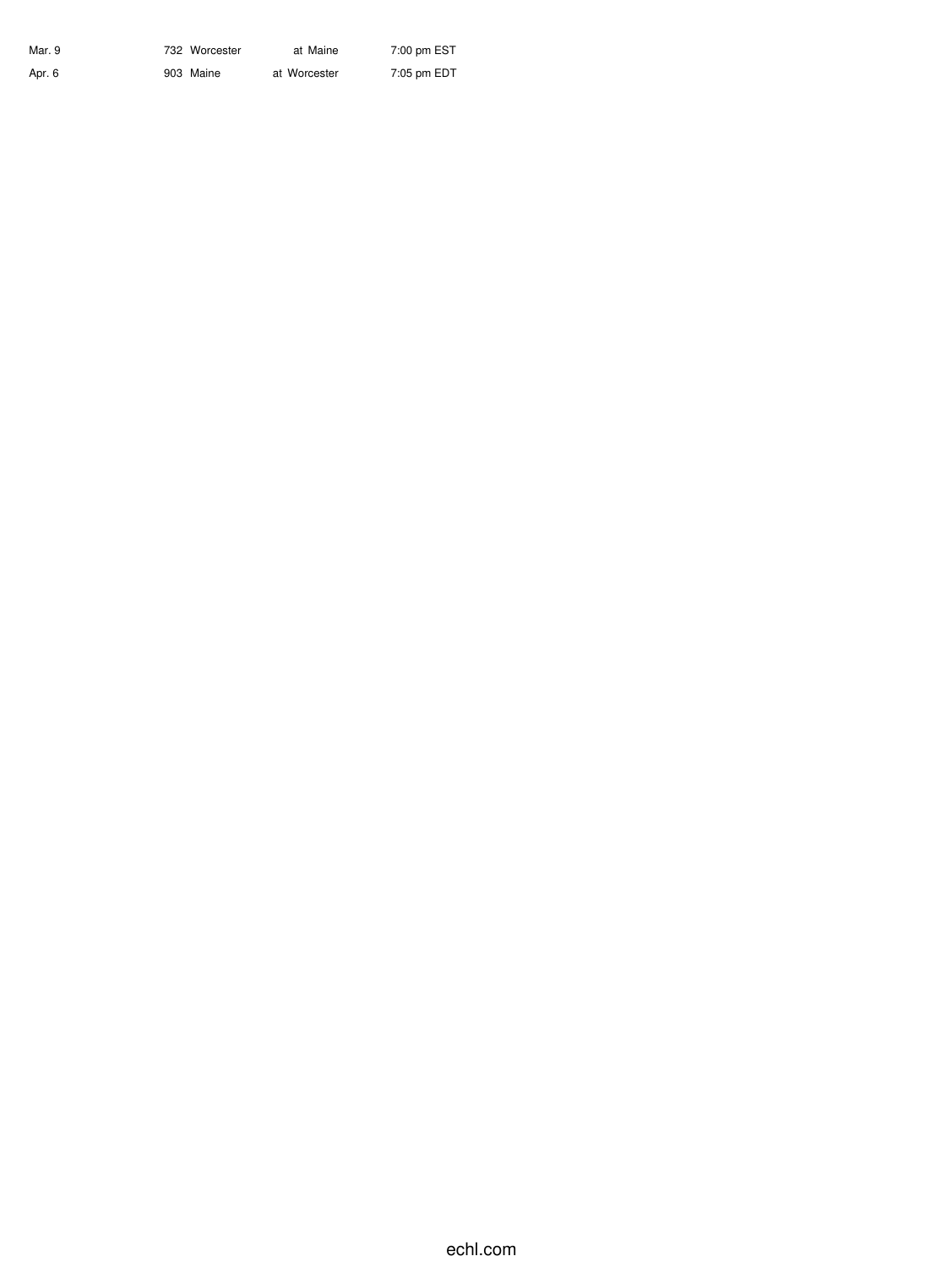| Mar. 9 | 732 Worcester | at Maine     | 7:00 pm EST |
|--------|---------------|--------------|-------------|
| Apr. 6 | 903 Maine     | at Worcester | 7:05 pm EDT |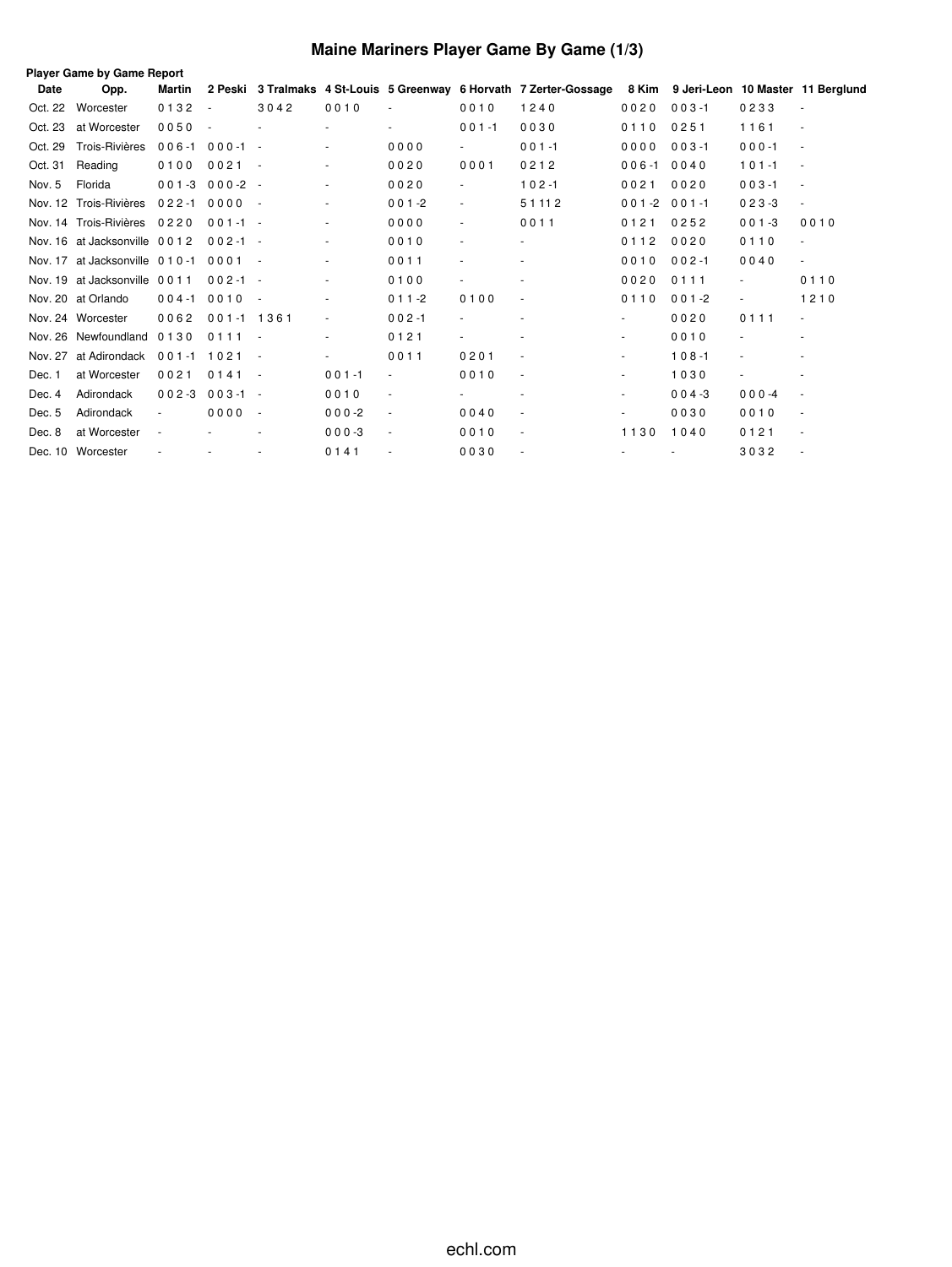# **Maine Mariners Player Game By Game (1/3)**

|         | Player Game by Game Report         |            |             |                          |                          |                          |                          |                                                                                                             |           |           |           |                          |
|---------|------------------------------------|------------|-------------|--------------------------|--------------------------|--------------------------|--------------------------|-------------------------------------------------------------------------------------------------------------|-----------|-----------|-----------|--------------------------|
| Date    | Opp.                               | Martin     |             |                          |                          |                          |                          | 2 Peski 3 Tralmaks 4 St-Louis 5 Greenway 6 Horvath 7 Zerter-Gossage 8 Kim 9 Jeri-Leon 10 Master 11 Berglund |           |           |           |                          |
| Oct. 22 | Worcester                          | 0132       | $\sim$      | 3042                     | 0010                     |                          | 0010                     | 1240                                                                                                        | 0020      | $003 - 1$ | 0233      |                          |
| Oct. 23 | at Worcester                       | 0050       | $\sim$      |                          | $\sim$                   | $\sim$                   | $001 - 1$                | 0030                                                                                                        | 0110      | 0251      | 1161      |                          |
| Oct. 29 | Trois-Rivières                     | $006 - 1$  | $000 - 1 -$ |                          |                          | 0000                     | $\sim$                   | $001 - 1$                                                                                                   | 0000      | $003 - 1$ | $000 - 1$ |                          |
| Oct. 31 | Reading                            | 0100       | 0021        | $\overline{\phantom{a}}$ | $\overline{\phantom{a}}$ | 0020                     | 0001                     | 0212                                                                                                        | $006 - 1$ | 0040      | $101 - 1$ |                          |
| Nov. 5  | Florida                            | $001 - 3$  | $000-2 -$   |                          |                          | 0020                     | $\blacksquare$           | $102 - 1$                                                                                                   | 0021      | 0020      | $003 - 1$ | ÷.                       |
|         | Nov. 12 Trois-Rivières             | 022-1 0000 |             | $\sim$ $-$               | $\overline{\phantom{a}}$ | $001 - 2$                | $\blacksquare$           | 51112                                                                                                       | $001 - 2$ | $001 - 1$ | $023 - 3$ | $\overline{\phantom{a}}$ |
|         | Nov. 14 Trois-Rivières 0220        |            | $001 - 1 -$ |                          | $\sim$                   | 0000                     | $\sim$                   | 0011                                                                                                        | 0121      | 0252      | $001 - 3$ | 0010                     |
|         | Nov. 16 at Jacksonville 0012       |            | $002 - 1 -$ |                          | $\overline{\phantom{a}}$ | 0010                     | $\sim$                   |                                                                                                             | 0112      | 0020      | 0110      | ×.                       |
|         | Nov. 17 at Jacksonville 0 1 0 -1   |            | 0001        | $\sim$                   | $\overline{\phantom{a}}$ | 0011                     | $\overline{\phantom{a}}$ |                                                                                                             | 0010      | $002 - 1$ | 0040      | $\overline{\phantom{a}}$ |
|         | Nov. 19 at Jacksonville 0011       |            | $002 - 1 -$ |                          | $\tilde{\phantom{a}}$    | 0100                     | $\sim$                   |                                                                                                             | 0020      | 0111      |           | 0110                     |
|         | Nov. 20 at Orlando                 | $004 - 1$  | 0010        | $\sim$                   | $\overline{\phantom{a}}$ | $011 - 2$                | 0100                     | $\sim$                                                                                                      | 0110      | $001 - 2$ | $\sim$    | 1210                     |
|         | Nov. 24 Worcester                  | 0062       | 001-1 1361  |                          | $\overline{\phantom{a}}$ | $002 - 1$                | $\blacksquare$           |                                                                                                             |           | 0020      | 0111      | $\sim$                   |
|         | Nov. 26 Newfoundland 0130          |            | 0111        | $\sim$                   |                          | 0121                     |                          |                                                                                                             |           | 0010      |           |                          |
|         | Nov. 27 at Adirondack 001-1 1021 - |            |             |                          |                          | 0011                     | 0201                     | $\overline{\phantom{a}}$                                                                                    | $\sim$    | $108 - 1$ | ÷,        |                          |
| Dec. 1  | at Worcester                       | 0021       | 0141        | $\sim$                   | $001 - 1$                |                          | 0010                     | $\sim$                                                                                                      |           | 1030      | $\sim$    |                          |
| Dec. 4  | Adirondack                         | $002 - 3$  | $003 - 1 -$ |                          | 0010                     | $\overline{\phantom{a}}$ |                          |                                                                                                             |           | $004 - 3$ | $000 -4$  |                          |
| Dec. 5  | Adirondack                         | $\sim$     | 0000        | $\sim$ $-$               | $000 - 2$                | $\blacksquare$           | 0040                     | $\overline{\phantom{a}}$                                                                                    |           | 0030      | 0010      | ÷.                       |
| Dec. 8  | at Worcester                       |            |             |                          | $000-3$                  | $\overline{\phantom{a}}$ | 0010                     | ٠                                                                                                           | 1130      | 1040      | 0121      |                          |
|         | Dec. 10 Worcester                  |            | ÷,          |                          | 0141                     |                          | 0030                     |                                                                                                             |           |           | 3032      |                          |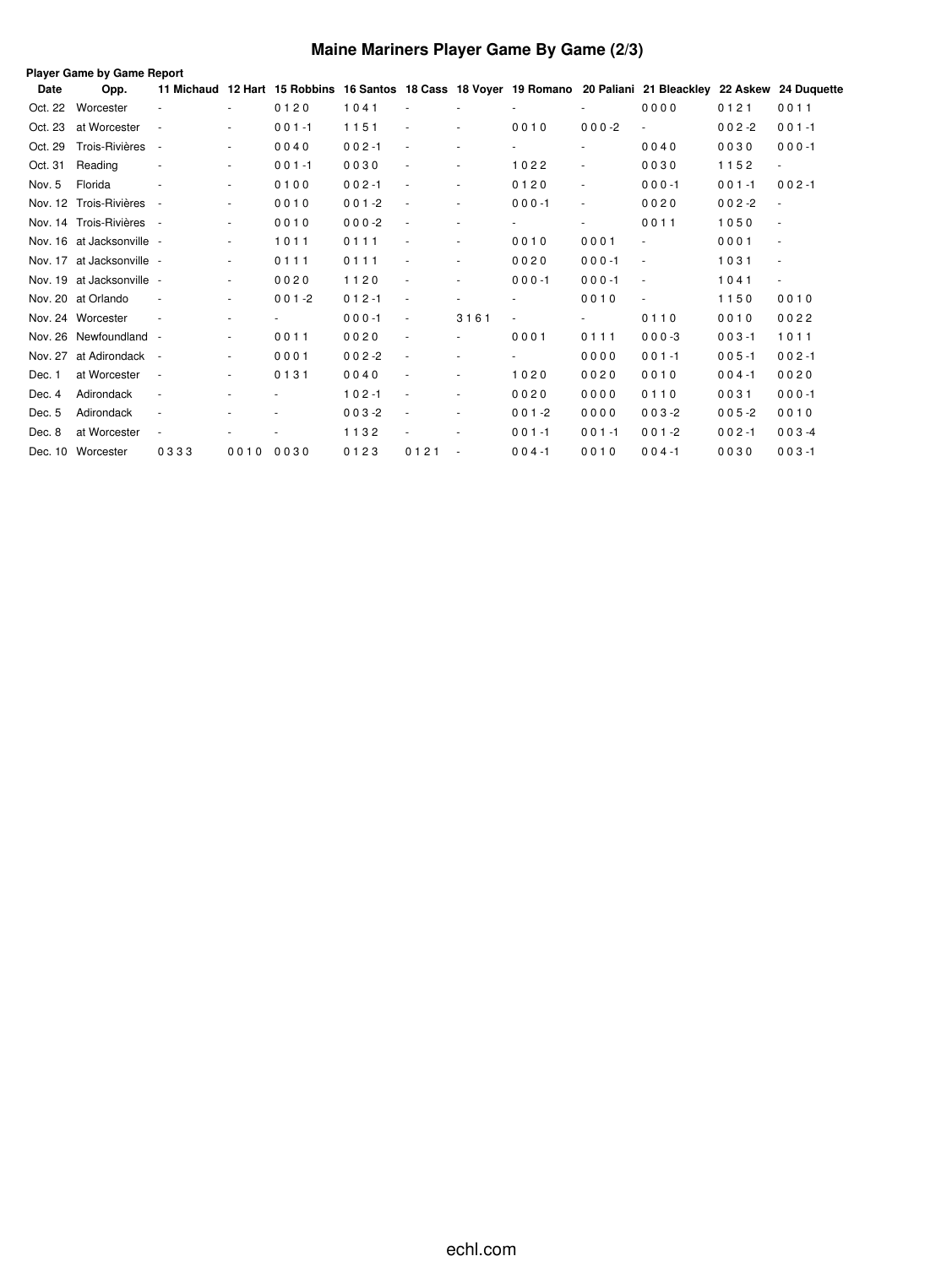# **Maine Mariners Player Game By Game (2/3)**

|         | Player Game by Game Report |                          |                          |           |           |                          |                          |                |                          |                                                                                                                 |           |                |
|---------|----------------------------|--------------------------|--------------------------|-----------|-----------|--------------------------|--------------------------|----------------|--------------------------|-----------------------------------------------------------------------------------------------------------------|-----------|----------------|
| Date    | Opp.                       |                          |                          |           |           |                          |                          |                |                          | 11 Michaud 12 Hart 15 Robbins 16 Santos 18 Cass 18 Voyer 19 Romano 20 Paliani 21 Bleackley 22 Askew 24 Duquette |           |                |
| Oct. 22 | Worcester                  |                          | ٠                        | 0120      | 1041      |                          |                          |                |                          | 0000                                                                                                            | 0121      | 0011           |
| Oct. 23 | at Worcester               | $\overline{\phantom{a}}$ | $\sim$                   | $001 - 1$ | 1151      | $\overline{\phantom{a}}$ | $\sim$                   | 0010           | $000-2$                  | $\overline{\phantom{a}}$                                                                                        | $002 - 2$ | $001 - 1$      |
| Oct. 29 | Trois-Rivières             | $\overline{\phantom{a}}$ | $\frac{1}{2}$            | 0040      | $002 - 1$ | $\overline{\phantom{a}}$ |                          |                | $\overline{\phantom{a}}$ | 0040                                                                                                            | 0030      | $000 - 1$      |
| Oct. 31 | Reading                    |                          | $\blacksquare$           | $001 - 1$ | 0030      | $\blacksquare$           | $\sim$                   | 1022           |                          | 0030                                                                                                            | 1152      | $\blacksquare$ |
| Nov. 5  | Florida                    |                          | $\overline{\phantom{a}}$ | 0100      | $002 - 1$ | $\overline{\phantom{a}}$ | $\sim$                   | 0120           | $\overline{\phantom{a}}$ | $000 - 1$                                                                                                       | $001 - 1$ | $002 - 1$      |
|         | Nov. 12 Trois-Rivières     | $\overline{\phantom{a}}$ | ä,                       | 0010      | $001 - 2$ | $\sim$                   | $\sim$                   | $000 - 1$      |                          | 0020                                                                                                            | $002 - 2$ |                |
|         | Nov. 14 Trois-Rivières     | $\sim$ $-$               | ٠                        | 0010      | $000 - 2$ | $\sim$                   | $\blacksquare$           |                |                          | 0011                                                                                                            | 1050      |                |
|         | Nov. 16 at Jacksonville -  |                          | $\blacksquare$           | 1011      | 0111      | $\sim$                   | $\blacksquare$           | 0010           | 0001                     | $\overline{\phantom{a}}$                                                                                        | 0001      | ÷              |
|         | Nov. 17 at Jacksonville -  |                          | $\overline{\phantom{a}}$ | 0111      | 0111      | $\overline{\phantom{a}}$ |                          | 0020           | $000 - 1$                | $\overline{\phantom{a}}$                                                                                        | 1031      |                |
|         | Nov. 19 at Jacksonville -  |                          | $\blacksquare$           | 0020      | 1120      | $\overline{\phantom{a}}$ |                          | $000 - 1$      | $000 - 1$                |                                                                                                                 | 1041      | $\blacksquare$ |
|         | Nov. 20 at Orlando         | $\overline{\phantom{a}}$ | $\sim$                   | $001 - 2$ | $012 - 1$ | $\sim$                   | $\sim$                   | ٠              | 0010                     | $\sim$                                                                                                          | 1150      | 0010           |
|         | Nov. 24 Worcester          | $\overline{\phantom{a}}$ | ٠                        | ٠         | $000 - 1$ | $\sim$                   | 3161                     | $\blacksquare$ |                          | 0110                                                                                                            | 0010      | 0022           |
|         | Nov. 26 Newfoundland -     |                          | $\frac{1}{2}$            | 0011      | 0020      | $\overline{\phantom{a}}$ | $\blacksquare$           | 0001           | 0111                     | $000-3$                                                                                                         | $003 - 1$ | 1011           |
| Nov. 27 | at Adirondack -            |                          | $\blacksquare$           | 0001      | $002 - 2$ | $\overline{\phantom{a}}$ | $\overline{\phantom{a}}$ | ٠              | 0000                     | $001 - 1$                                                                                                       | $005 - 1$ | $002 - 1$      |
| Dec. 1  | at Worcester               | $\overline{\phantom{a}}$ | ٠                        | 0131      | 0040      | $\sim$                   |                          | 1020           | 0020                     | 0010                                                                                                            | $004 - 1$ | 0020           |
| Dec. 4  | Adirondack                 | $\overline{\phantom{a}}$ | ٠                        |           | $102 - 1$ | $\overline{\phantom{a}}$ | ٠                        | 0020           | 0000                     | 0110                                                                                                            | 0031      | $000 - 1$      |
| Dec. 5  | Adirondack                 | $\overline{\phantom{a}}$ | ٠                        |           | $003 - 2$ | $\overline{\phantom{a}}$ | $\sim$                   | $001 - 2$      | 0000                     | $003 - 2$                                                                                                       | $005 - 2$ | 0010           |
| Dec. 8  | at Worcester               | $\overline{\phantom{a}}$ |                          |           | 1132      | $\overline{\phantom{a}}$ |                          | $001 - 1$      | $001 - 1$                | $001 - 2$                                                                                                       | $002 - 1$ | $003 -4$       |
|         | Dec. 10 Worcester          | 0333                     | 0010                     | 0030      | 0123      | 0121                     | $\overline{\phantom{a}}$ | $004 - 1$      | 0010                     | $004 - 1$                                                                                                       | 0030      | $003 - 1$      |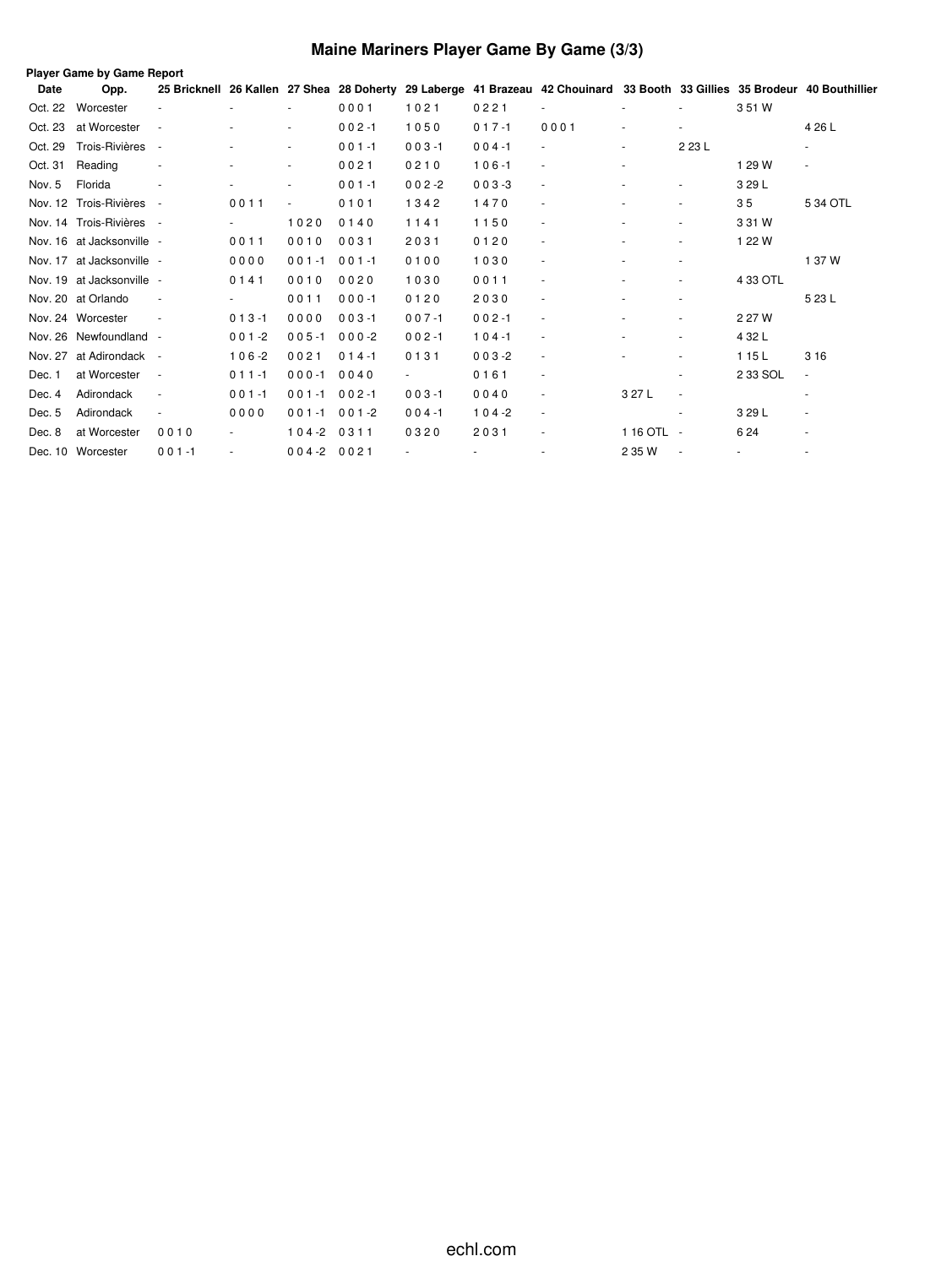# **Maine Mariners Player Game By Game (3/3)**

|         | Player Game by Game Report |                          |           |                          |           |                |           |                                                                                                                            |                |                          |          |                          |
|---------|----------------------------|--------------------------|-----------|--------------------------|-----------|----------------|-----------|----------------------------------------------------------------------------------------------------------------------------|----------------|--------------------------|----------|--------------------------|
| Date    | Opp.                       |                          |           |                          |           |                |           | 25 Bricknell 26 Kallen 27 Shea 28 Doherty 29 Laberge 41 Brazeau 42 Chouinard 33 Booth 33 Gillies 35 Brodeur 40 Bouthillier |                |                          |          |                          |
| Oct. 22 | Worcester                  |                          |           | $\overline{\phantom{0}}$ | 0001      | 1021           | 0221      |                                                                                                                            |                |                          | 3 51 W   |                          |
| Oct. 23 | at Worcester               |                          |           | ٠                        | $002 - 1$ | 1050           | $017 - 1$ | 0001                                                                                                                       | $\sim$         | $\sim$                   |          | 4 26 L                   |
| Oct. 29 | Trois-Rivières             |                          |           | ٠                        | $001 - 1$ | $003 - 1$      | $004 - 1$ | $\blacksquare$                                                                                                             | $\blacksquare$ | 2 23 L                   |          |                          |
| Oct. 31 | Reading                    |                          |           | $\sim$                   | 0021      | 0210           | $106 - 1$ |                                                                                                                            | $\blacksquare$ |                          | 1 29 W   | $\blacksquare$           |
| Nov. 5  | Florida                    |                          |           | $\overline{\phantom{a}}$ | $001 - 1$ | $002 - 2$      | $003 - 3$ | $\overline{\phantom{a}}$                                                                                                   |                | $\overline{\phantom{a}}$ | 3 29 L   |                          |
|         | Nov. 12 Trois-Rivières -   |                          | 0011      |                          | 0101      | 1342           | 1470      |                                                                                                                            |                |                          | 35       | 5 34 OTL                 |
|         | Nov. 14 Trois-Rivières -   |                          |           | 1020                     | 0140      | 1141           | 1150      |                                                                                                                            |                | $\overline{\phantom{a}}$ | 3 31 W   |                          |
|         | Nov. 16 at Jacksonville -  |                          | 0011      | 0010                     | 0031      | 2031           | 0120      | $\overline{\phantom{a}}$                                                                                                   |                | $\overline{\phantom{a}}$ | 1 22 W   |                          |
|         | Nov. 17 at Jacksonville -  |                          | 0000      | $001 - 1$                | $001 - 1$ | 0100           | 1030      | $\overline{\phantom{a}}$                                                                                                   |                | $\overline{\phantom{a}}$ |          | 1 37 W                   |
|         | Nov. 19 at Jacksonville -  |                          | 0141      | 0010                     | 0020      | 1030           | 0011      |                                                                                                                            | $\sim$         | ٠                        | 4 33 OTL |                          |
|         | Nov. 20 at Orlando         |                          |           | 0011                     | $000 - 1$ | 0120           | 2030      | ٠                                                                                                                          |                | ٠                        |          | 5 23 L                   |
|         | Nov. 24 Worcester          |                          | $013 - 1$ | 0000                     | $003 - 1$ | $007 - 1$      | $002 - 1$ | ٠                                                                                                                          |                |                          | 2 27 W   |                          |
|         | Nov. 26 Newfoundland -     |                          | $001 - 2$ | $005 - 1$                | $000-2$   | $002 - 1$      | $104 - 1$ |                                                                                                                            |                | ٠                        | 4 32 L   |                          |
|         | Nov. 27 at Adirondack -    |                          | $106 - 2$ | 0021                     | $014 - 1$ | 0131           | $003 - 2$ | $\sim$                                                                                                                     |                | $\overline{\phantom{a}}$ | 1 15 L   | 3 1 6                    |
| Dec. 1  | at Worcester               | $\sim$                   | $011 - 1$ | $000 - 1$                | 0040      | $\blacksquare$ | 0161      | ٠                                                                                                                          |                | ٠                        | 2 33 SOL | $\blacksquare$           |
| Dec. 4  | Adirondack                 |                          | $001 - 1$ | $001 - 1$                | $002 - 1$ | $003 - 1$      | 0040      |                                                                                                                            | 3 27 L         | $\sim$                   |          | $\overline{\phantom{a}}$ |
| Dec. 5  | Adirondack                 | $\overline{\phantom{a}}$ | 0000      | $001 - 1$                | $001 - 2$ | $004 - 1$      | $104 - 2$ | $\sim$                                                                                                                     |                | $\overline{\phantom{a}}$ | 3 29 L   | $\blacksquare$           |
| Dec. 8  | at Worcester               | 0010                     |           | $104 - 2$                | 0311      | 0320           | 2031      | $\overline{\phantom{a}}$                                                                                                   | 1 16 OTL -     |                          | 6 24     | ٠                        |
|         | Dec. 10 Worcester          | $001 - 1$                |           | $004 - 20021$            |           |                |           |                                                                                                                            | 2 35 W         | $\sim$                   |          | ٠                        |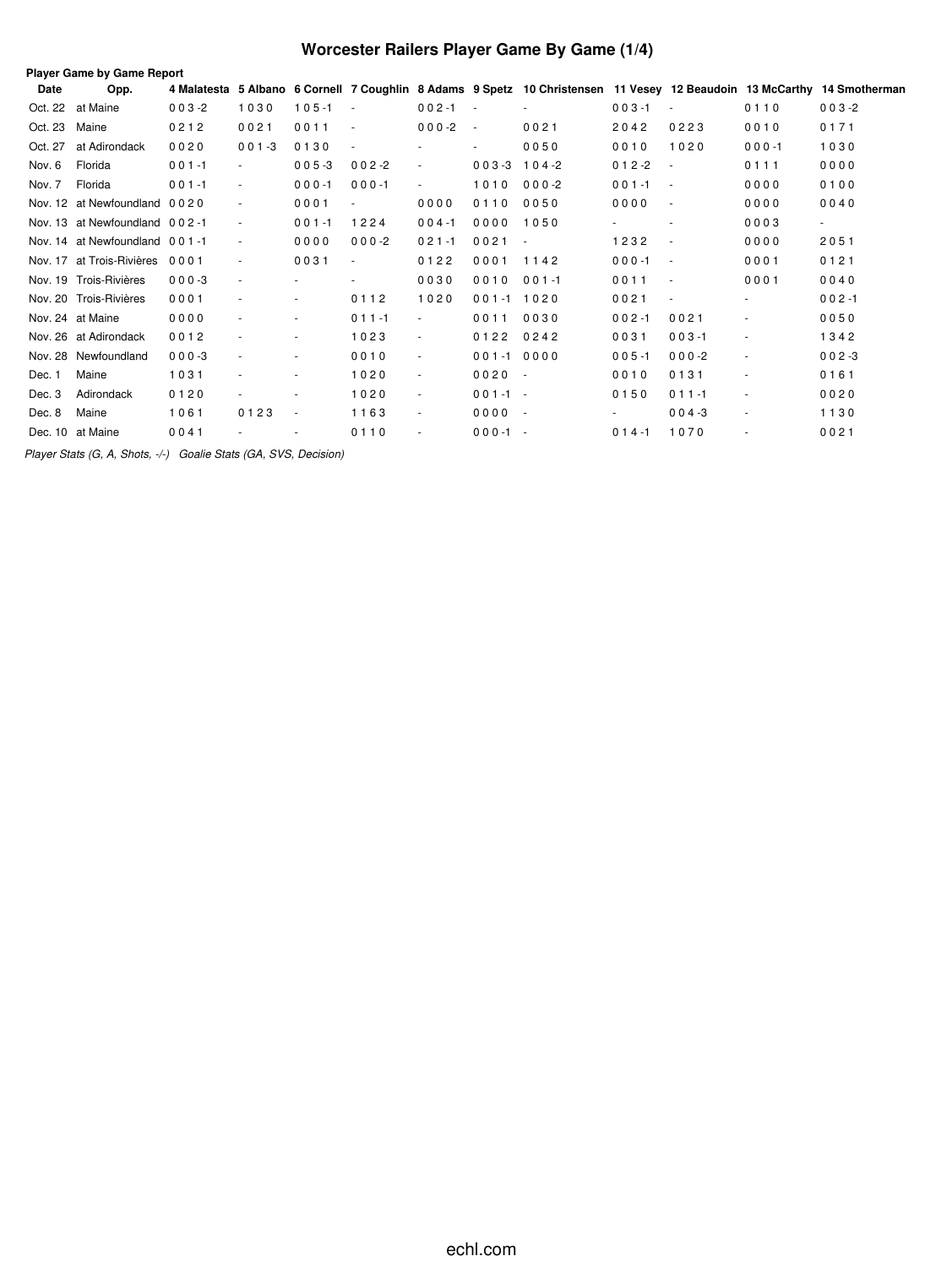# **Worcester Railers Player Game By Game (1/4)**

|         | Player Game by Game Report    |           |                          |           |                          |                |                   |           |           |                  |           |                                                                                                                         |
|---------|-------------------------------|-----------|--------------------------|-----------|--------------------------|----------------|-------------------|-----------|-----------|------------------|-----------|-------------------------------------------------------------------------------------------------------------------------|
| Date    | Opp.                          |           |                          |           |                          |                |                   |           |           |                  |           | 4 Malatesta 5 Albano 6 Cornell 7 Coughlin 8 Adams 9 Spetz 10 Christensen 11 Vesey 12 Beaudoin 13 McCarthy 14 Smotherman |
|         | Oct. 22 at Maine              | $003 - 2$ | 1030                     | $105 - 1$ | $\overline{\phantom{a}}$ | $002 - 1$      | $\sim$ $-$        |           | $003 - 1$ | $\sim$           | 0110      | $003 - 2$                                                                                                               |
| Oct. 23 | Maine                         | 0212      | 0021                     | 0011      | $\overline{\phantom{a}}$ | $000 - 2$      | $\sim$ $-$        | 0021      | 2042      | 0223             | 0010      | 0171                                                                                                                    |
| Oct. 27 | at Adirondack                 | 0020      | $001 - 3$                | 0130      |                          |                |                   | 0050      | 0010      | 1020             | $000 - 1$ | 1030                                                                                                                    |
| Nov. 6  | Florida                       | $001 - 1$ | $\sim$                   | $005 - 3$ | $002 - 2$                | $\blacksquare$ | $003 - 3$ 104 - 2 |           | $012 - 2$ | $\sim$           | 0111      | 0000                                                                                                                    |
| Nov. 7  | Florida                       | $001 - 1$ | $\sim$                   | $000 - 1$ | $000 - 1$                | $\sim$         | 1010 000-2        |           | $001 - 1$ | $\sim$ 100 $\pm$ | 0000      | 0100                                                                                                                    |
|         | Nov. 12 at Newfoundland 0020  |           | $\overline{\phantom{a}}$ | 0001      | $\sim$                   | 0000           | 0110              | 0050      | 0000      | $\sim$           | 0000      | 0040                                                                                                                    |
|         | Nov. 13 at Newfoundland 002-1 |           | $\overline{\phantom{a}}$ | $001 - 1$ | 1224                     | $004 - 1$      | 0000              | 1050      |           | $\sim$           | 0003      | $\sim$                                                                                                                  |
|         | Nov. 14 at Newfoundland 001-1 |           |                          | 0000      | $000-2$                  | $021 - 1$      | 0021              | $\sim$    | 1232      | $\sim$           | 0000      | 2051                                                                                                                    |
|         | Nov. 17 at Trois-Rivières     | 0001      | $\overline{\phantom{a}}$ | 0031      | $\overline{\phantom{a}}$ | 0122           | 0001              | 1142      | $000 - 1$ | $\sim$           | 0001      | 0121                                                                                                                    |
|         | Nov. 19 Trois-Rivières        | $000 - 3$ | ٠                        |           |                          | 0030           | 0010              | $001 - 1$ | 0011      | $\sim$           | 0001      | 0040                                                                                                                    |
|         | Nov. 20 Trois-Rivières        | 0001      |                          | ٠         | 0112                     | 1020           | $001 - 11020$     |           | 0021      | $\sim$           | $\sim$    | $002 - 1$                                                                                                               |
|         | Nov. 24 at Maine              | 0000      |                          | $\sim$    | $011 - 1$                | $\sim$         | 0011              | 0030      | $002 - 1$ | 0021             | $\sim$    | 0050                                                                                                                    |
|         | Nov. 26 at Adirondack         | 0012      |                          | ٠         | 1023                     | $\sim$         | 0122 0242         |           | 0031      | $003 - 1$        | $\sim$    | 1342                                                                                                                    |
|         | Nov. 28 Newfoundland          | $000 - 3$ |                          | ٠         | 0010                     | $\sim$         | 001-1 0000        |           | $005 - 1$ | $000-2$          | $\sim$    | $002 - 3$                                                                                                               |
| Dec. 1  | Maine                         | 1031      |                          | ٠         | 1020                     | $\sim$         | $0020 -$          |           | 0010      | 0131             | $\sim$    | 0161                                                                                                                    |
| Dec. 3  | Adirondack                    | 0120      |                          |           | 1020                     | $\sim$         | $001 - 1 -$       |           | 0150      | $011 - 1$        | $\sim$    | 0020                                                                                                                    |
| Dec. 8  | Maine                         | 1061      | 0123                     | $\sim$    | 1163                     | $\blacksquare$ | $0000 -$          |           |           | $004 - 3$        | $\sim$    | 1130                                                                                                                    |
|         | Dec. 10 at Maine              | 0041      | $\sim$                   | $\sim$    | 0110                     | $\sim$         | $000-1 -$         |           | $014 - 1$ | 1070             | $\sim$    | 0021                                                                                                                    |

*Player Stats (G, A, Shots, -/-) Goalie Stats (GA, SVS, Decision)*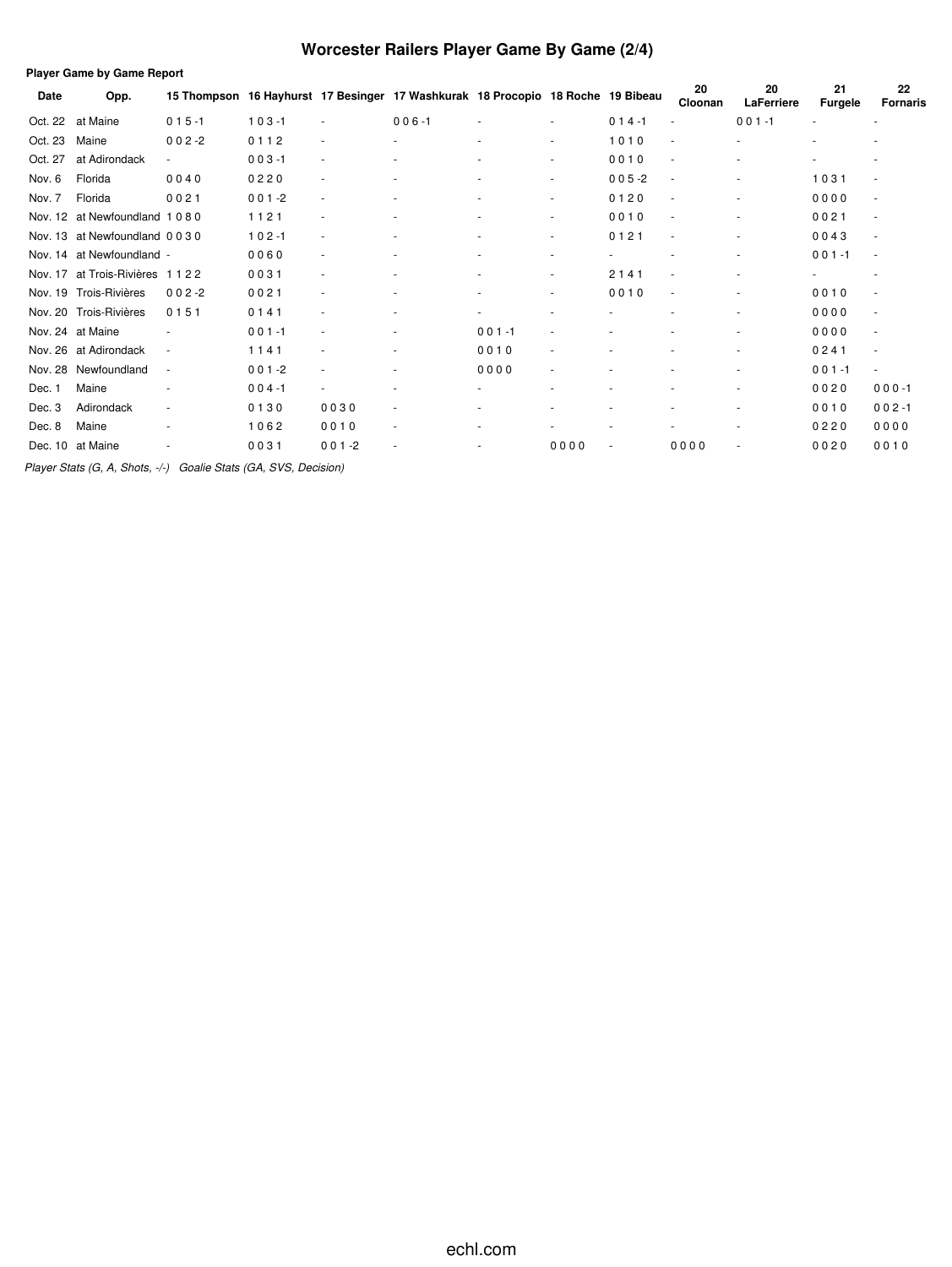# **Worcester Railers Player Game By Game (2/4)**

|         | <b>Player Game by Game Report</b> |             |           |                          |                                                                     |                          |        |           |                          |                  |                      |                          |
|---------|-----------------------------------|-------------|-----------|--------------------------|---------------------------------------------------------------------|--------------------------|--------|-----------|--------------------------|------------------|----------------------|--------------------------|
| Date    | Opp.                              | 15 Thompson |           |                          | 16 Hayhurst 17 Besinger 17 Washkurak 18 Procopio 18 Roche 19 Bibeau |                          |        |           | 20<br>Cloonan            | 20<br>LaFerriere | 21<br><b>Furgele</b> | 22<br><b>Fornaris</b>    |
| Oct. 22 | at Maine                          | $015 - 1$   | $103 - 1$ | ٠                        | $006 - 1$                                                           | ٠                        |        | $014 - 1$ | ٠                        | $001 - 1$        |                      | $\sim$                   |
| Oct. 23 | Maine                             | $002 - 2$   | 0112      | $\overline{\phantom{a}}$ | ٠                                                                   | ٠                        | ٠      | 1010      | ٠                        | $\overline{a}$   |                      |                          |
| Oct. 27 | at Adirondack                     | $\sim$      | $003 - 1$ | $\overline{\phantom{a}}$ |                                                                     | ٠                        | ٠      | 0010      | ٠                        | ٠                |                      | ٠                        |
| Nov. 6  | Florida                           | 0040        | 0220      | ٠                        |                                                                     | ٠                        | ٠      | $005 - 2$ | $\overline{\phantom{a}}$ | $\overline{a}$   | 1031                 | $\overline{\phantom{a}}$ |
| Nov. 7  | Florida                           | 0021        | $001 - 2$ | ٠                        |                                                                     |                          | ٠      | 0120      | $\overline{\phantom{a}}$ | ٠                | 0000                 | $\overline{\phantom{a}}$ |
| Nov. 12 | at Newfoundland 1080              |             | 1121      | ٠                        |                                                                     | ٠                        |        | 0010      | ٠                        | ٠                | 0021                 | $\overline{\phantom{a}}$ |
| Nov. 13 | at Newfoundland 0030              |             | $102 - 1$ | $\overline{\phantom{a}}$ |                                                                     | $\overline{\phantom{a}}$ | ٠      | 0121      | ÷,                       | ٠                | 0043                 | $\overline{\phantom{a}}$ |
| Nov. 14 | at Newfoundland -                 |             | 0060      | ٠                        |                                                                     |                          | ۰      |           |                          | $\overline{a}$   | $001 - 1$            | $\overline{\phantom{a}}$ |
| Nov. 17 | at Trois-Rivières                 | 1122        | 0031      | ٠                        | ٠                                                                   | ٠                        | $\sim$ | 2141      | $\overline{\phantom{a}}$ | ٠                | ٠                    | ٠                        |
| Nov. 19 | Trois-Rivières                    | $002 - 2$   | 0021      |                          |                                                                     |                          | ٠      | 0010      | $\overline{\phantom{a}}$ | ٠                | 0010                 |                          |
| Nov. 20 | Trois-Rivières                    | 0151        | 0141      | ٠                        | ٠                                                                   | $\overline{a}$           | ÷,     |           |                          | $\overline{a}$   | 0000                 | $\overline{\phantom{a}}$ |
|         | Nov. 24 at Maine                  |             | $001 - 1$ | ٠                        |                                                                     | $001 - 1$                |        |           |                          |                  | 0000                 | ٠                        |
| Nov. 26 | at Adirondack                     | ٠           | 1141      | ٠                        | ٠                                                                   | 0010                     | ÷,     |           | ٠                        | $\overline{a}$   | 0241                 | $\blacksquare$           |
| Nov. 28 | Newfoundland                      | ٠           | $001 - 2$ | ٠                        | ٠                                                                   | 0000                     |        |           |                          | ٠                | $001 - 1$            | $\sim$                   |
| Dec. 1  | Maine                             |             | $004 - 1$ | ٠                        | ٠                                                                   |                          |        |           |                          | $\blacksquare$   | 0020                 | $000 - 1$                |
| Dec. 3  | Adirondack                        | ٠           | 0130      | 0030                     | $\sim$                                                              |                          |        |           |                          | ٠                | 0010                 | $002 - 1$                |
| Dec. 8  | Maine                             |             | 1062      | 0010                     | $\sim$                                                              |                          |        |           |                          | ٠                | 0220                 | 0000                     |
| Dec. 10 | at Maine                          |             | 0031      | $001 - 2$                | ٠                                                                   |                          | 0000   |           | 0000                     | $\blacksquare$   | 0020                 | 0010                     |
|         |                                   |             |           |                          |                                                                     |                          |        |           |                          |                  |                      |                          |

*Player Stats (G, A, Shots, -/-) Goalie Stats (GA, SVS, Decision)*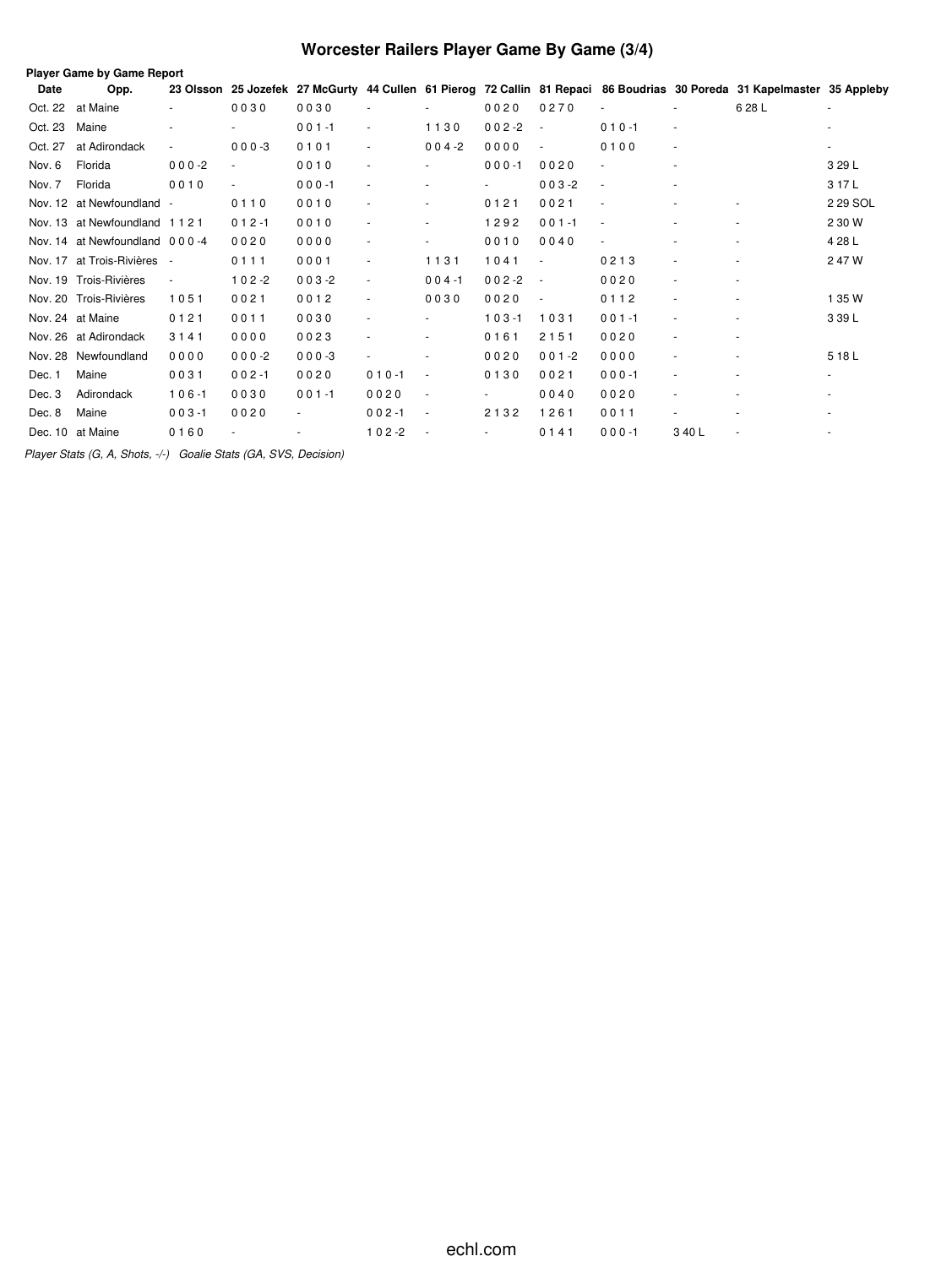# **Worcester Railers Player Game By Game (3/4)**

|         | Player Game by Game Report    |                          |                          |           |                          |                          |           |                          |                              |                          |                                                                                                                         |          |
|---------|-------------------------------|--------------------------|--------------------------|-----------|--------------------------|--------------------------|-----------|--------------------------|------------------------------|--------------------------|-------------------------------------------------------------------------------------------------------------------------|----------|
| Date    | Opp.                          |                          |                          |           |                          |                          |           |                          |                              |                          | 23 Olsson 25 Jozefek 27 McGurty 44 Cullen 61 Pierog 72 Callin 81 Repaci 86 Boudrias 30 Poreda 31 Kapelmaster 35 Appleby |          |
| Oct. 22 | at Maine                      |                          | 0030                     | 0030      |                          |                          | 0020      | 0270                     |                              |                          | 6 28 L                                                                                                                  |          |
| Oct. 23 | Maine                         |                          |                          | $001 - 1$ | $\sim$                   | 1130                     | $002 - 2$ | $\sim$                   | $010 - 1$                    | ٠                        |                                                                                                                         |          |
| Oct. 27 | at Adirondack                 | $\blacksquare$           | $000-3$                  | 0101      |                          | $004 - 2$                | 0000      | $\overline{\phantom{a}}$ | 0100                         | $\overline{\phantom{a}}$ |                                                                                                                         |          |
| Nov. 6  | Florida                       | $000 - 2$                |                          | 0010      |                          | $\overline{\phantom{a}}$ | $000 - 1$ | 0020                     | $\overline{\phantom{a}}$     | $\overline{\phantom{a}}$ |                                                                                                                         | 3 29 L   |
| Nov. 7  | Florida                       | 0010                     | $\overline{\phantom{a}}$ | $000 - 1$ |                          |                          |           | $003 - 2$                | $\overline{\phantom{a}}$     |                          |                                                                                                                         | 3 17 L   |
|         | Nov. 12 at Newfoundland -     |                          | 0110                     | 0010      |                          | $\sim$                   | 0121      | 0021                     | $\qquad \qquad \blacksquare$ |                          |                                                                                                                         | 2 29 SOL |
|         | Nov. 13 at Newfoundland 1121  |                          | $012 - 1$                | 0010      |                          | $\sim$                   | 1292      | $001 - 1$                | ٠                            |                          |                                                                                                                         | 2 30 W   |
|         | Nov. 14 at Newfoundland 000-4 |                          | 0020                     | 0000      |                          | $\overline{\phantom{a}}$ | 0010      | 0040                     | $\overline{\phantom{a}}$     |                          |                                                                                                                         | 4 28 L   |
|         | Nov. 17 at Trois-Rivières     | $\sim$                   | 0111                     | 0001      |                          | 1131                     | 1041      | $\overline{\phantom{a}}$ | 0213                         | ٠                        |                                                                                                                         | 2 47 W   |
|         | Nov. 19 Trois-Rivières        | $\overline{\phantom{a}}$ | $102 - 2$                | $003 - 2$ | $\overline{\phantom{a}}$ | $004 - 1$                | $002 - 2$ | $\sim$                   | 0020                         | $\overline{\phantom{a}}$ | ٠                                                                                                                       |          |
|         | Nov. 20 Trois-Rivières        | 1051                     | 0021                     | 0012      |                          | 0030                     | 0020      | $\overline{\phantom{a}}$ | 0112                         | $\overline{\phantom{a}}$ |                                                                                                                         | 1 35 W   |
|         | Nov. 24 at Maine              | 0121                     | 0011                     | 0030      |                          |                          | $103 - 1$ | 1031                     | $001 - 1$                    | ÷,                       |                                                                                                                         | 3 39 L   |
|         | Nov. 26 at Adirondack         | 3141                     | 0000                     | 0023      |                          | $\overline{\phantom{a}}$ | 0161      | 2151                     | 0020                         | $\frac{1}{2}$            |                                                                                                                         |          |
|         | Nov. 28 Newfoundland          | 0000                     | $000-2$                  | $000-3$   |                          | $\overline{\phantom{a}}$ | 0020      | $001 - 2$                | 0000                         |                          |                                                                                                                         | 518L     |
| Dec. 1  | Maine                         | 0031                     | $002 - 1$                | 0020      | $010 - 1$                | $\overline{\phantom{a}}$ | 0130      | 0021                     | $000 - 1$                    |                          |                                                                                                                         |          |
| Dec. 3  | Adirondack                    | $106 - 1$                | 0030                     | $001 - 1$ | 0020                     | $\overline{\phantom{a}}$ |           | 0040                     | 0020                         |                          |                                                                                                                         |          |
| Dec. 8  | Maine                         | $003 - 1$                | 0020                     |           | $002 - 1$                | $\overline{\phantom{a}}$ | 2132      | 1261                     | 0011                         | ٠                        |                                                                                                                         |          |
|         | Dec. 10 at Maine              | 0160                     |                          |           | $102 - 2$                | $\overline{\phantom{a}}$ |           | 0141                     | $000 - 1$                    | 3 40 L                   |                                                                                                                         |          |

*Player Stats (G, A, Shots, -/-) Goalie Stats (GA, SVS, Decision)*